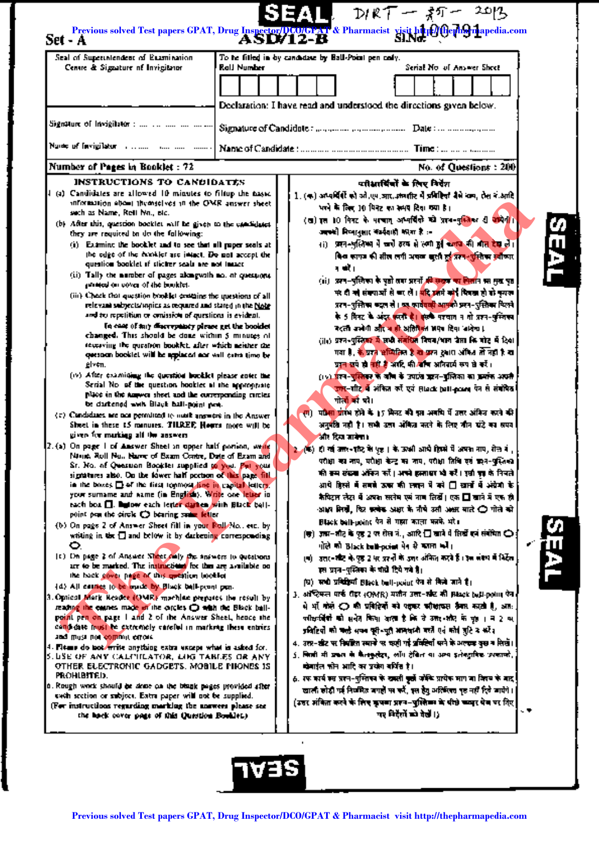| Seal of Superintendent of Examination.                                                                                                                                                                                                                                                                                                                                                                                                                                                                                                                                                                                                                                                                                                                                                                                                                                                                                                                                                                                                                                                                                                                                                                                                                                                                                                                                                                                                                                                                                                                                                                                                                                                                                                                                                                                                                                                                                                                                                                                                                                                                                                                                                                                                                                                                                                                                                                                                                                                                                                                                                                                                                                                                                                                                                                                                                                                                                                                                                                           |                    | To be fitted in by candidate by Ball-Point pen cody.                                                                                                                                                                                                                                                                                                                                                                                                                                                                                                                                                                                                                                                                                                                                                                                                                                                                                                                                                                                                                                                                                                                                                                                                                                                                                                                                                                                                                                                                                                                                                                                                                                                                                                                                                                                                                                                                                                                                                                                                                                                                                                                                                                                                                                                                                                                                                                                                                                                                                                                                                                                                                                                                                                                                                                                                                                                                      |      |
|------------------------------------------------------------------------------------------------------------------------------------------------------------------------------------------------------------------------------------------------------------------------------------------------------------------------------------------------------------------------------------------------------------------------------------------------------------------------------------------------------------------------------------------------------------------------------------------------------------------------------------------------------------------------------------------------------------------------------------------------------------------------------------------------------------------------------------------------------------------------------------------------------------------------------------------------------------------------------------------------------------------------------------------------------------------------------------------------------------------------------------------------------------------------------------------------------------------------------------------------------------------------------------------------------------------------------------------------------------------------------------------------------------------------------------------------------------------------------------------------------------------------------------------------------------------------------------------------------------------------------------------------------------------------------------------------------------------------------------------------------------------------------------------------------------------------------------------------------------------------------------------------------------------------------------------------------------------------------------------------------------------------------------------------------------------------------------------------------------------------------------------------------------------------------------------------------------------------------------------------------------------------------------------------------------------------------------------------------------------------------------------------------------------------------------------------------------------------------------------------------------------------------------------------------------------------------------------------------------------------------------------------------------------------------------------------------------------------------------------------------------------------------------------------------------------------------------------------------------------------------------------------------------------------------------------------------------------------------------------------------------------|--------------------|---------------------------------------------------------------------------------------------------------------------------------------------------------------------------------------------------------------------------------------------------------------------------------------------------------------------------------------------------------------------------------------------------------------------------------------------------------------------------------------------------------------------------------------------------------------------------------------------------------------------------------------------------------------------------------------------------------------------------------------------------------------------------------------------------------------------------------------------------------------------------------------------------------------------------------------------------------------------------------------------------------------------------------------------------------------------------------------------------------------------------------------------------------------------------------------------------------------------------------------------------------------------------------------------------------------------------------------------------------------------------------------------------------------------------------------------------------------------------------------------------------------------------------------------------------------------------------------------------------------------------------------------------------------------------------------------------------------------------------------------------------------------------------------------------------------------------------------------------------------------------------------------------------------------------------------------------------------------------------------------------------------------------------------------------------------------------------------------------------------------------------------------------------------------------------------------------------------------------------------------------------------------------------------------------------------------------------------------------------------------------------------------------------------------------------------------------------------------------------------------------------------------------------------------------------------------------------------------------------------------------------------------------------------------------------------------------------------------------------------------------------------------------------------------------------------------------------------------------------------------------------------------------------------------------|------|
| Centre & Signature of Invigitator                                                                                                                                                                                                                                                                                                                                                                                                                                                                                                                                                                                                                                                                                                                                                                                                                                                                                                                                                                                                                                                                                                                                                                                                                                                                                                                                                                                                                                                                                                                                                                                                                                                                                                                                                                                                                                                                                                                                                                                                                                                                                                                                                                                                                                                                                                                                                                                                                                                                                                                                                                                                                                                                                                                                                                                                                                                                                                                                                                                | <b>Rall Number</b> | Serial No. of Answer Sheet<br>Declaration: I have read and understood the directions given below.                                                                                                                                                                                                                                                                                                                                                                                                                                                                                                                                                                                                                                                                                                                                                                                                                                                                                                                                                                                                                                                                                                                                                                                                                                                                                                                                                                                                                                                                                                                                                                                                                                                                                                                                                                                                                                                                                                                                                                                                                                                                                                                                                                                                                                                                                                                                                                                                                                                                                                                                                                                                                                                                                                                                                                                                                         |      |
| Signature of Invigilator :        ]                                                                                                                                                                                                                                                                                                                                                                                                                                                                                                                                                                                                                                                                                                                                                                                                                                                                                                                                                                                                                                                                                                                                                                                                                                                                                                                                                                                                                                                                                                                                                                                                                                                                                                                                                                                                                                                                                                                                                                                                                                                                                                                                                                                                                                                                                                                                                                                                                                                                                                                                                                                                                                                                                                                                                                                                                                                                                                                                                                              |                    | Signature of Candidate: magazine, parameterian. Date: consumerance                                                                                                                                                                                                                                                                                                                                                                                                                                                                                                                                                                                                                                                                                                                                                                                                                                                                                                                                                                                                                                                                                                                                                                                                                                                                                                                                                                                                                                                                                                                                                                                                                                                                                                                                                                                                                                                                                                                                                                                                                                                                                                                                                                                                                                                                                                                                                                                                                                                                                                                                                                                                                                                                                                                                                                                                                                                        |      |
| Note of fevigilator communi-                                                                                                                                                                                                                                                                                                                                                                                                                                                                                                                                                                                                                                                                                                                                                                                                                                                                                                                                                                                                                                                                                                                                                                                                                                                                                                                                                                                                                                                                                                                                                                                                                                                                                                                                                                                                                                                                                                                                                                                                                                                                                                                                                                                                                                                                                                                                                                                                                                                                                                                                                                                                                                                                                                                                                                                                                                                                                                                                                                                     |                    |                                                                                                                                                                                                                                                                                                                                                                                                                                                                                                                                                                                                                                                                                                                                                                                                                                                                                                                                                                                                                                                                                                                                                                                                                                                                                                                                                                                                                                                                                                                                                                                                                                                                                                                                                                                                                                                                                                                                                                                                                                                                                                                                                                                                                                                                                                                                                                                                                                                                                                                                                                                                                                                                                                                                                                                                                                                                                                                           |      |
| Number of Pages in Booklet : 72<br><b>INSTRUCTIONS TO CANDIDATES</b>                                                                                                                                                                                                                                                                                                                                                                                                                                                                                                                                                                                                                                                                                                                                                                                                                                                                                                                                                                                                                                                                                                                                                                                                                                                                                                                                                                                                                                                                                                                                                                                                                                                                                                                                                                                                                                                                                                                                                                                                                                                                                                                                                                                                                                                                                                                                                                                                                                                                                                                                                                                                                                                                                                                                                                                                                                                                                                                                             |                    | No. of Questions : $200$                                                                                                                                                                                                                                                                                                                                                                                                                                                                                                                                                                                                                                                                                                                                                                                                                                                                                                                                                                                                                                                                                                                                                                                                                                                                                                                                                                                                                                                                                                                                                                                                                                                                                                                                                                                                                                                                                                                                                                                                                                                                                                                                                                                                                                                                                                                                                                                                                                                                                                                                                                                                                                                                                                                                                                                                                                                                                                  |      |
| 4 (a) Candidates are allowed 10 minutes to filtup the basic<br>information about themselves in the OMR answer sheet.<br>sech as Name, Rell Nn., etc.<br>(b) After this, question booklet will be given to the candidates<br>they are required to do the following:<br>(i) Examine the booklet and to see that all paper seals at<br>the edge of the excitler are intact. Do not accept the<br>question booklet of sticker seals are not insact<br>(ii) Tally the number of pages alongwith no, at questions.<br>promoted on cover of the booklet.<br>(iii) Check that question booklet contains the questions of all<br>relevant subjects/injties as required and stared in the Note<br>and to repetition or conission of questions is evident.<br>In case of any discreptiony please get the booklet<br>changed. This should be done within 5 minutes of<br>towaying the question booklet, after which meister the<br>question bookiet will be applaced not will cates time be<br>ĝl⊻≑π.<br>(iv) After examining the question booklet please enter the<br>Scrial No. of the question hookies at the appropriate<br>place in the anywer sheet and the corresponding crities.<br>be darkened with Black hall-point pen.<br>$\langle z \rangle$ Candidates are not permitted to note answers in the Answer.<br>Since in these 15 manures. THREE, Hours more will be<br>given for murking all the answers<br>2.(a) On page I of Answer Sheet in upper half portion, weak<br>Ning, Roll Nu., Name of Bazon Contre, Date of Bazon and<br>Sr. No. of Question Booklet supplied to you. Put your<br>signatures also. On the fower half portion of this page fill<br>in the boxes El of the first topmost line in expital letters.<br>your surname and name (in English). Write one letter in<br>each box <b>Q.</b> hytow each letter darkes with Black bell-<br>point pen the circle C bearing subset letter<br>(b) On page 2 of Answer Sheet fill in your Rull No., etc. by<br>whiling in the $\Box$ and below it by darkening corresponding<br>O.<br>(c) On page 2 of Answer Steet colly the answers to questions<br>are to be marked. The instructional for the are available on<br>the back cover page of this methical looking<br>(d) All causes to be made by Black ball-point pen-<br>3. Optical Mark Reader (QMR) machine prepares the result by<br>reading the causes made of the corcles O with the Black ball-<br>point pen on page 1 and 2 of the Answer Sheet, hence the<br>couplette must be extremely variable in marking these entries.<br>and must not commut creat.<br>4. Fit me do not write anything extra uncept what is asked for.<br>5. USE OF ANY CALITICATOR, LINE TABLES OR ANY<br>OTHER ELECTRONIC GADGETS. MOBILE PHONES IS<br>PROHIBITED.<br>0. Rough work should be done on the blank pages provided after<br>each section or subject. Eatra paper will not be supplied.<br>(For instructions regarding marking the answers please see<br>the hock cover posts of this Question Booklet.) |                    | प्रतिशार्षियों के लिए निर्देश<br>1. (क) अप्यर्थियों को ओ,एम,आर, अन्यारि में प्रतिहितों बैसे नाम, रोस ने आदि<br>भवने के लिए 10 मिनट का समय दिया गया है।<br>(ख) इस 10 मिनट के माचात् अभ्यविंको को प्राप-मुस्लिका ही अभिनी।<br>अक्सी निष्पानुसार कर्मवाडी कामा है :-<br>रा) प्रसन-भूलिष्म में जारी इरव से लगी हुई कारण की जात देख लें।<br>किंव काफ की सील लगी अच्छा खुली हुई प्रस्थ-पुंसीका स्वीकार<br>न करे।<br>(ii) अन्य-पुलिका के पूर्वी तक प्रस्तों <del>कि सदाव का निर्</del> तान का मुख पूर<br>पर दी जो संख्याओं से बार लें। <mark>बरि उस</mark> में कोई पियक्त हो को कुमक<br>प्ररण-पुलिस्म कट्स से। <u>यह कार्यवची आफ्</u> को प्रसन-पुलिस्म फिल्मे<br>के 5 मिनट के अंदर करनी है। इसके परवान न तो प्रश्न-पुस्तिका<br>बदली जलेगी और व ही अतिरिक्त भएव दिया जादेक।<br>(iii) प्रश्न-पुस्तिका में सभी संबंधित नियम/भाग जेपा कि बोट में दिया<br>गया है, के प्रश्न भाष्यतिल है के प्रश्न अने अभिन्न तो नहीं है क<br>प्रदन सर्प हो नहीं है आदि की बाँच अनिवार्य रूप से करें।<br>(19) प्रेरन-पुस्तिकर के जान के उपारंत करन-पुलिका का क्रमांक अपनी<br>उन्म-गीट में अंकित को एवं Riack ball-powe पेन से संबंधित<br>गोलों को घरे।<br>पर्वता प्राप्त होने के 15 मिनट की इस अवधि में उत्तर अंकिज करने की<br>गा<br>अनुमति नहीं है। सभी उता अंकित करने के लिए तीन घंटे का सपव।<br>और दिया जानेगा।<br>(क) ही गई उत्तर-पौर के पुड़ा के उन्सी आये हिस्से में अपना नाम, सेल नं ,<br>परोक्षा का नाम, परोक्षा केन्द्र का नाम, परोक्षा तिथि एवं कश्न-पुस्तिका<br>की बस संख्या ऑफन करें। अपने हालावर भी करें। इसी इस के निचले<br>आ पे हिस्से में समझे ऊरका की स्वतन्त में करे ⊡िखानों में अंग्रेजी के<br>कैपिट्स लेख में अपक सलेम एमं नाम लिखें। एक □ खाने में एक ही<br>आ∨न मिली, फिर कलोक अक्षर के नौचे उसी अक्षर बाते ⊂े गोले को<br>Black bell-point पैन से गहरा काला मनमे थाँ।<br>(ख) उत्तम-शौट के पुष्ठ 2 पर रोस नं., आदि $\square$ खाने में सिर्खे इन संबंधित $\bigcirc$ ,<br>गोले को Black bull-point पेर से कामा को ।<br>(च) उत्तर-और के पुष्ठ 2 पर प्रस्ती के उत्तर अंकित करने हैं। इस संबंध में भिर्देता<br>इस प्रदन-पुस्तिका के बारी दिये गये है।<br>(घ) सभी प्रसिद्धियाँ Black bull-point ऐसे से सिलो जाने हैं।<br>}, ऑस्ट्रियन्त पार्फ ग्रॅंडर (OMR) मशौन उत्तर-श्रीट की Black bell-point फेर<br>में भी गोले ⊂ा की प्रविद्दियों को पक्षकर कॉम्शायस तैयार करती है, आत:<br>प्ली <del>इन्सिँको</del> को सन्देत किया बलाई कि उँउक्तर-और के फूट । न 2 क्<br>प्रशिटियों को कल्हे अपन पूरी-पूरी भाष्यवादी करते एवं कोई पुटि द करें।<br>4. उत्तर-खेट पर नियंतित स्थाने पर चरही गई प्रविद्यियों परने के अल्डक कुछ न सिखें।<br>5. जिल्ही भी प्रकार के कैलकुलंदर, लॉग ट्रेबिल या अस्य इलेक्ट्राविक प्रथमाण्डे,<br>खेमाईल कोन आदि का प्रयोग बर्थित है।<br>6. रफ कार्य क्य प्राप्त-पुन्तिका के खबती कुलैं जोकि प्रायेक माग जा जिसम के बाद<br>खाली होड़ी पर्व नियमित बगहों पर रूरें, इस हेतु अतिरिक्त पृष्ठ नहीं दिये जायेंगे।<br>(उत्तर अंबिता करने के लिए कृपमा प्राप्त-पुल्लिका के पीछे कथार पेज पर तिए  <br>. ♥<br>गर निर्देखों को वेलें ।) | SEAI |

 $\cdot$ 

I

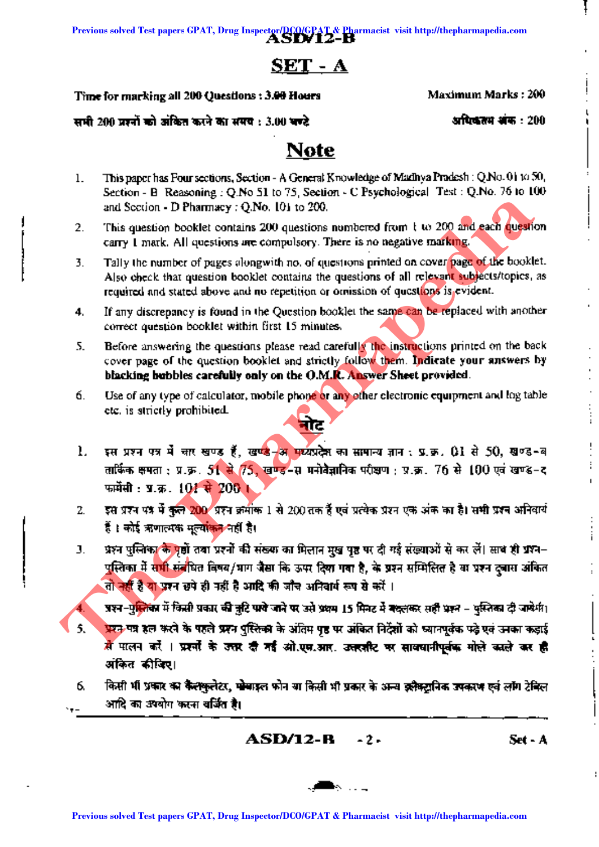# SET-A

Time for marking all 200 Questions: 3.00 Hours Maximum Marks: 200

सभी 200 प्रश्नों को अंकित करने का समय : 3.00 चण्टे = = = = = = = = = अधिकतम अंक : 200

4.

1

# **Note**

- 1. This paper has Four sections, Section A General Knowledge of Madhya Pradesh: Q.No. 01 to SO, Section - B Reasoning: Q.No 51 to 75, Section - C Psychological Test: Q.No. 76 to 100 and Section - D Pharmacy : O.No. 101 to 200.
- This question booklet contains 200 questions numbered from  $t \omega$  200 and each question carry 1mark. All questions are compulsory. There is no negative marking. 2.
- Tally the number of pages alongwith no. of questions printed on cover page of the booklet. Also check that question booklet contains the questions of all relevant subjects/topics, as required and stated above and no repetition or omission of questions is evident. 3.
- If any discrepancy is found in the Question booklet the same can be replaced with another correct question booklet within first 15 minutes. 4.
- Before answering the questions please read carefully the instructions printed on the back cover page of the question booklet and strictly follow them. Indicate your answers by blacking bubbles carefully only on the O.M.R. Answer Sheet provided. 5.
- 6. Use of any type of calculator, mobile phone or any other electronic equipment and log table etc. is strictly prohibited.
- 1. इस प्रश्न पत्र में चार खण्ड हैं, खण्डे-अन मध्यप्रदेश का सामान्य ज्ञान : प्र.क्र. 01 से 50, खण्ड-ब तार्किक क्षमता : प्र.क्र. 51 से 75, खण्ड-स मनोवैज्ञानिक परीक्षण : प्र.क्र. 76 से 100 एवं खण्ड-द फार्मेसी: प्र.क.  $101 + 200$  ।
- इस प्रश्न पत्र में कुल 200 प्रश्न क्रमोंक 1 से 200 तक हैं एवं प्रत्येक प्रश्न एक अंक का है। सभी प्रश्न अनिवार्य हैं । कोई ऋणात्मक मूल्यां<mark>कन</mark> नहीं है। 2.
- प्रश्न पुल्तिका के पूर्वों तथा प्रश्नों की संख्या का मिलान मुख पूष्ठ पर दी गई संख्याओं से कर लें। साथ ही प्रश्न-पुस्तिका में स<mark>भी संज</mark>यित विषय/भाग जैसा कि ऊपर दिया गया है, के प्रश्न सम्मिलित है या प्रश्न दुबारा अंकित तो नहीं है यो प्रश्न छपे ही नहीं है आदि की जाँच अनिवार्य रूप से करें । 3.

प्रश्न-पुल्तिका में किसी प्रकार की तुटि पाये जाने पर उसे प्रथम 15 मिनट में बदलकर सही प्रश्न - युस्तिका दी जायेगी।

- प्राप्त-पत्र हल करने के पहले प्रसन पुस्लिका के अंतिम पह पर अंकित निर्देशों को ध्यानपूर्वक पढ़े एवं उनका कड़ाई  $\vec{A}$  पालन करें । प्रश्नों के उत्तर दी गईं ओ.एन.आर. उत्तरशीट पर साथवानीपूर्वक मोले काले कर ही अंकित कीविए। 5. **Previous solved Test papers CPAT, Drug Inspective CPAT and the Pharmacist CPAT and the system in the SPAT of the system of the pharmapedia Control Control Control Control Control Control Control Control Control Control C** 
	- किसी भी प्रकार का कैल्कुलेटर, पोबाइल फोन या किसी भी प्रकार के अन्य इलैक्टानिक उपकरण एवं लॉग टेविल आदि का उपयोग करना वर्जित है। 6.

ASD/I2-B -2- Set-A

 $\vdots$ 

I

I

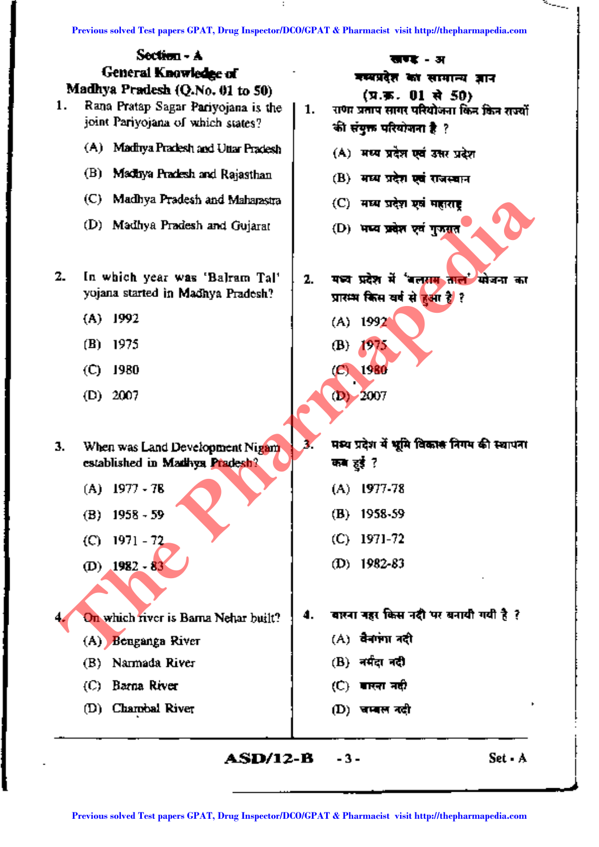

 $ASD/12-B$  -3- Set-A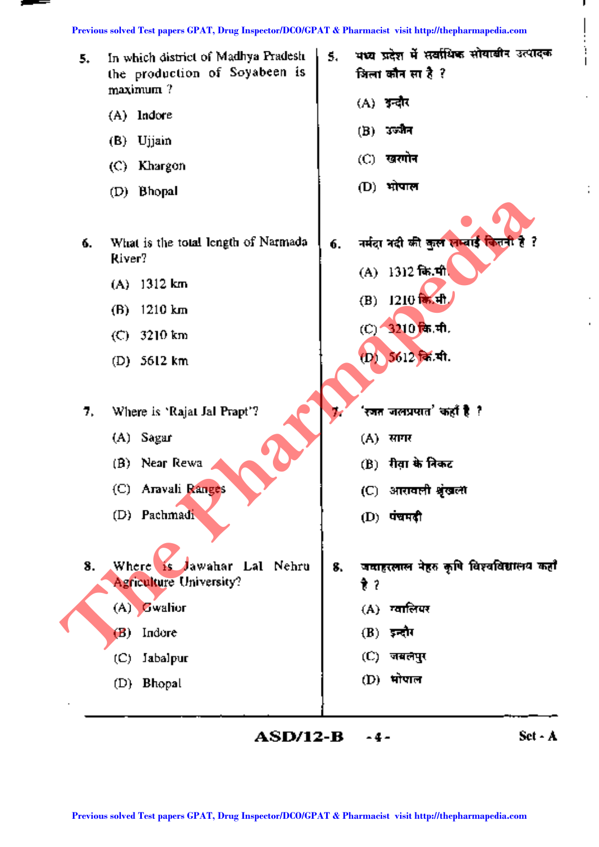=

| 5.       | In which district of Madhya Pradesh<br>the production of Soyabeen is<br>$maximum$ ?                                                                       | 5. | भध्य प्रदेश में सर्वाधिक सोयाबीन उत्पादक<br>जिला कौन सा है ?                                                                               |
|----------|-----------------------------------------------------------------------------------------------------------------------------------------------------------|----|--------------------------------------------------------------------------------------------------------------------------------------------|
|          | (A) Indore                                                                                                                                                |    | (A) अन्दौर                                                                                                                                 |
|          | (B) Ujjain                                                                                                                                                |    | (B) ওতমীন                                                                                                                                  |
|          | (C) Khargon                                                                                                                                               |    | (C) खरगोन                                                                                                                                  |
|          | (D) Bhopal                                                                                                                                                |    | (D) भोपाल                                                                                                                                  |
| ó.<br>7, | What is the total longth of Narmada<br>River?<br>$(A)$ 1312 km<br>1210 km<br>(B)<br>$(C)$ 3210 km<br>(D) $5612 \text{ km}$<br>Where is 'Rajat Jal Prapt'? | 6. | नर्मदा नदी की कुल लम्बाई जितनी है ?<br>(A) 1312 कि.मी.<br>(B) 1210 商油<br>(C) 3210 कि.मी.<br>(D) 5612 क्रि.मी.<br>'रजत जलप्रपात' कहाँ है .? |
|          | (A) Sagar                                                                                                                                                 |    | (A) सागर                                                                                                                                   |
|          | $(B)$ Near Rewa                                                                                                                                           |    | (B) रीवा के निकट                                                                                                                           |
|          | (C) Aravali Ranges                                                                                                                                        |    | (C) आरावली श्रृंखला                                                                                                                        |
|          | (D) Pachmadi                                                                                                                                              |    | $(D)$ पंचमदी                                                                                                                               |
| 8.       | Jawahar Lal Nehru<br>Where is<br><b>Agriculture University?</b>                                                                                           | 8. | जवाहरलाल नेहरु कृषि विश्वविद्यालय कहाँ<br>है ?                                                                                             |
|          | $(A)$ Gwalior                                                                                                                                             |    | (A) ग्वालियर                                                                                                                               |
|          | Indore<br>(B)                                                                                                                                             |    | $(B)$ इन्दौर                                                                                                                               |
|          | Jabalpur<br>(C)                                                                                                                                           |    | (C) जबलपुर                                                                                                                                 |
|          | (D) Bhopal                                                                                                                                                |    | (D) भोपाल                                                                                                                                  |
|          | ASD/12-B                                                                                                                                                  |    | Set - A<br>-4-                                                                                                                             |
|          | Previous solved Test papers GPAT, Drug Inspector/DCO/GPAT & Pharmacist visit http://thepharmapedia.com                                                    |    |                                                                                                                                            |

J.

 $\begin{bmatrix} 1 & 1 \\ 1 & 1 \\ 1 & 1 \end{bmatrix}$ 

÷,

×.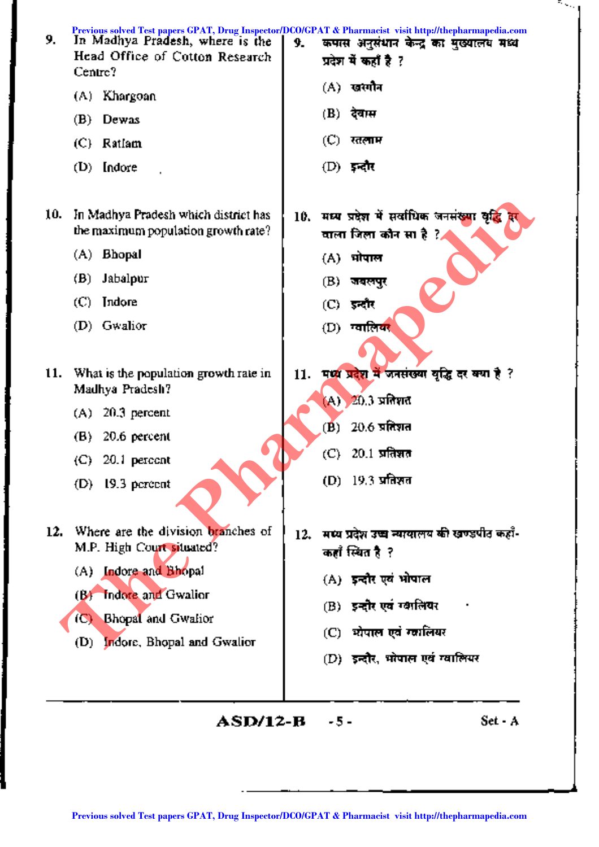| 9.  | In Madhya Pradesh, where is the<br>Head Office of Cotton Research<br>Centre? | Previous solved Test papers GPAT, Drug Inspector/DCO/GPAT & Pharmacist visit http://thepharmapedia.com<br>कपास अनुसंधान केन्द्र का मुख्यालय मध्य<br>9.<br>प्रदेश में कहाँ है ? |
|-----|------------------------------------------------------------------------------|--------------------------------------------------------------------------------------------------------------------------------------------------------------------------------|
|     | (A) Khargoan                                                                 | (A) खरगौन                                                                                                                                                                      |
|     | Dewas<br>(B)                                                                 | $(B)$ देवास                                                                                                                                                                    |
|     | (C) Ratlam                                                                   | $(C)$ रतलाम                                                                                                                                                                    |
|     | $(D)$ [ndore]                                                                | $(D)$ इन्दौर                                                                                                                                                                   |
| 10. | In Madhya Pradesh which district has<br>the maximum population growth rate?  | मध्य प्रदेश में सर्वाधिक जनसंख्या वृद्धि<br>10.<br>याला जिला कौन सा है ?⊿                                                                                                      |
|     | (A) Bhopal                                                                   | (A) भोपाल                                                                                                                                                                      |
|     | Jabalpur<br>(B)                                                              | (B)<br>जबलपुर                                                                                                                                                                  |
|     | (C).<br>Indore                                                               | (C) इन्दौर                                                                                                                                                                     |
|     | (D) Gwalior                                                                  | (D) ग्वालिक <mark>र</mark>                                                                                                                                                     |
| 11. | What is the population growth rate in<br>Madhya Pradesh?                     | मध्य प्रदेश में जनसंख्या वृद्धि दर क्या है ?<br>11.<br>(A) 20.3 प्रतिशत                                                                                                        |
|     | $20.3$ percent<br>(A)                                                        |                                                                                                                                                                                |
|     | 20.6 percent<br>(B)                                                          | $20.6$ प्रतिशत<br>$(\mathbf{B})$                                                                                                                                               |
|     | 20.1 percent<br>(C) -                                                        | $20.1$ प्रतिशत<br>(C).                                                                                                                                                         |
|     | 19.3 percent<br>(D).                                                         | (D) 19.3 प्रतिशत                                                                                                                                                               |
| 12. | Where are the division branches of<br>M.P. High Court situated?              | मध्य प्रदेश उच्च न्यायालय की खण्डपीत कहाँ-<br>12.<br>कहाँ स्थित है ?                                                                                                           |
|     | Indore and Bhopal<br>(A)                                                     | (A) इन्दौर एवं भोपाल                                                                                                                                                           |
|     | Indore and Gwalior<br>(B)                                                    | (B) इन्हौर एवं ग्वालियर                                                                                                                                                        |
|     | <b>Bhopat and Gwalior</b><br>(C)                                             | (C) धोपाल एवं ग्लालियर                                                                                                                                                         |
|     | Indore, Bhopal and Gwalior<br>(D)                                            | (D) इन्दौर, भोपाल एवं ग्वालियर                                                                                                                                                 |
|     |                                                                              |                                                                                                                                                                                |
|     | ASD/12-B                                                                     | Set - A<br>-5-                                                                                                                                                                 |
|     |                                                                              |                                                                                                                                                                                |
|     |                                                                              | Previous solved Test papers GPAT, Drug Inspector/DCO/GPAT & Pharmacist visit http://thepharmapedia.com                                                                         |

ैल्ल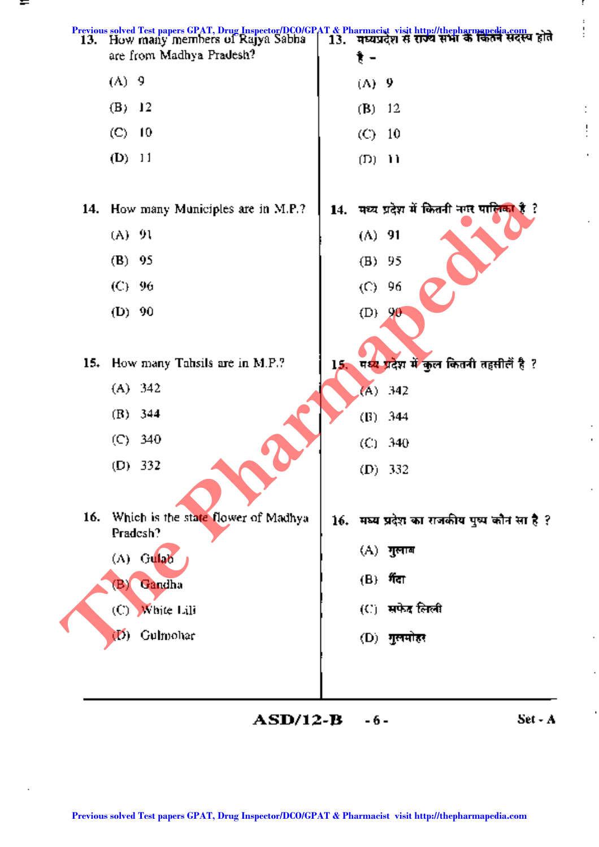

**ASD/12-B** -6- **Set** - A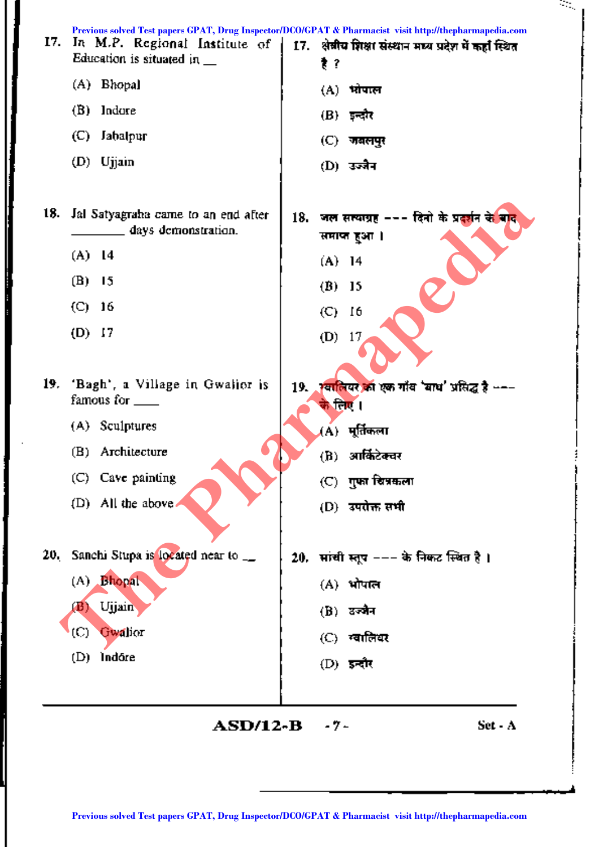| 17. | In M.P. Regional Institute of<br>Education is situated in $\_\_$ |     | Previous solved Test papers GPAT, Drug Inspector/DCO/GPAT & Pharmacist visit http://thepharmapedia.com<br>17. शेबीय शिक्षा संस्थान मध्य प्रदेश में कहाँ स्थित<br>₹? |
|-----|------------------------------------------------------------------|-----|---------------------------------------------------------------------------------------------------------------------------------------------------------------------|
|     | (A) Bhopal                                                       |     | (A) भोपाल                                                                                                                                                           |
|     | (B)<br>Indare                                                    |     | $(B)$ इन्दौर                                                                                                                                                        |
|     | $\left(\mathbb{C}\right)$<br>Jabalpur                            |     | (C) जबलपुर                                                                                                                                                          |
|     | (D) Ujjain                                                       |     | (D) उज्जैन                                                                                                                                                          |
| 18. | Jal Satyagraha came to an end after<br>days demonstration.       | 18. | जल सत्याग्रह --- दिनो के प्रदर्शन <del>के बाद</del><br>समाप्त हुआ ।                                                                                                 |
|     | $(A)$ 14                                                         |     | $(A)$ 14                                                                                                                                                            |
|     | (B)<br>15                                                        |     | (B)<br>- 15                                                                                                                                                         |
|     | $(C)$ 16                                                         |     | $\left( \mathsf{C}\right)$<br>16                                                                                                                                    |
|     | $(D)$ 17                                                         |     | (D)<br>17                                                                                                                                                           |
| 19. | 'Bagh', a Village in Gwalior is<br>famous for ____               | 19. | स्वालियर का एक गाँव 'बाध' प्रसिद्ध है ∽−−<br>के लिए ।                                                                                                               |
|     | (A) Sculptures                                                   |     | (A) मूर्तिकला                                                                                                                                                       |
|     | Architecture<br>(B)                                              |     | आर्किटेक्चर<br>(B)                                                                                                                                                  |
|     | (C) Cave painting                                                |     | $(C)$ ापुफा चित्रकला                                                                                                                                                |
|     | $(D)$ All the above                                              |     | (D) उपरोक्त सभी                                                                                                                                                     |
| 20. | Sanchi Stupa is located near to __                               | 20. | मांची स्तूप --- के निकट स्थित है ।                                                                                                                                  |
|     | (A) Bhopal                                                       |     | (A) भोपाल                                                                                                                                                           |
|     | Ujjain<br>(B).                                                   |     | $(B)$ उन्जैन                                                                                                                                                        |
|     | (C)<br>Gwalior                                                   |     | (C) स्वालियर                                                                                                                                                        |
|     | Indóre<br>(D)                                                    |     | $(D)$ इन्दौर                                                                                                                                                        |
|     |                                                                  |     |                                                                                                                                                                     |
|     | <b>ASD/12-B</b>                                                  |     | Set - A<br>-7-                                                                                                                                                      |
|     |                                                                  |     |                                                                                                                                                                     |
|     |                                                                  |     | Previous solved Test papers GPAT, Drug Inspector/DCO/GPAT & Pharmacist visit http://thepharmapedia.com                                                              |

 $\frac{1}{2}$ 

 $\mathcal{L}_{\mathcal{A}}$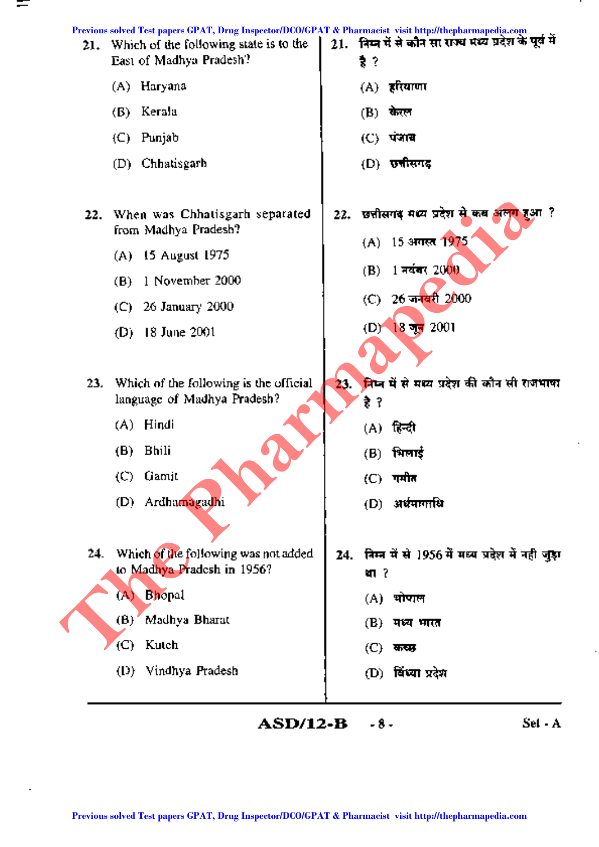

- -

**ASD/12-B** -8-<br>Set - A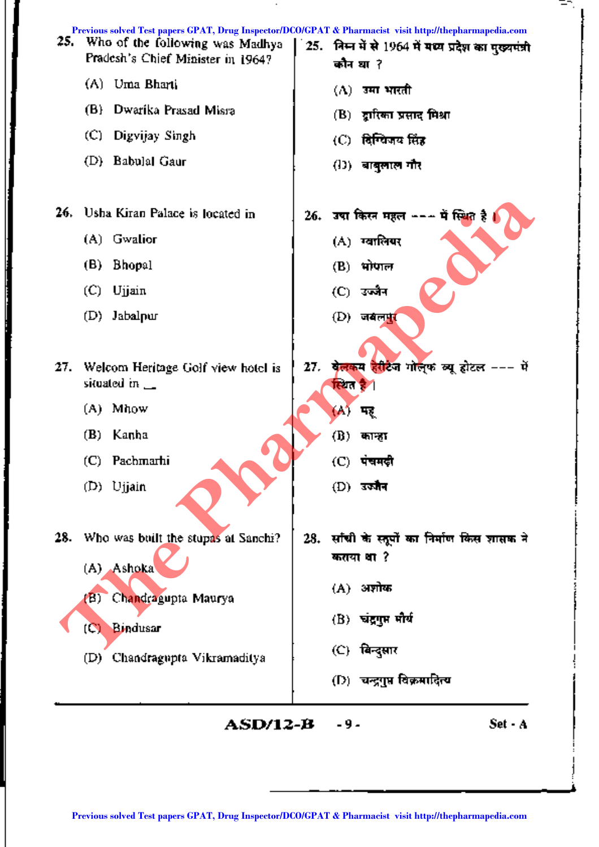| 25. | Previous solved Test papers GPAT, Drug Inspector/DCO/GPAT & Pharmacist visit http://thepharmapedia.com<br>Who of the following was Madhya<br>Pradesh's Chief Minister in 1964? | 25. निम्न में से 1964 में मध्य प्रदेश का मुख्यमंत्री<br>कौन धा? |
|-----|--------------------------------------------------------------------------------------------------------------------------------------------------------------------------------|-----------------------------------------------------------------|
|     | Uma Bharti<br>(A)                                                                                                                                                              | $(\Lambda)$ ामा भारती                                           |
|     | Dwarika Prasad Misra<br>(B)                                                                                                                                                    | (B)) द्रारिका प्रसाद मिश्रा                                     |
|     | (C).<br>Digvijay Singh                                                                                                                                                         | (C) दिग्विजय सिंह                                               |
|     | (D) Babulal Gaur                                                                                                                                                               | (!)) बाबुलाल गौर                                                |
| 26. | Usha Kiran Palace is located in                                                                                                                                                | 26. उषा किस्न महल ∽−∽ में स्थित है                              |
|     | Gwalior<br>(A)                                                                                                                                                                 | (A) ग्वालियर                                                    |
|     | (B)<br><b>Bhopal</b>                                                                                                                                                           | $(B)$ भोपाल                                                     |
|     | (C)<br>Ujjain                                                                                                                                                                  | (C) उज्जैन                                                      |
|     | Jabalpur<br>(D)                                                                                                                                                                | $(D)$ जबलपुर                                                    |
| 27. | Welcom Heritage Golf view hotel is<br>situated in $\mathbf{\_}$                                                                                                                | 27. बेलकम हेरीटेज गोल्फ व्यू होटल --- में<br>स्थित है           |
|     | Mhow<br>(A)                                                                                                                                                                    | (A)<br>मर                                                       |
|     | (B)<br>Kanha                                                                                                                                                                   | (B).<br>कान्हा                                                  |
|     | Pachmarhi<br>(C).                                                                                                                                                              | (C) -<br>पचमढ़ी                                                 |
|     | (D) Ujjain                                                                                                                                                                     | $(D)$ उज्जैन                                                    |
| 28. | Who was built the stupas at Sanchi?                                                                                                                                            | 28. साँची के स्तूपों का निर्माण किस शासक ने                     |
|     | (A) Ashoka                                                                                                                                                                     | कतया था ?                                                       |
|     | Chandragupta Maurya<br>(B)                                                                                                                                                     | (A) अशोक                                                        |
|     | Bindusar                                                                                                                                                                       | (B) चंद्रगुप्त मौर्य                                            |
|     | (C)                                                                                                                                                                            | (C) बिन्दुसार                                                   |
|     | Chandragupta Vikramaditya<br>(D)                                                                                                                                               |                                                                 |
|     |                                                                                                                                                                                | (D) चन्द्रगुप्त विक्रमादित्य                                    |
|     | ASD/12-B                                                                                                                                                                       | Set - A<br>-9-                                                  |
|     |                                                                                                                                                                                |                                                                 |
|     |                                                                                                                                                                                |                                                                 |
|     | Previous solved Test papers GPAT, Drug Inspector/DCO/GPAT & Pharmacist visit http://thepharmapedia.com                                                                         |                                                                 |

 $\mathbf{r}$ 

∓0.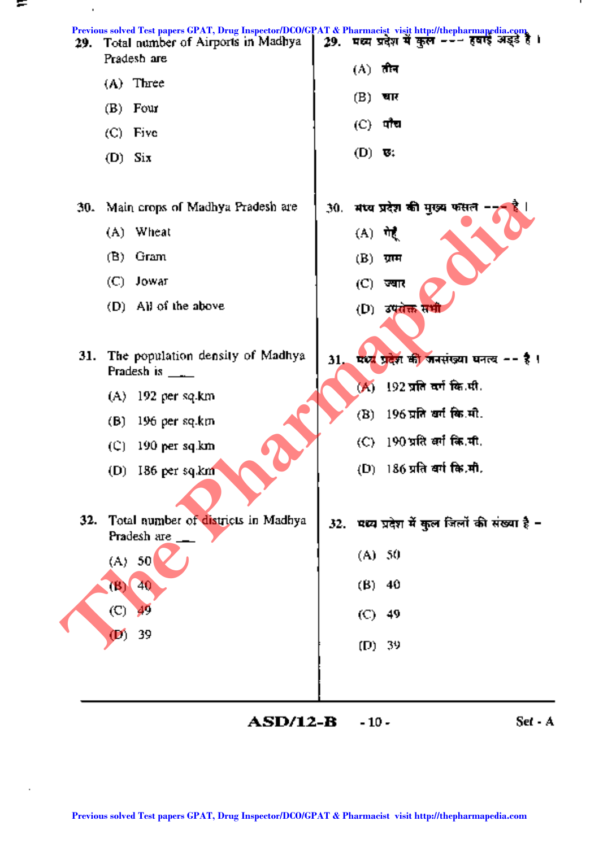

**ASD/12-B** -10 - Set - A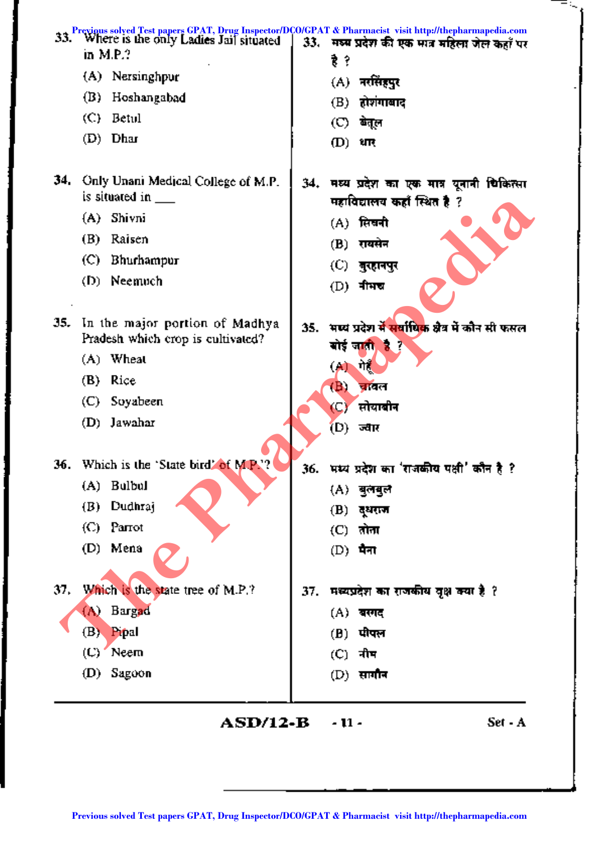| 33. | Previous solved Test papers GPAT, Drug Inspector/DCO/GPAT & Pharmacist visit http://thepharmapedia.com<br>Where is the only Ladies Jail situated<br>in M.P.? | 33. | मध्य प्रदेश की एक मात्र महिला जेल कहाँ पर                                  |
|-----|--------------------------------------------------------------------------------------------------------------------------------------------------------------|-----|----------------------------------------------------------------------------|
|     | (A) Nersinghpur                                                                                                                                              |     | 费?                                                                         |
|     | (B)<br>Hoshangabad                                                                                                                                           |     | (A) नरसिं <del>ह</del> पुर                                                 |
|     | (C)<br>Betul                                                                                                                                                 |     | होशंगाबाद<br>(B)                                                           |
|     | $(D)$ Dhar                                                                                                                                                   |     | $\circledcirc$<br>बेतूल                                                    |
|     |                                                                                                                                                              |     | (D)<br>धार्                                                                |
| 34. | Only Unani Medical College of M.P.<br>is situated in $\_\_$                                                                                                  |     | 34. मध्य प्रदेश का एक मात्र यूनानी चिकित्सा<br>महाविद्यालय कहाँ स्थित है ? |
|     | (A) Shivni                                                                                                                                                   |     | (A) सिखनी                                                                  |
|     | Raisen<br>(B)                                                                                                                                                |     | रायसेन<br>(B)                                                              |
|     | Bhurhampur<br>(C).                                                                                                                                           |     | (C).<br>बुरहानपुर                                                          |
|     | Neemuch<br>(D) -                                                                                                                                             |     | $(D)$ नीमच                                                                 |
| 35. | In the major portion of Madhya<br>Pradesh which crop is cultivated?                                                                                          | 35. | भष्य प्रदेश में सर्वाधिक क्षेत्र में कौन सी फसल<br>बोई जाती है ?           |
|     | (A) Wheat                                                                                                                                                    |     | गेर्<br>(A)                                                                |
|     | Rice<br>(B)                                                                                                                                                  |     | (В,<br>चावल                                                                |
|     | Soyabeen<br>(C) -                                                                                                                                            |     | सोयाबीन<br>YC)                                                             |
|     | Jawahar<br>(D)                                                                                                                                               |     | (D) ज्वार                                                                  |
|     |                                                                                                                                                              |     |                                                                            |
|     | 36. Which is the 'State bird' of M.P.'?                                                                                                                      | 36. | भम्य प्रदेश का 'राजकीय पक्षी' कौन है ?                                     |
|     | <b>Bulbul</b><br>(A)                                                                                                                                         |     | (A) बुलबुल                                                                 |
|     | Dudhraj<br>(B)                                                                                                                                               |     | (B)<br>द्धराज                                                              |
|     | Parrot<br>(C).                                                                                                                                               |     | $(C)$ तोना                                                                 |
|     | Mena<br>(D)                                                                                                                                                  |     | $(D)$ मैना                                                                 |
| 37. | Which is the state tree of M.P.?                                                                                                                             | 37. | मध्यप्रदेश का राजकीय वृक्ष क्या है ?                                       |
|     | <b>Bargad</b><br>(A)                                                                                                                                         |     | (A) बरगद                                                                   |
|     | (B)<br>Pipal                                                                                                                                                 |     | पीपल<br>(B)                                                                |
|     | Neem<br>(C)                                                                                                                                                  |     | $(C)$ नीम                                                                  |
|     | (D) Sagoon                                                                                                                                                   |     | $(D)$ सागौन                                                                |
|     | <b>ASD/12-B</b>                                                                                                                                              |     | Set - A<br>- 11 -                                                          |
|     |                                                                                                                                                              |     |                                                                            |
|     |                                                                                                                                                              |     |                                                                            |
|     | Previous solved Test papers GPAT, Drug Inspector/DCO/GPAT & Pharmacist visit http://thepharmapedia.com                                                       |     |                                                                            |

ł

j

ĺ

---..::.."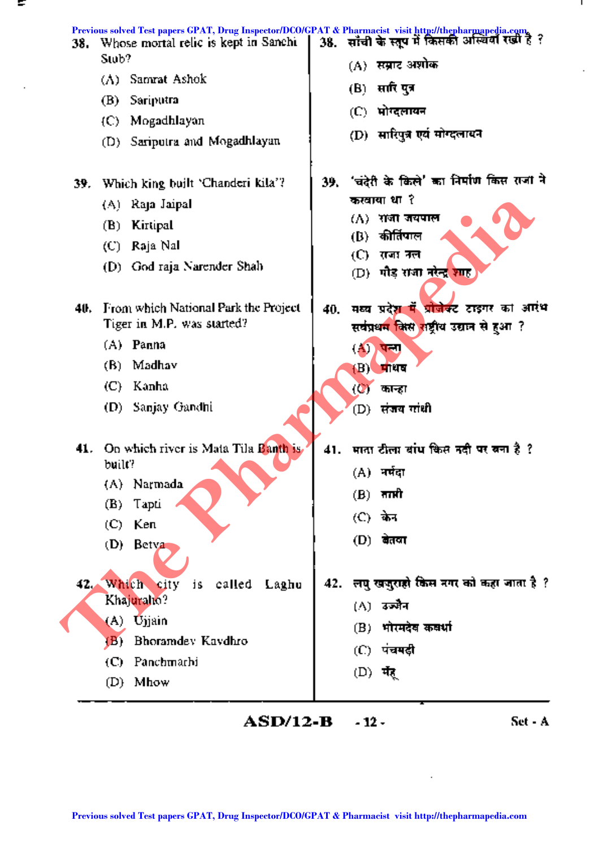| 38. | Whose mortal relic is kept in Sanchi<br>Stob? | Previous solved Test papers GPAT, Drug Inspector/DCO/GPAT & Pharmacist visit http://thepharmapedia.com.<br>38. साँची के स्तूप में किसकी अस्थियों रखी है ? |
|-----|-----------------------------------------------|-----------------------------------------------------------------------------------------------------------------------------------------------------------|
|     | Samrat Ashok<br>(A)                           | (A) सम्राट अशोक                                                                                                                                           |
|     | Sariputra<br>(B)                              | (B) सारि पुत्र                                                                                                                                            |
|     | (C) Mogadhlayan                               | (C) भोग्दलायन                                                                                                                                             |
|     | (D) Sariputra and Mogadhlayan                 | (D) सारिपुत्र एवं मोग्दलावन                                                                                                                               |
| 39. | Which king built 'Chanderi kila'?             | 'चंदेरी के किले' का निर्माण किस राजा ने<br>39.                                                                                                            |
|     | (A) Raja Jaipal                               | करवाया था ?                                                                                                                                               |
|     | Kirtipal<br>(B)                               | $(\Lambda)$ राजा जयपाल                                                                                                                                    |
|     | (C)   Raja Nall                               | कीर्तिपाल<br>(B) -                                                                                                                                        |
|     | (D) God raja Narender Shah                    | (C) =<br>राजा तल<br>(D)  गौड़ राजा नरेन्द्र शाह                                                                                                           |
| 40. | From which National Park the Project          | मध्य प्रदे <mark>श में प्रोजेक्ट टाइगर</mark> का आरंभ<br>40.                                                                                              |
|     | Tiger in M.P. was started?                    | सर्वप्रथम किस राष्ट्रीय उद्यान से हुआ ?                                                                                                                   |
|     | (A) Panna                                     | $\left( \mathbf{A} \right)$<br>पत्ना                                                                                                                      |
|     | (B) Madhav                                    | $(B)$ प्राधव                                                                                                                                              |
|     | (C) Kanha                                     | (♡) कान्हा                                                                                                                                                |
|     | Sanjay Gandhi<br>(D) -                        | (D) संजय गांधी                                                                                                                                            |
|     |                                               |                                                                                                                                                           |
| 41. | On which river is Mata Tila Banth is          | 41. माता टीला बांध किस नदी पर बना है ?                                                                                                                    |
|     | built?                                        | (A) नर्मदा                                                                                                                                                |
|     | (A) Narmada<br>(B)<br>Tapti                   | $(B)$ नाप्ती                                                                                                                                              |
|     | Ken<br>(C).                                   | (C) केन                                                                                                                                                   |
|     | (D)<br>Betya                                  | (D) बेतवा                                                                                                                                                 |
|     |                                               |                                                                                                                                                           |
|     | 42. Which city<br>called<br>j S<br>Laghu      | लघु खजुराहो किस नगर को कहा जाता है ?<br>42.                                                                                                               |
|     | Khajuraho?                                    | (A) उज्जैन                                                                                                                                                |
|     | (A) Ujjain                                    | (B) भोरमदेव कवर्धा                                                                                                                                        |
|     | Bhoramdey Kaydhro<br>(B)                      | (C) पंचमदी                                                                                                                                                |
|     | Panchmarhi<br>(C).                            | (D) मेर्                                                                                                                                                  |
|     | (D) Mhow                                      |                                                                                                                                                           |
|     | <b>ASD/12-B</b>                               | Set - A<br>- 12 -                                                                                                                                         |
|     |                                               |                                                                                                                                                           |
|     |                                               |                                                                                                                                                           |
|     |                                               |                                                                                                                                                           |
|     |                                               | Previous solved Test papers GPAT, Drug Inspector/DCO/GPAT & Pharmacist visit http://thepharmapedia.com                                                    |

Τ.

ł,

 $\cdot$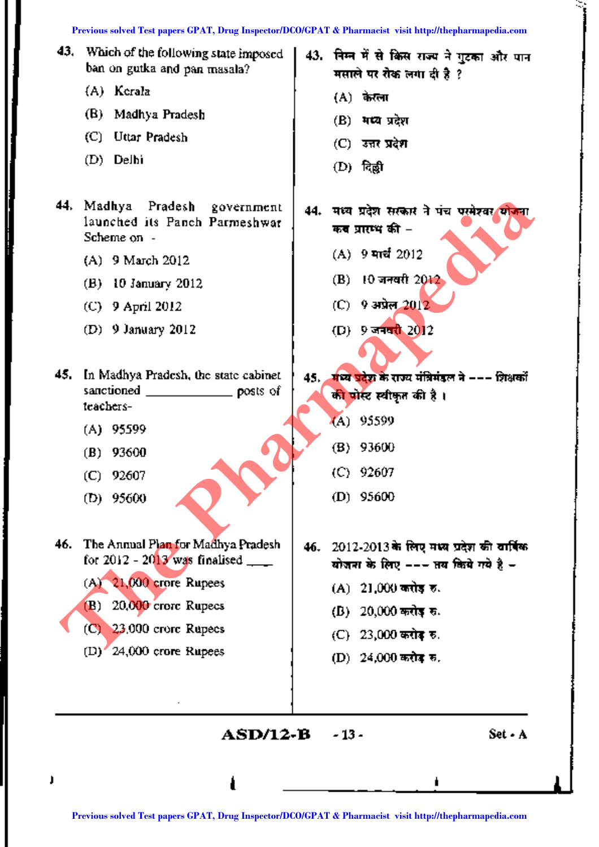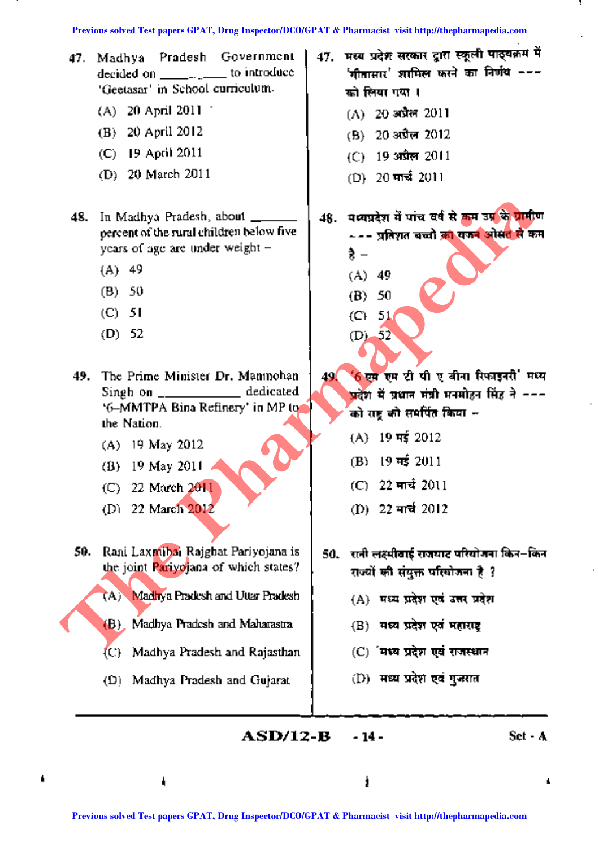- 'Geetasar' in School curriculum.  $\left\lfloor \frac{1}{\pi} \right\rfloor$   $\frac{1}{\pi}$   $\frac{1}{\pi}$  I
	- (A) 20 April 2011  $(A)$  20~  $(A)$  20~  $\frac{1}{20}$  and  $\frac{1}{20}$  and  $\frac{1}{20}$
	-
	- (C) 19 April 2011  $($  (C) 19  $3\pi$  $\pi$  2011
	- (D) 20 March 2011 (D) 20 मार्च 2011
- years of age are under weight  $\begin{pmatrix} 1 & 4 & 4 \end{pmatrix}$ 
	- (A) 49 (A) 49
	- (B) 50 (B) 50
	-
	- (D) 52 (D) 52
- 49. The Prime Minister Dr. Manmohan 49. '6 एस एम टी पी ए बीना रिफाइनरी' मध्य Singh on \_\_\_\_\_\_\_\_\_\_\_\_\_ dedicated '6-MMTPA Bina Refinery' in MP to quality and the substitution of the call of the Nation. **Facebook** CP and the main of the state paper CPAT. Due Inspect and CO/GPAT & Pharmacist visit http://theoretical CPAT, Drug Inspect papers CPAT, Drug Inspect and CPAT and CPAT and CPAT and CPAT and CPAT and CPAT and CPAT
	-
	-
	-
	- (D) 22 March 2012 (D) 22 मार्च 2012
	- 50. Rani Laxmibai Rajghat Pariyojana is | 50. राजी लक्ष्मीवाई राजघाट परियोजना किन-किन the joint Pariyojana of which states?  $\downarrow$  and  $\uparrow$  and  $\uparrow$   $\uparrow$   $\uparrow$   $\uparrow$   $\uparrow$   $\uparrow$   $\uparrow$   $\uparrow$   $\uparrow$   $\uparrow$   $\uparrow$   $\uparrow$   $\uparrow$   $\uparrow$   $\uparrow$   $\uparrow$   $\uparrow$   $\uparrow$   $\uparrow$   $\uparrow$   $\uparrow$   $\uparrow$   $\uparrow$   $\uparrow$   $\uparrow$   $\uparrow$   $\uparrow$ 
		- (A) Madhya Pradesh and Uttar Pradesh (A) सध्य प्रदेश एवं उत्तर प्रदेश
		- (B) Madhya Pradesh and Maharastra  $\parallel$  (B) **wea year values of mercure**
		- $(C)$  Madhya Pradesh and Rajasthan  $(C)$  'यथ्य प्रदेश एवं राजस्थान
		- (D) Madhya Pradesh and Gujarat (D) सध्य प्रदेश एवं पुजरात
- 47. Madhya Pradesh Government | 47. मध्य प्रदेश सरकार द्वारा स्कूली पाठ्यक्रम में decided on to introduce '.Rdl~I'(' :(IIIilIt"I ~ em ~ ---
	-
	- (B) 20 April 2012 (B) 20  $3\sqrt{3}\pi$  2012
		-
		-
- 48. In Madhya Pradesh, about  $\frac{1}{\sqrt{1 + \left(\frac{1}{\sqrt{1 + \left(\frac{1}{\sqrt{1 + \left(\frac{1}{\sqrt{1 + \left(\frac{1}{\sqrt{1 + \left(\frac{1}{\sqrt{1 + \left(\frac{1}{\sqrt{1 + \left(\frac{1}{\sqrt{1 + \left(\frac{1}{\sqrt{1 + \left(\frac{1}{\sqrt{1 + \left(\frac{1}{\sqrt{1 + \left(\frac{1}{\sqrt{1 + \left(\frac{1}{\sqrt{1 + \left(\frac{1}{\sqrt{1 + \left(\frac{1}{\sqrt{1 + \left(\frac{1}{\sqrt{1 + \$ --- प्रतिशत बच्चो को यकन ओसत से कम
	-
	-
	- (C) 51 (C) 51
		- प्रदेश में प्रधान मंत्री प्रतमोहन सिंह ने ---
	- (A) 19 May 2012 (A) 19 H  $\frac{19}{19}$   $\frac{19}{19}$
	- (B) 19 May 2011 (B) 19  $\frac{19}{15}$  2011
	- (C) 22 March 2011 (C) 22 मार्च 2011
		-
		- -
			-
			-
			-

 $\mathbf{ASD}/12 - \mathbf{B}$   $\mathbf{-14}$   $\mathbf{-5}$   $\mathbf{Set}$   $\mathbf{-A}$ 

4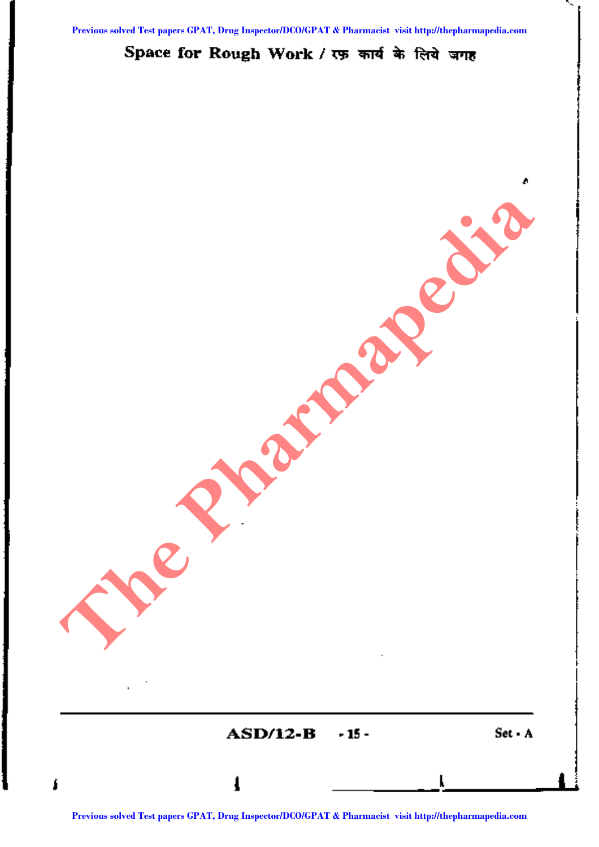## Space for Rough Work / रफ़ कार्य के लिये जगह

**ASD/12-B** -15 - Set - A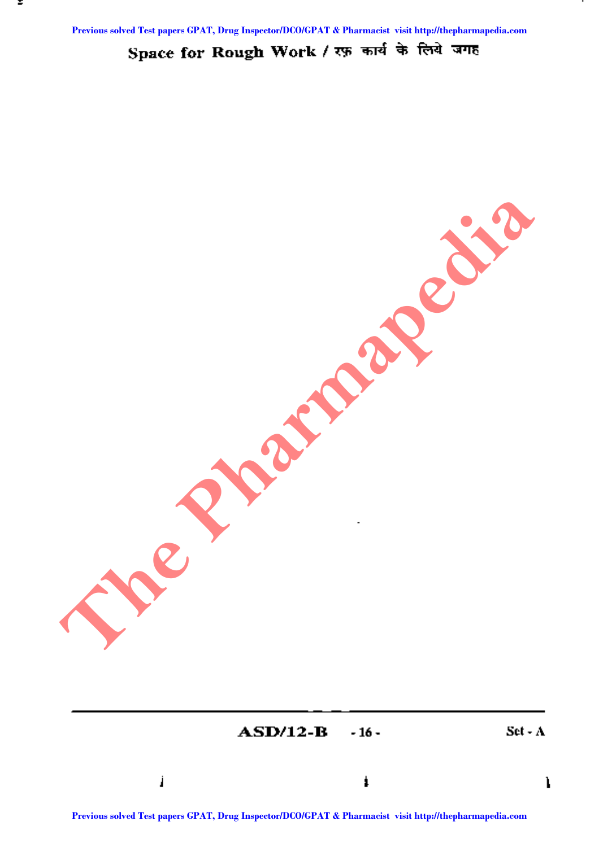Space for Rough Work / रफ़ कार्य के लिये जगह

 $\bf{ASD/12-B}$  -16 - Set - A  $\mathbf l$ **Previous Solved Test papers GPAT, Drug Inspector CO/GPAT & Pharmacist CO/GPAT & Pharmacist Section 2006 PM CPAT & Pharmacist visit http://the Pharmacist Section 2006 PM CPAT & Pharmacist Section 2006 PM CPAT & Pharmacist**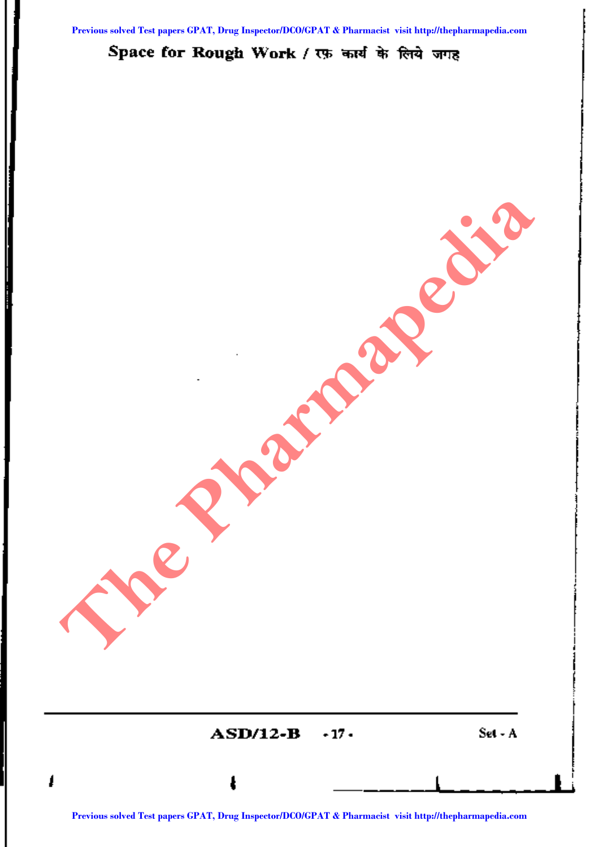Space for Rough Work / एफ़ कार्य के लिये जगह

 $\bf{ASD/12-B}$  -17 - Set - A <sup>I</sup> <sup>a</sup> **<sup>L</sup> I Predict Present Papers Catalogue** 

I<br>|<br>|} t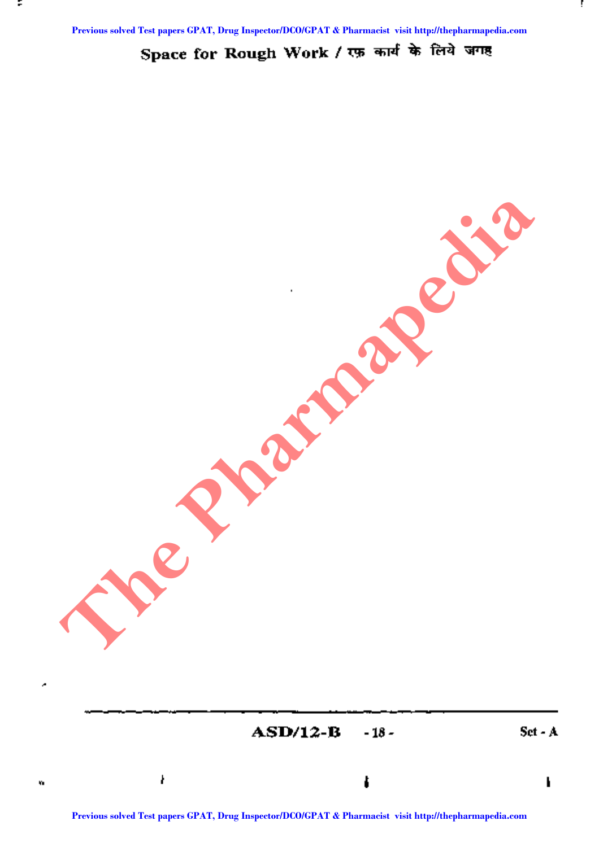::

Space for Rough Work / एक कार्य के लिये जगह

 $\bf{ASD/12-B}$  -18 - Set - A  $\mathcal{L} = \mathcal{L} \left( \mathcal{L} \right)$ **Prediate Strategy Prediate** 

Ŷ.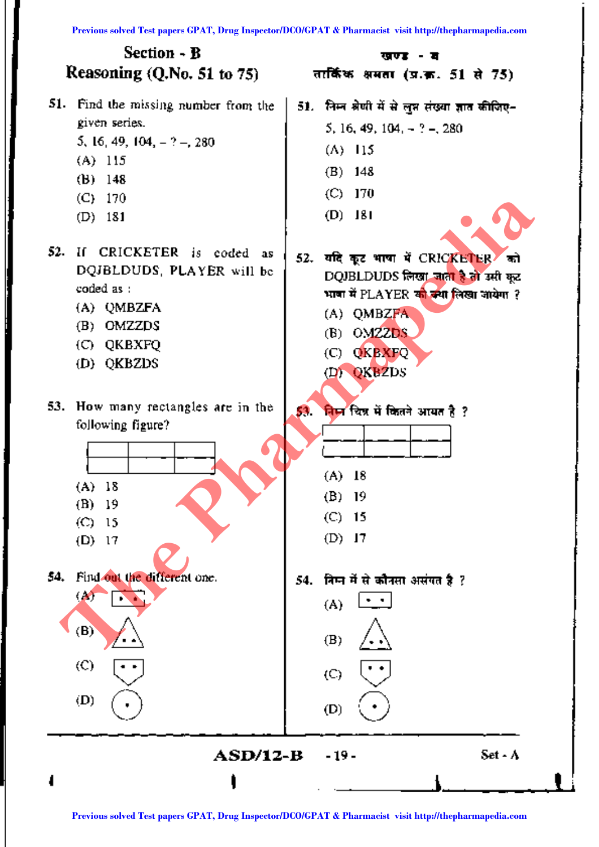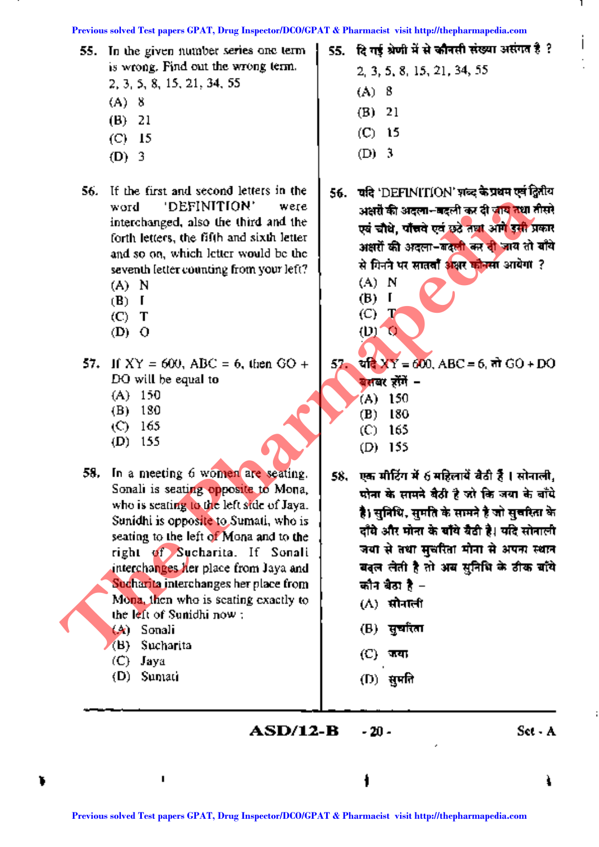55. In the given number series one term is wrong. Find out thewrong term.

2,3,5,8,15,21,34,55

- (A) 8
- (B) 21
- (C) 15
- (D) 3
- 56. If the first and second letters in the word 'DEFINITION' were interchanged, also the third and the forth letters, the fifth and sixth letter and so on, which letter would be the seventh letter counting from your left?
	- (A) N,
	- (B) I
	- $(C)$  T
	- $(D)$   $Q$
- 57. If  $XY = 600$ , ABC = 6, then GO + DO will be equal to
	- (A) 150
	- (B) 180
	- (C) 165
	- (D) 155
- 58. In a meeting 6 women are seating. Sonali is seating opposite to Mona, who is seating to the left side of Jaya. Sunidhi is opposite to Sumati, who is seating to the left of Mona and to the right of Sucharita. If Sonali interchanges her place from Jaya and Sucharita interchanges her place from Mona, then who is seating exactly to the left of Sunidhi now : **Previous solution Previous solution Previous solution Previous solution Previous solution Previous solution Previous solution Previous solution Previous solution Previous Solution Previous Solution CP** 
	- (A) Sonali
	- (B) Sucharita
	- (C) Jaya
	- (D) Sumati
- 55. दि गई श्रेणी में से कौनसी संख्या असंगत है ?
	- 2,3,5,8,15,21,34,55 (A) 8 (B) 21
	- (C) 15
	- (D) 3
- 56. ~ यदि 'DEFINITION' शब्द के प्रथम एवं द्वितीय अक्षरों की अदला--बदली कर दी जाय तथा तीसरे एवं चौधे, पाँचवे एवं छुट्ठे तथा आगे इसी प्रकार अक्षरों की अदला-बदली कर दी जाय तो बाँये से गिनने पर सातवाँ अक्षर कोनसा आयेगा ?
	- (A) N
	- (B) I  $(C)$  T
	- $(D)$   $Q$

57.  $\frac{1}{2}$  XY = 600, ABC = 6,  $\frac{1}{2}$  GO + DO

- <u>बेसबर होंगें</u> –
- (A) 150
- (B) 180
- (C) 165
- (D) 155
- 58. एक मीटिंग में 6 महिलायें बैठी हैं । सोनाली, मोना के सामने बैठी है जो कि जया के बाँधे **है। सनिधि, समति के सामने है जो सुचरिता के** दाँघे और मोना के बाँये बैठी है। यदि सोनाली <u>जया से तथा सुचरिता मोना से अपना स्थान</u> बदल लेती है तो अब सुनिधि के ठीक बाँये कौन बैठा है $-$ 
	- $(\Lambda)$  सोनाली
	- (B) सुर्चारता
	- (C) ~ .
	- $(D)$  सुमति

t

**ASD/12-B -** 20 -

ì.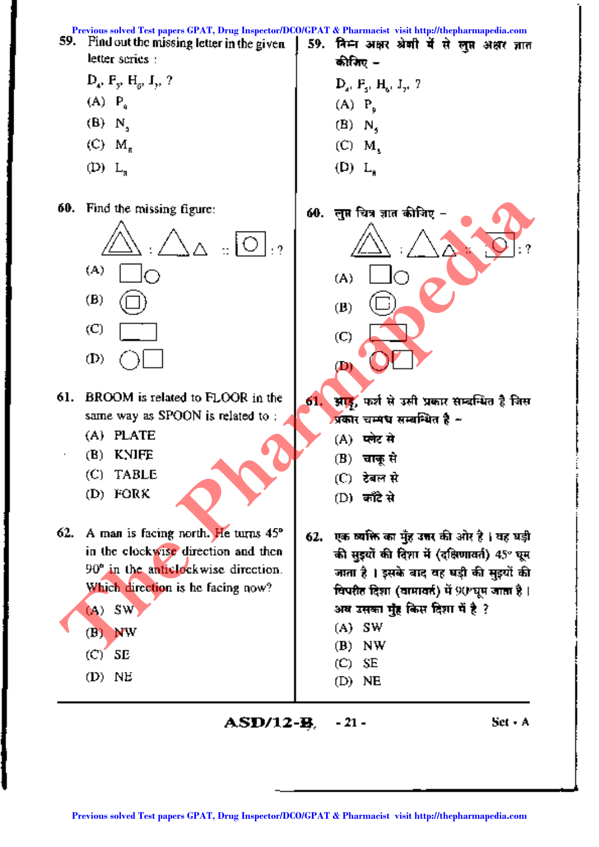

**ASD/12-B.** - 21 - Set - A

I i<br>!

f ,

I

I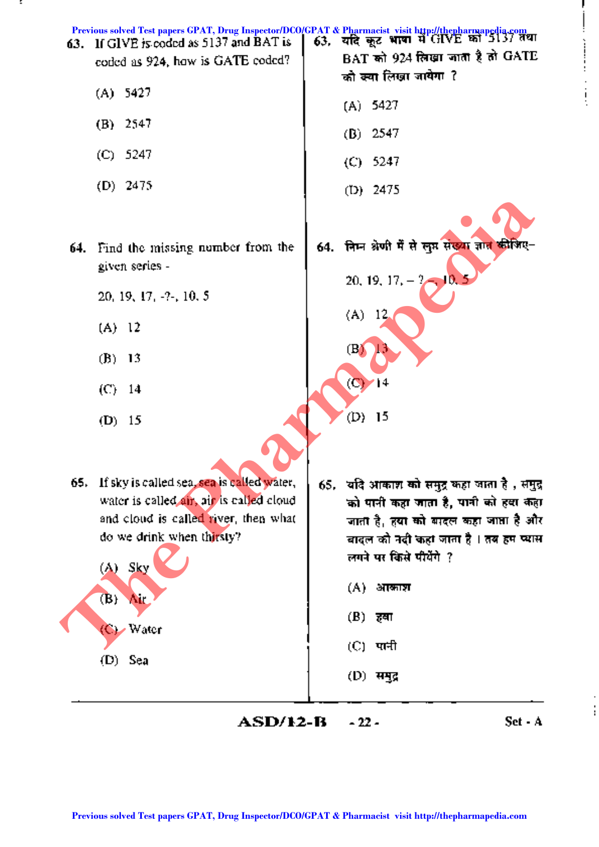

;::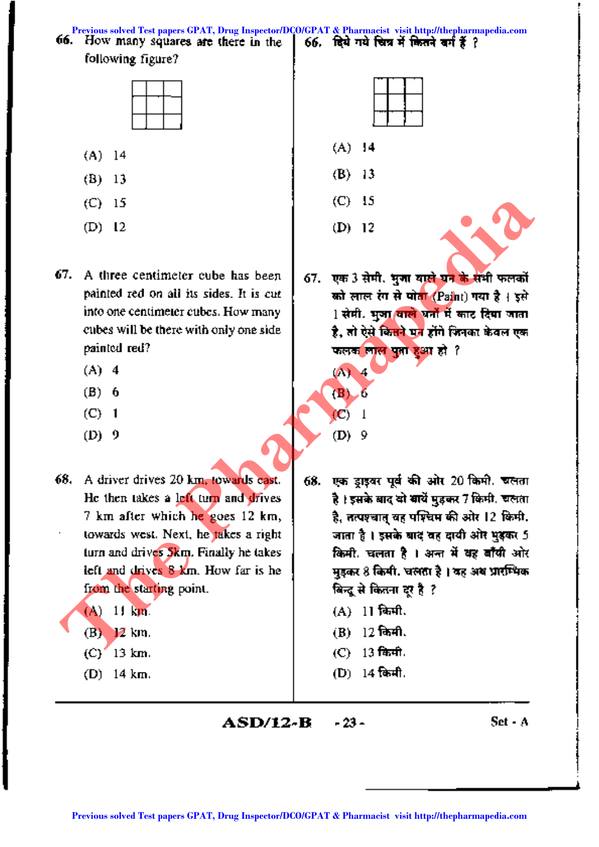66. How many squares are there in the **Previous solved Test papers GPAT, Drug Inspector/DCO/GPAT & Pharmacist visit http://thepharmapedia.com**

following figure?



- (A) 14
- (B) 13
- (C) 15
- (D) 12
- 67. A three centimeter cube has been 67. एक 3 सेमी. भुजा बाले घन के सभी फलकों painted red on all its sides. It is cut painted red? ~~~§:3fT~ ?
	- (A) 4 (A) 4
	-
	-
	- $(D) 9$  (D) 9
- from the starting point.  $\left| \begin{array}{c} \text{from} \\ \text{fcm} \end{array} \right|$  and  $\left| \begin{array}{c} \text{from} \\ \text{fcm} \end{array} \right|$   $\left| \begin{array}{c} \text{from} \\ \text{fcm} \end{array} \right|$ **Previous solvential CP** is<br> **Previous solvential and the sidence Test papers of the sident papers of the sident papers of the sident papers of the sident papers of the sident window of the papers of the siden of the Phar** 
	-
	-
	-
	-
- 
- (A) 14
- (B) 13
- (C) 15
- (D) 12
- को लाल रंग से पोत<mark>ा (Pai</mark>nt) गया है। इसे into one centimeter cubes. How many  $1 \cdot 1$  सेपी. भुआ बाले धर्नों में काट दिया जाता cubes will be there with only one side the set, at bei किसने पन होंगे फिनका केवल एक
- (B) 6 (B) 6 (C) 1 (C) 1
	-
- 68. A driver drives 20 km, towards east.  $\vert$  68. एक डाइवर पूर्व की ओर 20 किमी. चलता He then takes a left turn and drives  $\parallel$  , and it was and at and use 7 feed. Even 7 km after which he goes 12 km, t flN:ti:lIt( ~ qf?~qcirr am 12 ~. जाता है। इसके बाद वह दायी ओर भुइकर 5 turn and drives  $5km$ . Finally he takes  $\frac{1}{100}$  and  $\frac{1}{100}$  and  $\frac{1}{100}$  and  $\frac{1}{100}$  and  $\frac{1}{100}$  and  $\frac{1}{100}$  and  $\frac{1}{100}$  and  $\frac{1}{100}$  and  $\frac{1}{100}$  and  $\frac{1}{100}$  and  $\frac{1}{100}$  and  $\frac{1}{$ left and drives  $8$  km. How far is he  $\pm$  8 feet, we later that  $\frac{3}{8}$  are set in the  $\frac{1}{100}$ 
	- $(A)$  11 km. (A) 11 fanft.
	- $(B)$  12 km. (B) 12 family
	- $(C)$  13 km, (C) 13 fabril.
	- (D)  $14 \text{ km}$ , (D)  $14 \text{ km}$ ,

**ASD/12-B -**23 - Set· A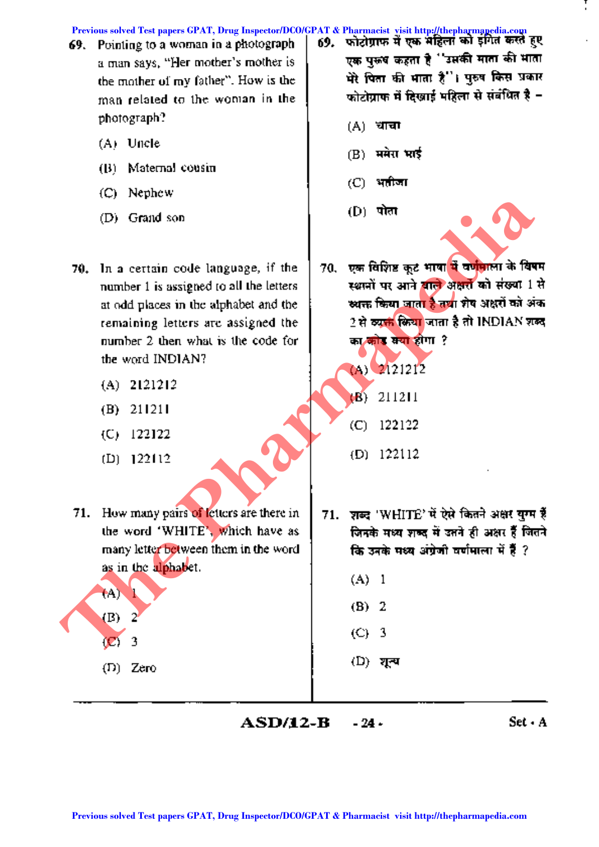Previous solved Test papers GPAT, Drug Inspector/DCO/GPAT & Pharmacist visit http://thepharmapedia.com<br>59. Printling to a woman in a photograph | 6**9. फोटोग्राफ में एक महिला को इंगित करते** हु।

- **69.** Pointing to a woman in a photograph a man says, "Her mother's mother is the mother of my father". How is the man related to the woman in the photograph?
	- (A) Uncle
	- (B) Maternal cousin
	- (C) Nephew
	- (D) Grand son
- **Previous solved Test papers GPAT, Drug Inspector/DCO/GPAT & Pharmacist visit http://thepharmapedia.com**<br>
Previous solved Test papers of the theoretical strength and the strength and the pharmaphilic terms and previous so
	-
	-
	-
	-

**71.** How many pairs of letters are there in the word 'WHITE', which have as many letter between them in the word as in the alphabet.

 $(B)$ (C) 3

(A) I

(D) Zero

- एक पुरुष कहता है ''उसकी माता की भाता मेरे पिता की माता है"। पुरुष किस प्रकार फोटोग्राफ में दिखाई भहिला से संबंधित है -
	- $(A)$  धाचा
	- $(B)$  मयेरा भाई
	- $(C)$  भागिजा
	- $(D)$  पोता
- 

- 
- 
- 
- 71. शब्द 'WHITE' में ऐसे कितने अक्षर युग्म हैं जिनके मध्य शब्द में उतने ही अक्षर हैं जितने कि उनके मध्य अंग्रेजी वर्णमाला में हैं ?
	- (A) 1
	- (B) 2
	- (C) 3
	- $(D)$  शून्य

 $\mathbf{ASD}/\mathbf{12}-\mathbf{B}$   $\mathbf{-24}$   $\mathbf{Set}$   $\mathbf{A}$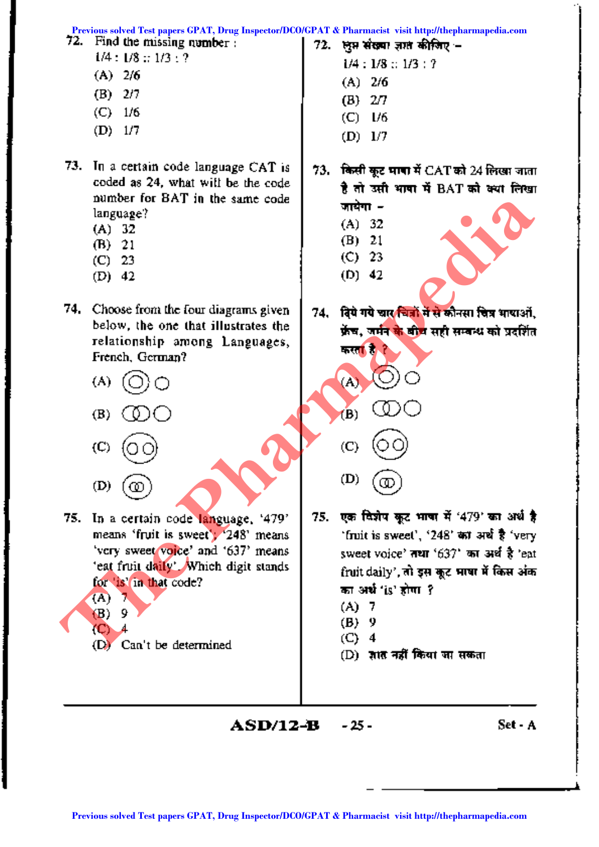

**ASD/12-B** - 25 - Set - A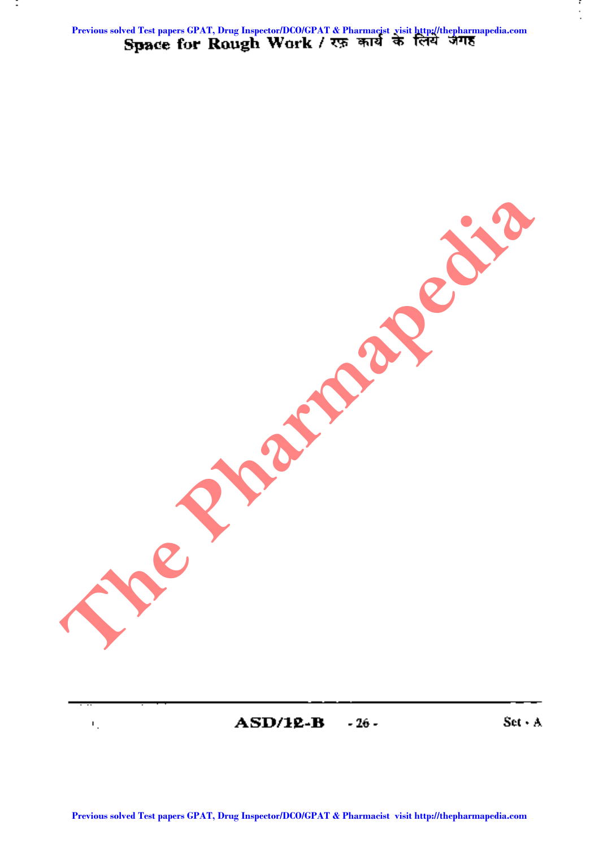Previous solved Test papers GPAT, Drug Inspector/DCO/GPAT & Pharmacist visit http://thepharmapedia.com<br>**Space for Rough Work / रफ़ कार्य के लिये जगह** 

÷

**PREVIOUS SOLVED TRANSPERS COMPANY** 

 $\bf{ASD/12-B}$   $-26$  - Set  $\cdot$  A

F,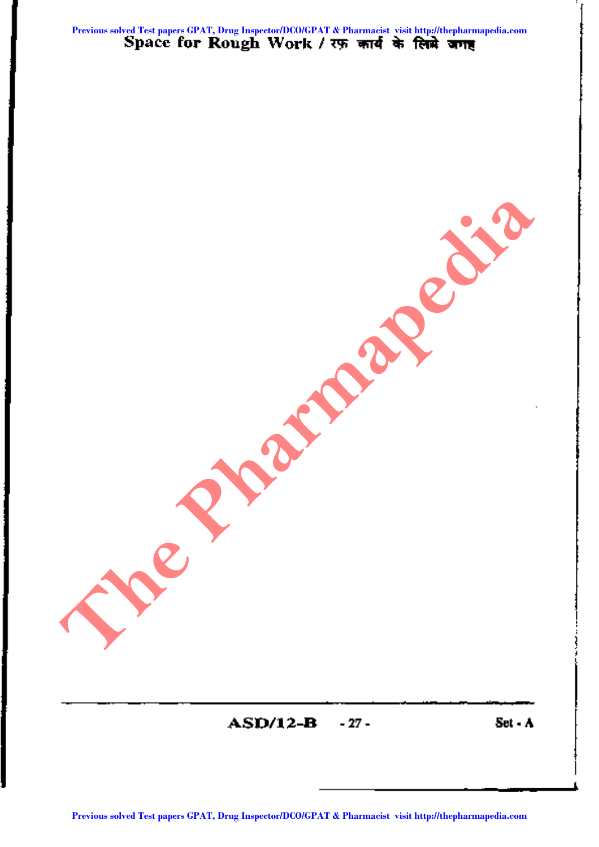Previous solved Test papers GPAT, Drug Inspector/DCO/GPAT & Pharmacist visit http://thepharmapedia.com<br>Space for Rough Work / रफ़ फार्य के लिम्हे जगह

 $ASD/12-B$  -27 - Set  $\cdot A$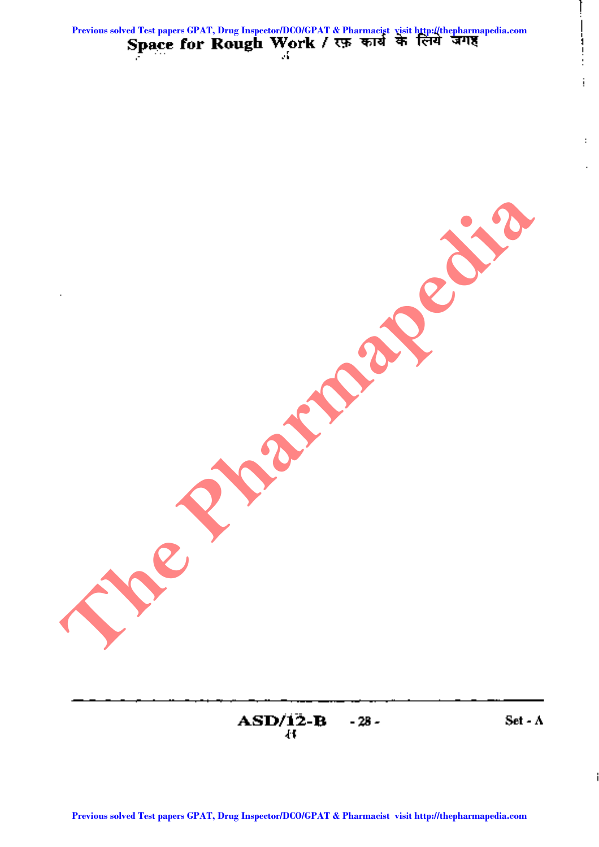**ASDii2--B -28 -** 8: **Previous Solved Test papers Com Pharmacist June 1990** 

**Set ..A**

ļ

į

 $\ddot{\phantom{a}}$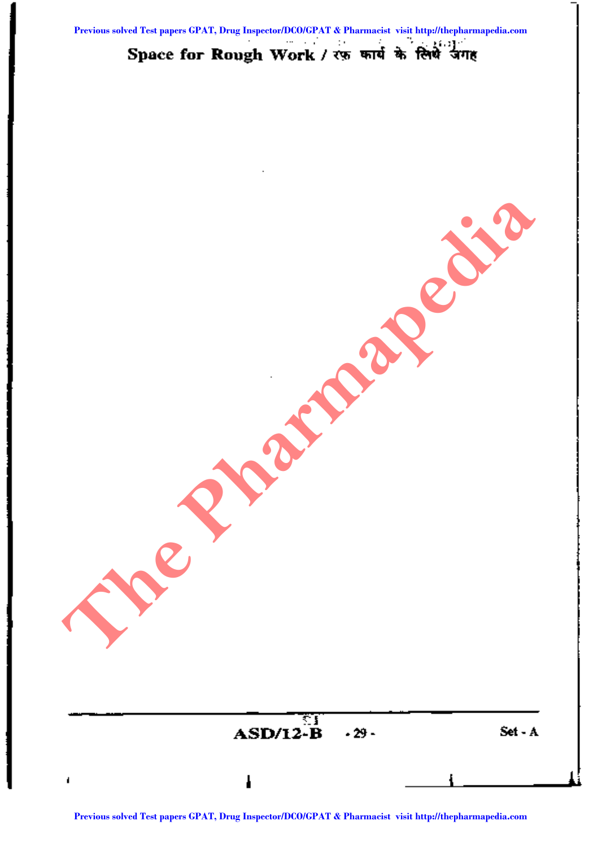#### $16.23$ Space for Rough Work / रफ़ कार्य के लिये जगह

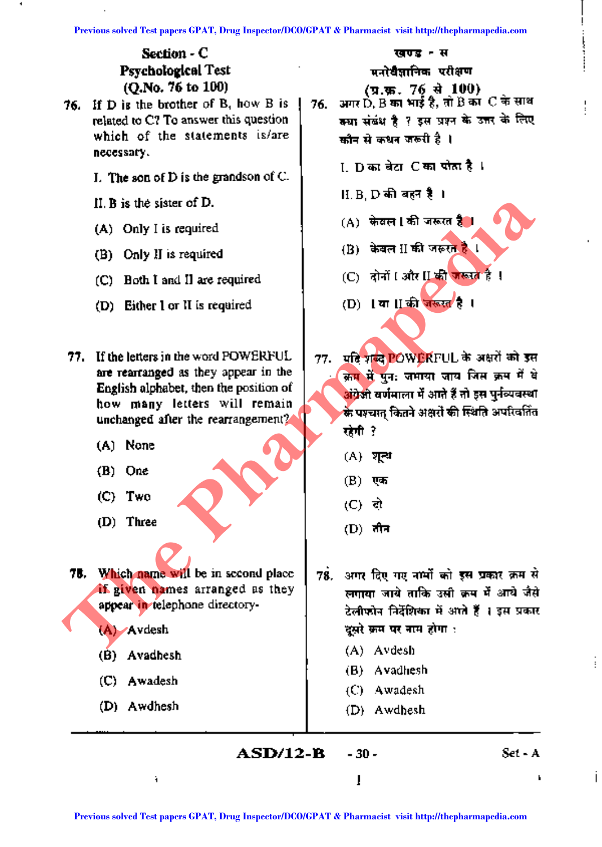### Section· C Psychological Test (Q.No. 76 to 100)

- 76. If D is the brother of B, how B is related to C? To answer this question which of the statements is/are necessary.
	- I. The son of  $D$  is the grandson of  $C$ .
	- Il, B is the' sister of D.
	- (A) Only I is required
	- (B) Only II is required
	- (C) Both I and II are required
	- (D) Either I or II is required
- '77. If the letters in the word POWERFUL are rearranged as they appear in the English alphabet, then the position of how many letters will remain unchanged after the rearrangement?
	- (A) None
	- (D) One
	- (C) Two
	- (D) Three

78. Which name will be in second place if given names arranged as they appear in telephone directory-

(A) Avdesh

- (B) Avadhesh
- (C) Awadesh
- (D) Awdhesh

खण्ड - स

मनो**यै**ज्ञानिक परीक्षण

- (प्र.फ़. 76 से 100) 76. अगर D, B का भाई है, तो B का C के साथ क्या संखंध है ? इस प्रश्न के उत्तर के लिए कौन से कथन जरूरी है ।
	- i Dara`alzı Caraı पोताहै।
	- $\text{H.B. D}$  की बहन है ।
	- (A) केवल | की जरूरत है<mark>ं।</mark>
	- $(B)$  केवल II की जरूरत है।
	- (C) दोनों I और II की जरूरत है !
	- (D) 1 या । को जरूरत<sup>1</sup>है।

77. यदि गढ़दे POWERFUL के अक्षरों को इस क्रम में पुन: जमाया जाय जिस क्रम में वे अंग्रेजी वर्णमाला में आने हैं तो इस पुर्नव्यवस्था के पश्चात कितने अक्षरों की स्थिति अपरिवर्तित रहेगी ? **Previous solved Test papers GPAT, Drug Inspector/DCO/GPAT & Pharmacist visit http://thepharmapedia.com**<br> **Previous solved Test papers in the Pharmacist CO** and the pression of<br> **Previous solved POWENTUL Press CPAT ART** 

- $(A)$  शून्थ
- $(B)$  एक
- (C) q)
- $(D)$ ातीन

78. अगर दिए गए नामों को इस प्रकार क्रम से लगाया जाये ताकि उसी कम में आये जैसे टेलीफोन निर्देशिका में आते हैं । इस प्रकार दूसरे क्रम पर नाम होगा :

- (A) Avdesh
- (B) Avadhesh
- (C) Awadesh
- (D) Awdhesh

 $\bf{ASD}/12-R$  - 30 - Set - A

Ť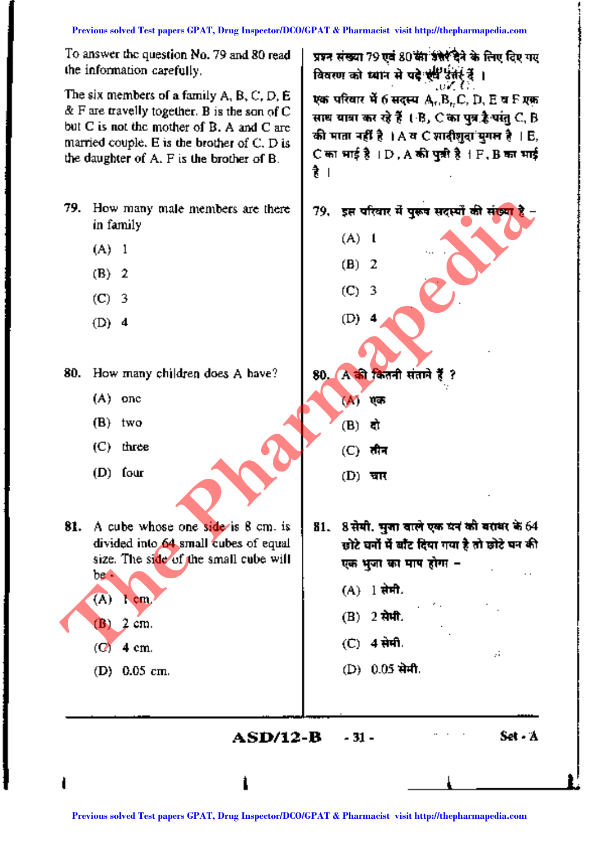tl

To answer the question No. 79 and 80 read the information carefully.

The six members of a family  $A, B, C, D, E$  $\&$  F are travelly together. B is the son of C but  $C$  is not the mother of  $B$ . A and  $C$  are married couple. E is the brother of  $C$ ,  $D$  is the daughter of A. F is the brother of B.

- 79. How many male members are there in family
	- (A) 1
	- (B) 2
	- $(C)$  3
	- (D) 4

80. How many children does A have?

- (A) one
- (B) two
- $(C)$  three
- (D) four

81. A cube whose one side is 8 cm. is divided into 64 small cubes of equal size. The side of the small cube will be - **PP.** How many state members are there if  $\alpha$  is the offer a pharmacist of the time in the pharmapedia of the pharmapedia of the state of the state of the state of the state of the state of the state of the state of the

(B) 2 em.

(A) 1 em,

- $(C<sub>1</sub>4$  em.
- (D) 0.05 em.

प्रश्न संख्या 79 एवं 80 की बीटेर देने के लिए दिए गए विवरण को ध्यान से पदे स्<sup>ष्टि</sup> उन्हें हैं ।  $\sim 100$  . The  $\sim 100$ एक परिवार में 6 सदस्य  $A_{\rm m}B_{\rm n}C$ , D, E व F एक साथ यात्रा कर रहे हैं ( B, C का पत्र है पांतु C, B की माता नहीं है । A व C शादीशवा सगल है । E,  $C$  का भाई है।  $D$ ,  $A$  की पृष्ठी है।  $F$ ,  $B$  का भाई

. .

(B) 2  $(C) 3$ 

 $(A)$  1

(D) 4

80. A की कितनी संताने हैं ?  $\sim$  $(M)$  एक

> (B) दो  $(C)$  तीन

(D) **चार** 

 $81.$  8 सेमी. मुजा वाले एक घन की बराधर के 64 छोटे घनों में बाँट दिया गया है तो छोटे घन की एक भूजा का माप होगा -

 $\cdot$  .

 $\overline{\phantom{a}}$ 

- $(A)$  1 सेमी.
- $(B)$  2  $\pi$ .
- $(C)$  4 सेमी.
- (D) 0.05 सेमी.

**ASD/12-B -**31 -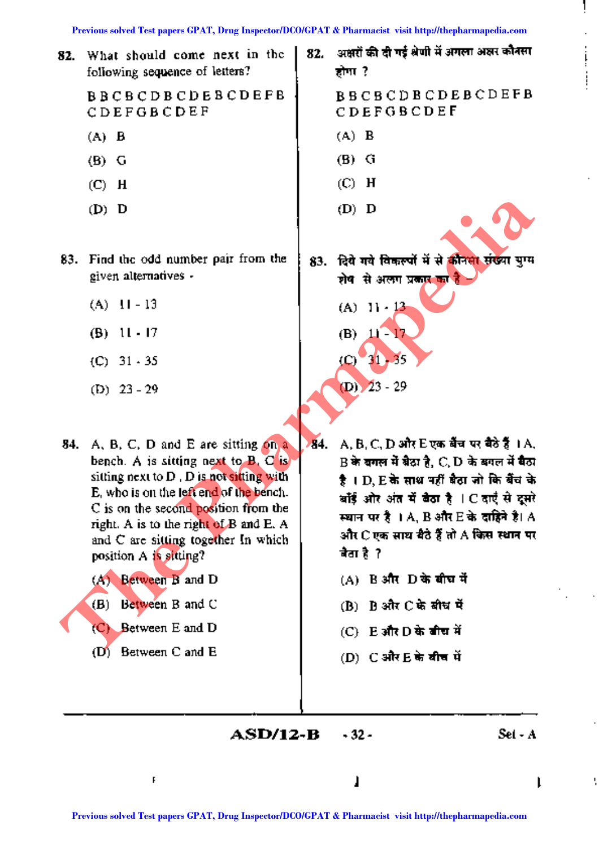होगा?

(A) B

(B) G

(C) H

(D) D

82. What should come next in the following sequence of letters'? 82. अक्षरों की दी गई श्रेणी में अगला अक्षर कौनसा

BBCBCDBCDEBCDEFB CDEFGBCDEF

- (A) B
- (B) G
- (C) H
- (D) D
- given alternatives and some some and stream and stream and stream and stream and stream and stream and stream
	-
	-
	-
	-
- C is on the second position from the and C are sitting together In which  $\frac{3}{4}$ <br>nosition 4 is sitting? position  $A$  is sitting?

(B) Between Band C (B) Rank C के बीच में

- 
- $(D)$  Between C and E (D) C और E के बीच में

83. Find the odd number pair from the | 83. निये गये विकल्पों में से कीनमा संख्या ग्रग्म (A)  $11 - 13$  (A)  $11 \cdot 13$ (B)  $11 \cdot 17$  (B)  $11 \cdot 17$ (C) 31 - 35 (C) 31 - 35 (D)  $23 - 29$  (D)  $23 - 29$ **Previous Solution A strategy of CPAT, Drug Inspected Test papers (FVAT, Drug Inspected Test papers GPAT & Pharmacine CPAT B and C<br>
<b>Previous solved Test papers of CPAT A** B and Pharmacine CPAT **Previous solved Test paper** 

BBCBCDBCDEBCDEFB

CDEFGBCDEF

- 84. A, B, C, D and E are sitting on a 84. A, B, C, D और E एक बैंच पर बैठे हैं 1 A, bench. A is sitting next to B, C is  $\parallel$  B  $\frac{1}{2}$  and  $\frac{1}{2}$  and  $\frac{1}{2}$ , C, D  $\frac{1}{2}$  are  $\frac{1}{2}$  and sitting next to D , D is not sitting with ~ I D, E~ ~~ ~ -aor~ fc6h ~ खॉई ओर अंत में खैठा है | C दाएँ से दूसरे ∪ is on the second position from the the second position from the second position from the second position from the second E. A second by the second by the right. A is to the right of B and E. A second by and E. A second
	- $(A)$  Between B and D  $(A)$  B 3ft D के बीघ में
		-
	- (C) Between E and D (C) Fair D के बीच में
		-

**ASD/12-B** -32 - Set - A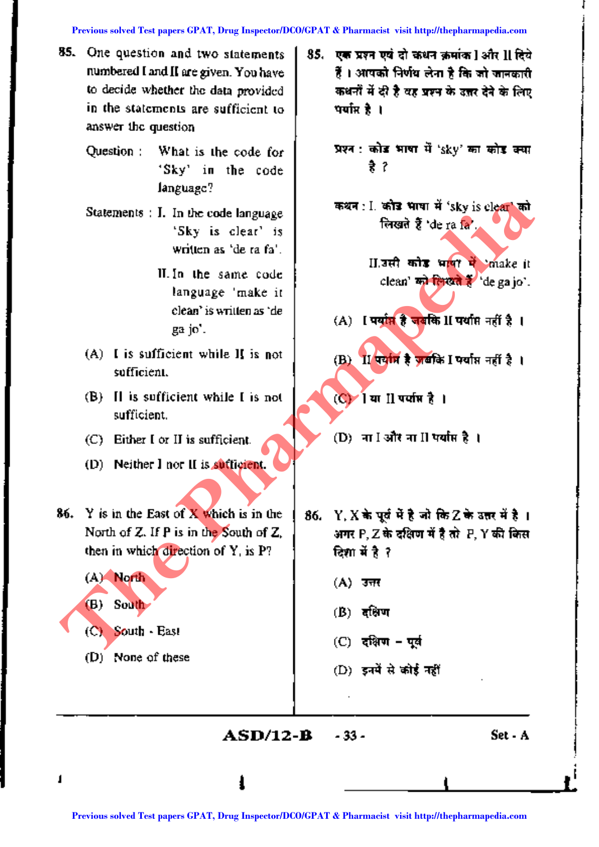- 85. One question and two statements numbered I and II are given. You have to decide whether the data provided in the statements are sufficient to answer the question
	- Question: What is the code for 'Sky' in the code language?
	- Statements : I. In the code language 'Sky is clear' is written as 'de ra fa'.
		- II. In the same code language 'make it clean' is writtenas 'de gajo'.
	- (A) I is sufficient while II is not sufficient.
	- (B) II is sufficient while I is not sufficient.
	- (C) Either I or II is sufficient.
	- (D) Neither I nor II is sufficient.
- 86. Y is in the East of X which is in the | 86. Y, X in yet में है जो कि Z के उत्तर में है। then in which direction of Y, is P?  $\frac{1}{2}$  **can**  $\vec{a} \cdot \vec{b}$  ?

 $(A)$  North (A)  $\overline{3\pi t}$ 

- (C) South East
- (D) None of these
- 85. एक प्रश्न एवं दो कथन क्रमांक Iऔर II दिये  $\tilde{\boldsymbol{t}}$  । आपको निर्णय लेना है कि जो जानकारी। कथनों में दी है वह प्रश्न के उत्तर देने के लिए पर्याप्त है ।
	- प्रश्न : कोड भाषा में 'sky' का कोड क्या t ?
	- कथन : I. कोड भाषा में 'sky is clear' को लिखते हैं 'de ra fa'.
		- II. उसी कोड भाषा में 'make it clean' <del>an ferent to</del> de ga jo'.
	-
	-
	- $(C)$ ी या II पर्याप्त है।
	- $(D)$ ा  $I \overline{3}$ िंग II पर्याप्त है ।
- North of Z. If P is in the South of Z,  $\parallel$  and P, Z in a gain if it at P, Y and line **Previous solutions:** I. in the code language<br>
written as 'der a fa'.<br>
Written as 'de can' be share code<br>
language "make it<br>
language" make it<br>
language "make it<br>
language" make it<br>
contributes and<br>
gap'.<br>
(A) It is suffi
	-
	- (B) South (B) <sup>~</sup>
		- $(C)$  दक्षिण पूर्व
		- $(D)$  इनमें से कोई नहीं

ASD/12-B· -33-

I

Set - A

**l**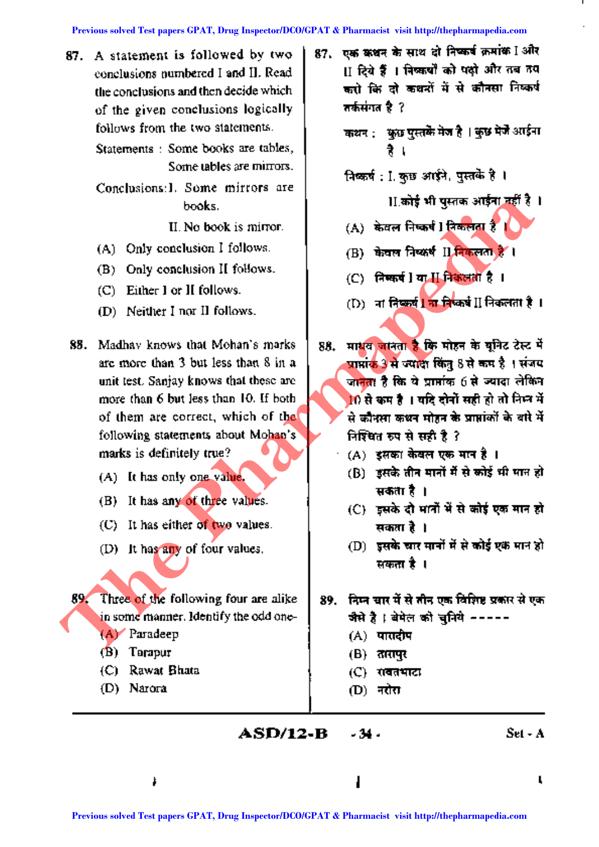of the given conclusions logically  $\frac{1}{1}$  and  $\frac{1}{1}$ follows from the two statements.

Statements : Some books are tables, Some tables are mirrors.

Conclusions: I. Some mirrors are

- (A) Only conclusion I follows. (B)  $\frac{1}{100}$  are fleets II free on  $\frac{1}{6}$  I
- (B) Only conclusion II follows.
- (C) Either lor II follows.
- 
- 88. Madhav knows that Mohan's marks | 88. Hitler when  $\frac{1}{3}$  for Filter  $\frac{1}{3}$  are more than 3 but less than 8 in a  $\frac{1}{3}$  anxies 3  $\frac{1}{3}$  when  $\frac{1}{3}$  is  $\frac{1}{3}$  is  $\frac{1}{3}$  if  $\frac{1}{3}$  if  $\frac{1}{3}$  if following statements about Mohan's **P** Figure  $\overrightarrow{v}$  and  $\overrightarrow{v}$  and  $\overrightarrow{r}$  ? marks is definitely true?  $\|A\|$   $(A)$  stated that  $\theta$  are  $\theta$  if  $A$ Previous solved Test papers of the context papers of the solven and the papers of the papers (C) Elect papers (C) Elect papers of the material of the papers (C) Elect papers of the material of the papers (C) Elect papers
	-
	- (B) It has any of three values.
	- (C) It has either of two values.  $\|\cdot\|$  assumed.
	-

 $89.$  Three of the following four are alike |  $89.$  <del>निप्न</del> चार में से तीन एक विशिष्ट प्रकार से एक in some manner. Identify the odd one-  $\begin{bmatrix} \cdot & \cdot & \cdot \\ \cdot & \cdot & \cdot \\ \cdot & \cdot & \cdot \end{bmatrix}$ ; बेमेल को चुनिये -----

- (A) Paradeep (A) quadrep
- $(B)$  Tarapur (B)  $\pi$  (R)  $\pi$
- (C) Rawat Bhata  $(C)$  ,  $(C)$  ,  $(D)$  ,  $(D)$  ,  $(D)$  ,  $(D)$  ,  $(D)$  ,  $(D)$  ,  $(D)$  ,  $(D)$  ,  $(D)$  ,  $(D)$  ,  $(D)$  ,  $(D)$  ,  $(D)$  ,  $(D)$  ,  $(D)$  ,  $(D)$  ,  $(D)$  ,  $(D)$  ,  $(D)$  ,  $(D)$  ,  $(D)$  ,  $(D)$  ,  $(D)$  ,  $(D)$  ,  $(D)$  ,  $(D)$  ,  $(D)$  ,  $(D$
- (D) Narora  $[D]$   $\overline{r}$  and  $[D]$   $\overline{r}$  and  $\overline{r}$
- 87. A statement is followed by two | 87. एक कथन के साथ दो निष्कर्ष क्रमांक Iऔर conclusions numbered I and II. Read II II दिये हैं । निष्कर्षों को पक्षों और तब तय the conclusions and then decide which  $\parallel$  - करों कि दो कथरों में से कौनसा निष्कर्ष
	- कथन : कुछ पुस्तके मेज है । कुछ मेजे अाईना
	- .<br>निष्कर्ष : I. कुछ आईने, पुस्तके है ।
	- books. The set of  $\mathbf{H}$  and  $\mathbf{H}$  and  $\mathbf{H}$  superior  $\mathbf{H}$
	- II. No book is mirror.  $\begin{bmatrix} 1 & A \end{bmatrix}$  केवल निष्कर्ष l निकलता है।
		-
		- (C) निष्कर्ष ]या H निकलता है ।
	- (D) Neither I nor II follows. (D) ';fT ~ <sup>I</sup> 'Oil ~ II f.:jCh&lt11, <sup>I</sup>
	- are more than 3 a few states than 8 in a Similar 3 in a Similar 3 in a Similar 3 in a Similar 3 of the Similar unit test. Sanjay knows that these are  $\frac{1}{2}$  or straight  $\frac{1}{6}$  for  $\alpha$  straight  $\alpha$  is extended that more than 6 but less than 10. If both 10~Cfilf' I~~~~mf;n::r-ij of them are correct, which of the -« q;,10iiji ~ ~ '\$ SlIRi~l ~ rl-ij
		-
	- $(A)$  It has only one value. (B) इसके तीन मानों में से कोई भी मान हो सकता है ।
		- (C) इसके दो मानों में से कोई एक मान हो
	- (D) It has any of four values.  $\qquad \qquad \qquad \qquad \qquad \qquad \textbf{(D)}$  इसके चार मार्नों में से कोई एक मान हो सकता है ।

- 
- 
- 
- 

**ASD/12-B -34.** Set - A

L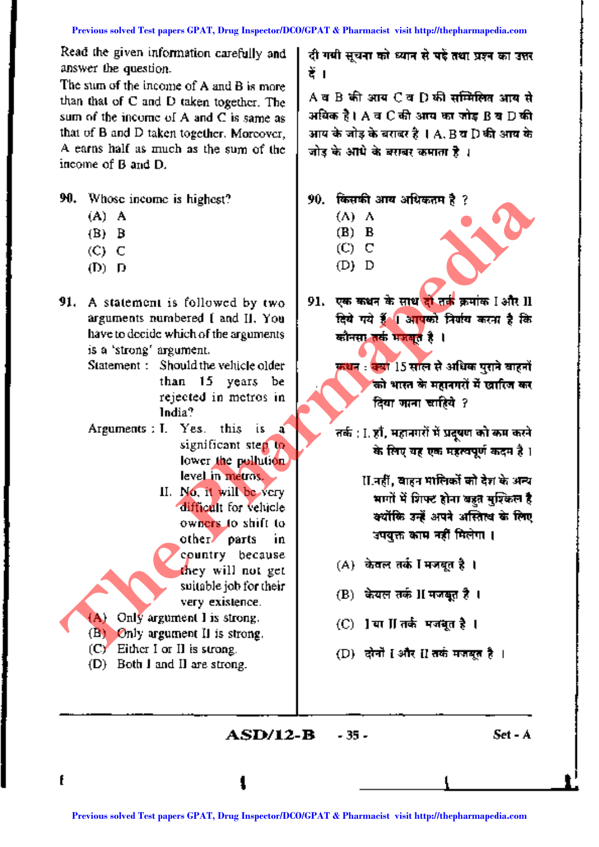Read the given information carefully and answer the question.

The sum of the income of A and B is more than that of C and D taken together. The sum of the income of A and C is same as that of B and D taken together. Moreover, A earns half as much as the sum of the income of Band D.

90. Whose income is highest?

- (A) A
- (B) B
- (C) C
- (D) D
- 91. A statement is followed by two arguments numbered I and II. You have to decide which of the arguments is a 'strong' argument.

Statement: Should the vehicle older than 15 years be rejected in metros in India?

- Arguments: 1. Yes. this is a significant step to lower the pollution. level in metros.
- II. No, it will be very difficult for vehicle owners to shift to other parts in country because they will not get suitable job for their very existence. **PREVIOUS Solved Test papers CPAT, Drug Inspected Test papers (D) Bridge Test Paper Schedule Windows of Catalog CPAT, Drug Inspected Test papers (D) Bridge Test papers (D) Bridge Test papers (D) Bridge Test papers (D) Brid**

(A) Only argument I is strong.

(B) Only argument II is strong.

(C) Either I or II is strong.

(D) Both I and II are strong.

दी गयी सूचना को ध्यान से पई तथा प्रश्न का उत्तर <u>हें ।</u>

 ${\bf A}$  व  ${\bf B}$  की आय $~{\bf C}$  व  ${\bf D}$  की सम्मिलित आय से अधिक है। A व  $C$  की आय का जोड़  $\mathtt{B}$  व  $\mathtt{D}$  की आय के जोड़ के बराबर है । A, B व D की आय के जोड के आंधे के बसवर कमाता है । $\,$ 

90. किसकी आय अधिकतम है ?

- (A) A (B) B
- (C) C
- (D) D
- 91. एक कथन के साथ <mark>दो तर्क</mark> क्रमांक Iऔर II दिये गये हैं । आपको निर्गय करना है कि कौनसा तर्क मजबत है ।

कथन : क्या 15 साल से अधिक पुराने वाहनों को भारत के महानगरों में **खारिज कर** दिया जाना चाहिये  $\,$  ?

तर्क : I. हाँ, महानगरों में प्रदूषण को कम करने के लिए यह एक महत्वपूर्ण कदम है।

> II.नहीं, बाहन मालिकों को देश के अन्य भागों में शिफ्ट होना बहुत मुश्किल है क्योंकि उन्हें अपने अस्तित्व के लिए अपयुक्त काम नहीं मिलेगा ।

- (A) केवल तर्क I मजबत है।
- $(B)$  केयल तर्क II मजबूत है।
- $(C)$  ]या  $\Pi$  तर्कमयबूत है।
- $(D)$  दोनों [और [] तर्क मजबूत है ।

**\**

**ASD/12-R -** 35 -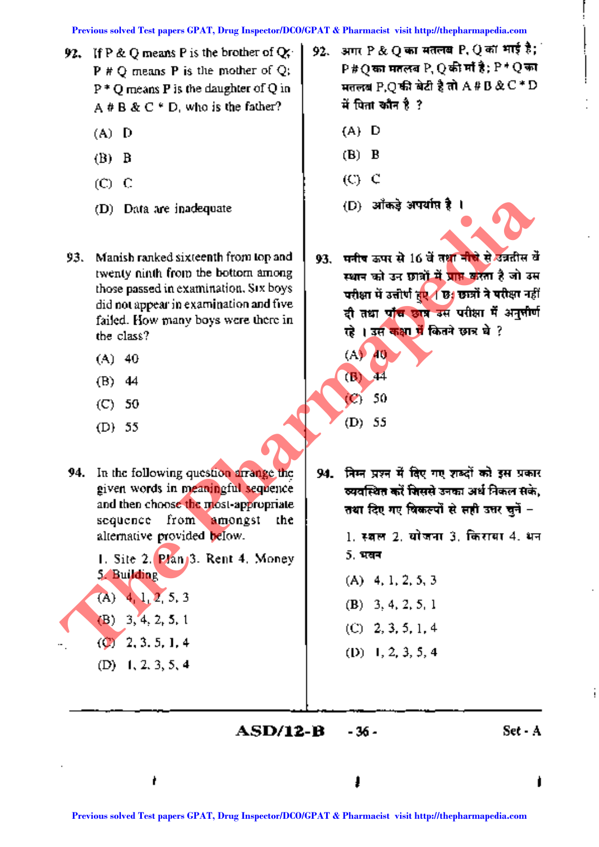- 92. If P & Q means P is the brother of  $Q$ ; P # Q means P is the mother of Q;  $P^*$  O means P is the daughter of Q in A  $# B & C * D$ , who is the father?
	- (A) D
	- (B) B
	- $(C)$   $C$
	- (D) Data are inadequate
- 93. Manish ranked sixteenth from top and twenty ninth from the bottom among those passed in examination. Six boys did not appear in examination and five failed. How many boys were there in the class? **Papers in the control of the CPAT, Drug Inspectation CO/GPAT & Pharmacist visit http://thepharmapedia.com**<br> **Previous solved Test papers GPAT (CPAT)**<br> **Previous solved Test papers GPAT (CPAT)**<br> **Previous solved Test pape** 
	- (A) 40
	- (B) 44
	- (C) 50
	- (D) 55
	- 94. In the following question arrange the given words in meaningful sequence and then choose the most-appropriate sequence from amongst the alternative provided below.

1. Site 2. Plan 3. Rent 4. Money 5. Building

- $(A)$  4, 1, 2, 5, 3 (B) 3, 4, 2, 5, 1  $($ C $)$  2, 3, 5, 1, 4
	- (D) 1, 2, 3, 5, 4
- 92. ~ अगर P & Q का मतलब P, Q का भाई है;  ${\tt P}{\tt t}{\tt O}$ का मतलब  ${\tt P},{\tt Q}$ की माँ है;  ${\tt P}{\tt t}{\tt Q}$ का मतलब P.O की बेटी है तो  $A$ # B  $\&C$  \* D में पिता कौन है ?
	- (A) D
	- (B) B
	- (C) C

 $( A<sub>9</sub> A<sub>0</sub> )$ 

(B) 44

(C) 50

(D) 55

- (D) औकडे अपर्याप्त है ।
- 93. मनीच ऊपर से 16 वें तथा नीचे से उन्नतील के स्थान को उन छात्रों में प्राप्त करता है जो उस परीक्षा में उत्तीर्ण हुए । छात्रों ने परीक्षा नहीं दी तथा पाँच छात्र उस परीक्षा में अनुसीर्ण रहे । उस कक्षा में कितने छात्र थे ?

94. निम्न प्रश्न में दिए गए शब्दों को इस प्रकार व्यवस्थित करें जिससे उनका अर्थ निकल सके. तथा दिए गए विकल्पों से सही उत्तर चुनें -

> 1. स्वल 2. योजना 3. किराया 4. भन **5. भवन**

(A) 4, 1, 2, 5, 3  $(B)$  3, 4, 2, 5, 1  $(C)$  2, 3, 5, 1, 4 (D) 1, 2, 3, 5, 4

 $ASD/12-B - 36$ 

j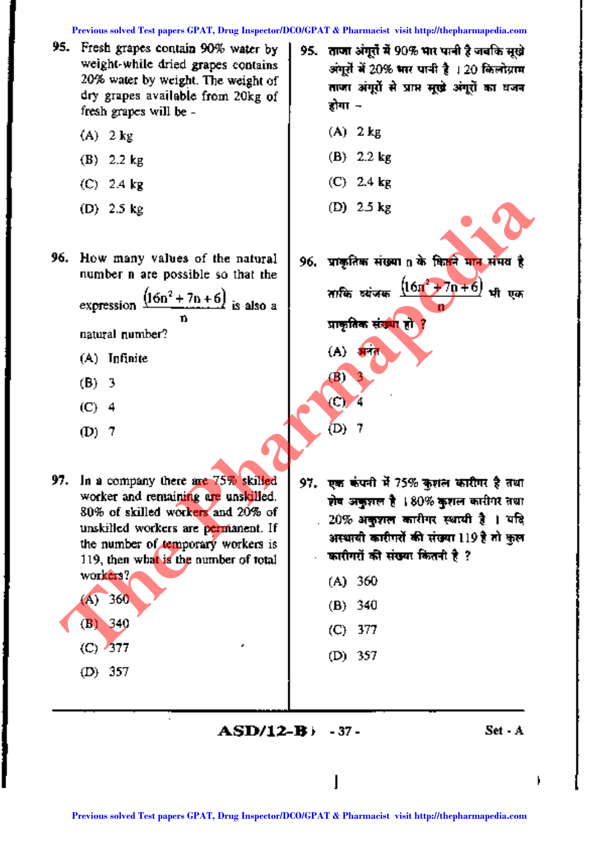**Previous solved Test papers GPAT, Drug Inspector/DCO/GPAT & Pharmacist visit http://thepharmapedia.com**

- 95. Fresh grapes contain 90% water by, weight-while dried grapes contains  $20\%$  water by weight. The weight of dry grapes available from 20kg of fresh grapes will be-
	- $(A)$  2 kg
	- (B) 2.2 kg
	- (C) 2.4 kg
	- (D) 2.5 kg

96. How many values of the natural number n are possible so that the

> expression  $\frac{(16n^2+7n+6)}{n}$  is also a n natural number?

- (A) Infinite
- (B) 3
- (C) 4
- (D) 7
- worker and remaining are unskilled. 80% of skilled workers and 20% of unskilled workers are permanent. If the number of temporary workers is 119, then what is the number of total workers? (A) <sup>360</sup> **Provided Test papers GPAT, Drug Inspectation CO/GPAT & Pharmacist visit http://thepharmapedia.com/GPAT, Previous solved Test papers GPAT, Drug Inspectation CO/GPAT & Pharmacist and CPAT (C) 2015<br>
<b>Previous solved Test pa** 
	- (A) <sup>360</sup> (B) <sup>340</sup> (B) <sup>340</sup> (C) <sup>377</sup>
		- (D) 357
- $95.$  . ताजा अंगुरों में  $90\%$  भार पानी है जबकि सुखे अंगुरों में 20% भार पानी है । 20 किलोग्राम ताजा अंगूरों से प्राप्त सूखे अंगूरों का वजन होगा ⊸
	- (A) 2kg
	- (B) 2.2 kg
	- (C) 2.4 kg
	- (D) 2.5 kg

96. प्राकृतिक संख्या n के कितने मान संभव है

लाकि व्यंजक <sup>(16n2</sup> + 7n + 6) <del>भी</del> ग n

प्राकृतिक संख्<mark>या</mark> हो ।

 $(A)$  are

(B) 3

 $\circ$ 

 $(D)$ 

- 97. In a company there are  $75\%$  skilled | 97. pm warft if 75% assist unit at  $3\%$  and
	-
	-
	-
	- (C) 377 (D) 357
		- $ASD/12-B$   $-37$   $-$  Set A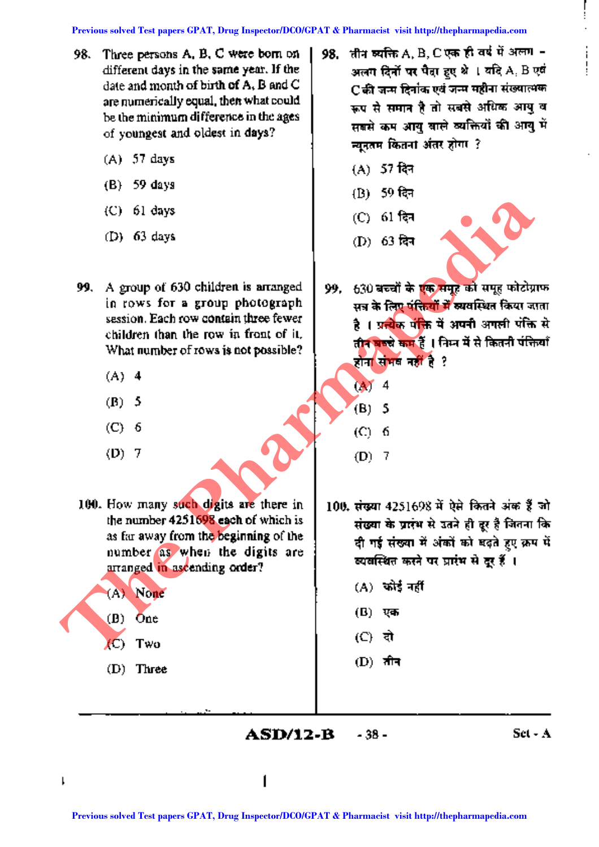- 98. Three persons A, B, C were born on different days in the same year. If the date and month of birth of A, B and C are numerically equal, then what could be the minimum. difference in the ages of youngest and oldest in days?
	- (A) 57 days
	- (B) 59 days
	- (C) 61 days
	- (D) 63 days
- 99. A group of 630 children is arranged. in rows for a group photograph session. Each row contain three fewer children than the row in front of it. What number of rows is not possible?
	- (A) 4
	- (B) 5
	- (C) 6
	- (D) 7

100. How many such digits are there in the number 4251698 each of which is as far away from the beginning of the. number as when the digits are arranged in ascending order?

- (A) None (B) One
	-
- (C) Two
- (D) Three
- 98. जीन व्यक्ति A, B, C एक ही वर्ष में अलग -अलग दिनों पर पैदा हुए श्रे । यदि A, B एवं C की जन्म दिनांक एवं जन्म महीना संख्यात्मक ऊप से समान है तो सबसे अधिक आयु व सबसे कम आयु वाले व्यक्तियों की आयु में न्युनुतम कितना अंतर होगा $\,$  ?
	- $(A)$  57 दिन
	- (B) 59 दिन
	- (C) 61 <del>दि</del>न
	- (D) 63 दिन



- 99. 630 बच्चों के एक समूह को समूह फोटोग्राफ सत्र के लिए पंक्तियों में व्यवस्थित किया जाता है । प्रन्येक पंक्ति में अपनी अगली पंक्ति से तीन बच्चे कम हैं । निम्न में से कितनी पंक्तियाँ होना संभव नहीं है ? **Previous solution is arranged Test papers of the control of the solution of the solution of the solution of the solution of the solution of the solution of the solution of the solution of the solution of the solution of** 
	- (A) 4 (B) 5
	- (C) 6
	- (D) 7
	- $100.$  संख्या 4251698 में ऐसे कितने अंक हैं जो संख्या के प्रारंभ से उतने ही दूर है जितना कि दी गई संख्या में अंकों को बढ़ते हुए क्रम में व्यवस्थित करने पर प्रारंभ से दूर हैं ।
		- $(A)$  कोई नहीं
		- (B) एक
		- $(C)$  दो
		- $(D)$  तीन

**ASD/12-B** - 38 - Set - A - 38-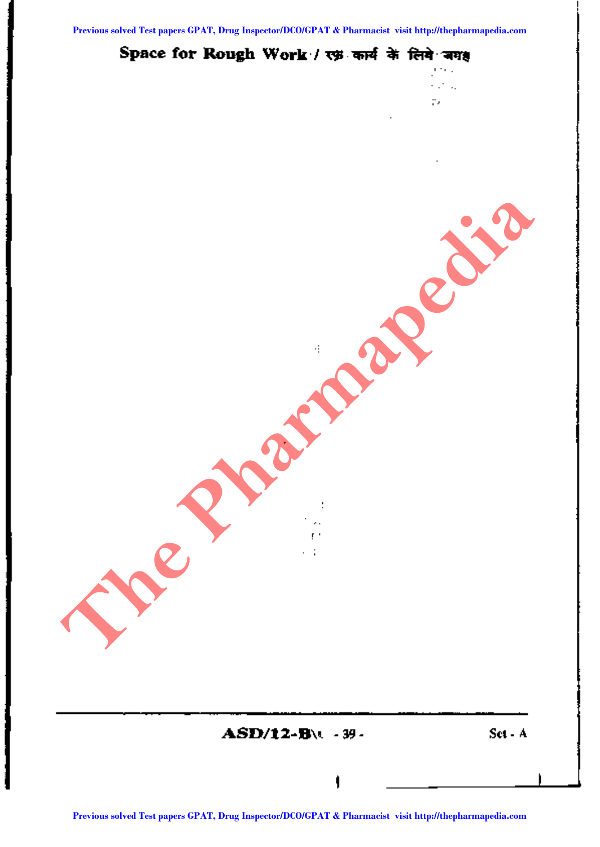jere 1 kana. p,

## Space for Rough Work / रफ़ कार्य के लिये अग<del>्</del>

Set - A

t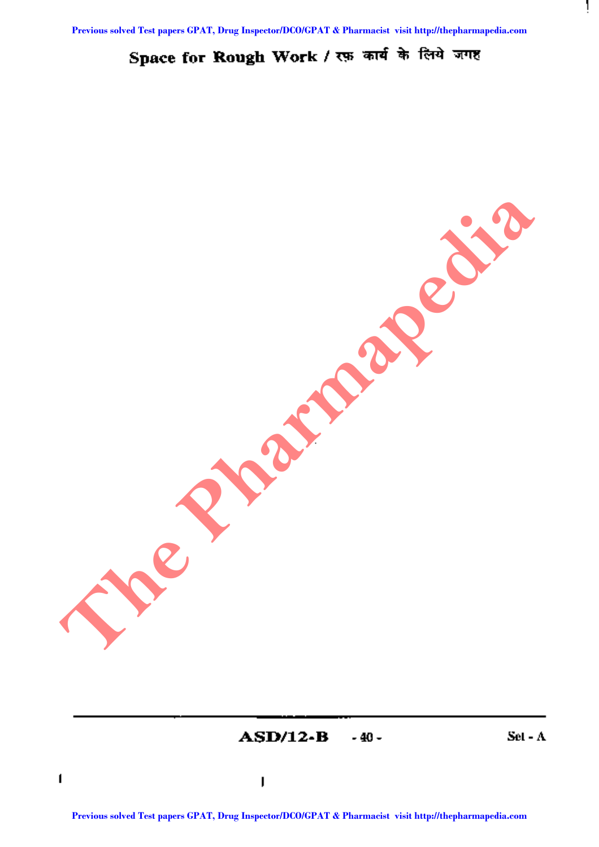# Space for Rough Work / रफ़ कार्य के लिये जगह

ASD/12-B -40-

Set - A

Ţ

t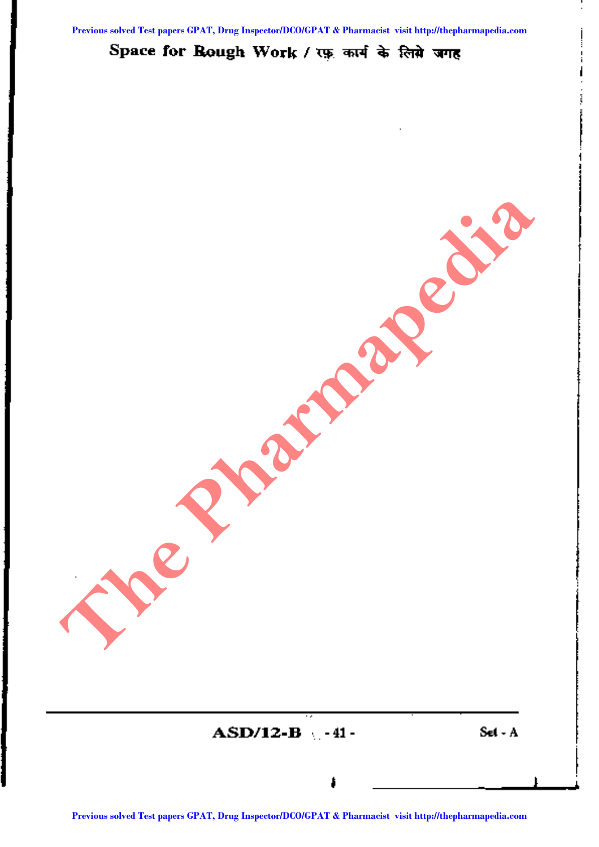# Space for Rough Work / रफ़ कार्य के लिसे जगह



┆<br>│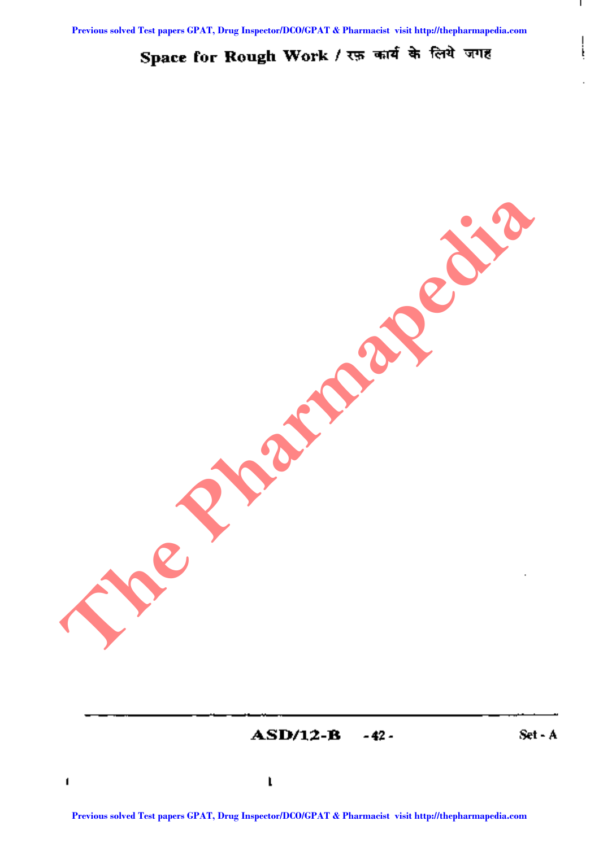# Space for Rough Work / रफ़ कार्य के लिये जगह

ASD/12-B -42 - Set- A

I

i į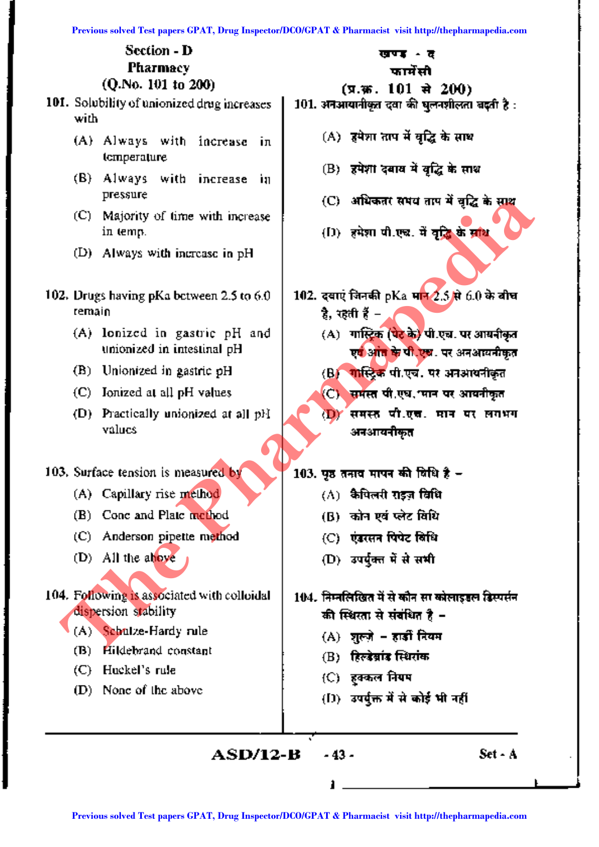|                                                                     | Previous solved Test papers GPAT, Drug Inspector/DCO/GPAT & Pharmacist visit http://thepharmapedia.com |
|---------------------------------------------------------------------|--------------------------------------------------------------------------------------------------------|
| Section - D<br>Pharmacy<br>(Q.No. 101 to 200)                       | खण्ड<br>- ช<br>फार्मेंसी                                                                               |
| 101. Solubility of unionized drug increases<br>with                 | (प्र.२०६. 101 से 200)<br>101. अनआयानीकृत दवा की घुलनशीलता बदती है :                                    |
| (A) Always with increase<br>iл<br>temperature                       | (A) हमेशा ताप में वृद्धि के साथ                                                                        |
| (B).<br>Always<br>with increase<br>ÌП<br>pressure                   | (B) हमेशादबाव में वृद्धि के साथ<br>(C) अधिकतर समय ताप में वृद्धि के साथ                                |
| (C).<br>Majority of time with increase<br>in temp.                  | (D) हमेशा पी.एच. में वृद्धि के साथ                                                                     |
| (D)<br>Always with increase in pH                                   |                                                                                                        |
| 102. Drugs having pKa between 2.5 to $6.0$<br>remain                | 102. दवाएं जिनकी pKa मा <mark>न 2.5 से</mark> 6.0 के बीच<br>है, रहती हैं –                             |
| (A) lonized in gastric pH and<br>unionized in intestinal pH         | (A) गास्ट्रिक (पेट के) पी.एच. पर आयनीकृत<br>एवं आंत के पी.एच. पर अनआयनीकृत                             |
| (B)<br>Unionized in gastric pH                                      | (B) गास्ट्रिक पी.एच. पर अनआयनीकृत                                                                      |
| (C) Ionized at all pH values                                        | (C) समस्त पी.एघ. मान पर आयनीकृत                                                                        |
| (D) Practically unionized at all pH<br>values                       | समस्त पी.एच. मान पर लगभग<br><b>D</b><br>अनआयनीकृत                                                      |
| 103. Surface tension is measured by                                 | 103. पृष्ठ तनाव मापन की विधि है –                                                                      |
| Capillary rise method<br>(A)                                        | (A) कैपिलरी राइज़ विधि                                                                                 |
| Conc and Plate method<br>(B)                                        | (B) कोन एवं प्लेट विधि                                                                                 |
| (C) Anderson pipette method                                         | (C) एंडरसन पिपेट विधि                                                                                  |
| (D) All the above                                                   | (D) उपर्युक्त में से सभी                                                                               |
| 104. Following is associated with colloidal<br>dispersion stability | 104. निम्नलिखित में से कौन सा कोलाइडल डिस्पर्सन<br>की स्थिरता से संबंधित है –                          |
| (A) Schulze-Hardy rule                                              | (A) शुल्ज़े - हार्डी नियम                                                                              |
| Hildebrand constant<br>(B)                                          | (B) हिल्डेब्रांड स्थिरांक                                                                              |
| Huckel's rule<br>(C).<br>None of the above<br>(D)                   | (C) हक्कल नियम                                                                                         |
|                                                                     | (D) उपर्युक्त में से कोई भी नहीं                                                                       |
| <b>ASD/12-B</b>                                                     | Set - A<br>- 43 -                                                                                      |
|                                                                     |                                                                                                        |
|                                                                     | Previous solved Test papers GPAT, Drug Inspector/DCO/GPAT & Pharmacist visit http://thepharmapedia.com |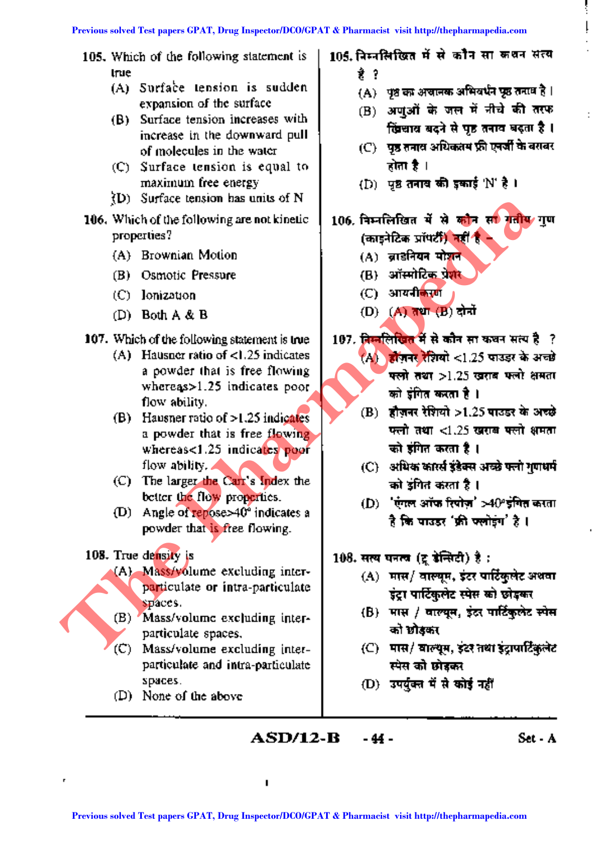105. Which of the following statement is true

- (A) Surface tension is sudden expansion of the surface
- (B) Surface tension increases with increase in the downward pull of molecules in the water
- (C) Surface tension is equal to maximum free energy
- fo  $(D)$  Surface tension has units of N
- 106. Which of the following are not kinetic properties?
	- (A) Brownian Motion
	- (B) Osmotic Pressure
	- (C) Ionization
	- (D) Both A & B
- 107. Which of the following statement is true
	- (A) Hausner ratio of <1.25 indicates a powder that is free flowing whereas> 1.25 indicates poor flow ability.
- (B) Hausner ratio of  $> 1.25$  indicates a powder that is free flowing whereas<1.25 indicates poor flow ability. **PD.** The layer development is the control of  $>1.25$  model of the following statement is the CD structure of  $>1.25$  model of the following statement is the CD structure of  $>1.25$  model of  $>4.8$  B (C) and  $\lambda$  B and  $\$ 
	- (C) The larger the Carr's Index the better the flow properties.
	- (D) Angle of repose $>40^\circ$  indicates a powder that is free flowing.
	- 108. True density is
		- (A) Mass/volume excluding interparticulate or intra-particulate spaces.
		- (B) Mass/volume excluding interparticulate spaces.
		- (C) Mass/volume excluding interparticulate and intra-particulate spaces.
		- (D) None of the above

105. निम्नलिखित में से कौन सा कथन सत्य t ?

- $(A)$  ) पृष्ठ का अचानक अभिवर्धन पृष्ठ तनाव है ।
- (B) अणुओं के जल में नीचे की तरफ खिलाव बदने से पह तनाव बदता है।
- (C) = पृष्ठ तनाव अधिकतम फ्री एनर्जी के बराबर <u>होता है ।</u>
- $(D)$  'पृष्ठ तनाव की इकाई 'N' है ।
- 106. निम्नलिखित में से कौन सा गतीय गण (काडनेटिक प्रॉपर्टी) नहीं है -
	- $(A)$  व्राइनियन मोञ्चन
	- (B) ऑस्मोटिक प्रे<mark>श</mark>र
	- (C) आयनी<mark>कर</mark>ण
	- (D) (A) तथा (B) दोनों
- 107. जिम्मलिखित में से कौन सा कथन सत्य है ?  $(A)$  होजनर रेशियो <1.25 पाउडर के अच्छे  $~$ क्लो तथा  $>1.25~$ खराब फलो क्षमता
	- को इंगित करता है ।  $(B)$  हौज़नर रेशियो >1.25 पाउडर के अच्छे  $~\,$ फलो तथा < $1.25~\,$ खराब फ्लो अमता

को डंगित करता है ।

- (C) अधिक कार्स्त इंडेक्स अच्छे फ्लो गणधर्म को डगित करता है ।
- (D)  $^+$ एंगल ऑफ रिपोज़' >40° इंगित करता है कि पाउडर 'फ्री फ्लोइंग' है ।
- $108.$  सत्य घनत्व (टू डेन्सिटी) है :
	- $(A)$  मास/ वाल्यूम, इंटर पार्टिकुलेट अथवा इंट्रा पार्टिकुलेट स्पेस को छोड़कर
	- $(b)$  मास / वाल्यम, इंद्र पार्टिकलेट स्पेस को छोडकर
	- $(C)$  पास/ वाल्यूम, इंटर तथा इंटापार्टिकलेट स्पेस को छोडकर
	- $(D)$  उपर्युक्त में से कोई नहीं

**ASD/12-B -44-**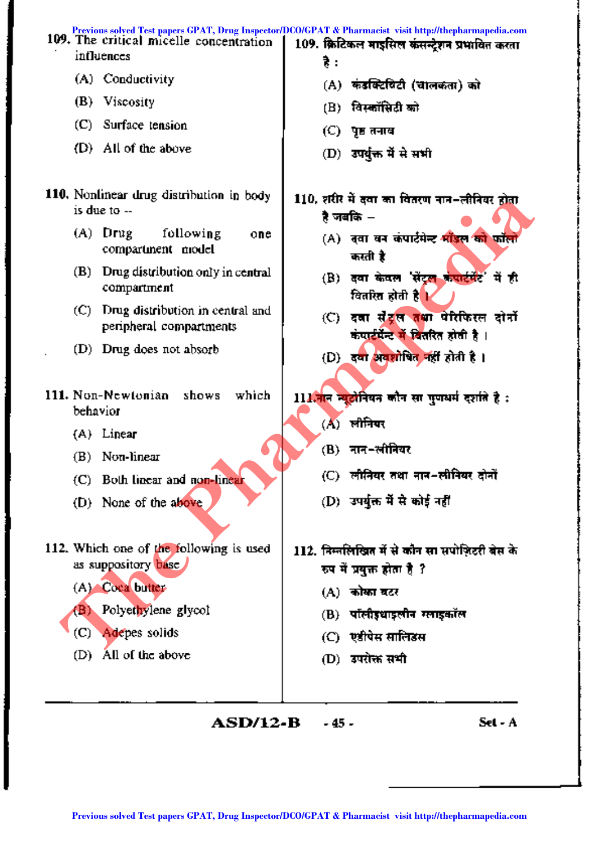|          | Previous solved Test papers GPAT, Drug Inspector/DCO/GPAT & Pharmacist visit http://thepharmapedia.com<br>109. The critical micelle concentration |             | 109. क्रिटिकल माइसिल कंसन्देशन प्रभावित करता                                                           |
|----------|---------------------------------------------------------------------------------------------------------------------------------------------------|-------------|--------------------------------------------------------------------------------------------------------|
|          | influences                                                                                                                                        | ₹.          |                                                                                                        |
|          | (A) Conductivity                                                                                                                                  |             | (A) कंडक्टिविटी (चालकता) को                                                                            |
|          | $(B)$ Viscosity                                                                                                                                   |             | (B) विस्कॉसिटी को                                                                                      |
|          | $(C)$ Surface tension                                                                                                                             |             | (C) पृष्ठतनाव                                                                                          |
|          | (D) All of the above                                                                                                                              |             | (D) उपर्युक्त में से सभी                                                                               |
|          | 110. Nonlinear drug distribution in body<br>is due to --                                                                                          |             | 110, शरीर में दवा का वितरण नान-लीनियर होता<br>है जबकि –                                                |
|          | $(A)$ Drug<br>following<br>one<br>compartment model                                                                                               |             | (A) दवा वन कंपार्टमेन्ट भाँडल को फॉलो<br>करती है                                                       |
| (B)      | Drug distribution only in central<br>compartment                                                                                                  |             | (B) दवा केवल 'सेंट्र <del>ल कंपार्टमेंट</del> ' में ही<br>वितरित होती है <mark>।</mark>                |
|          | (C) Drug distribution in central and<br>peripheral compartments                                                                                   |             | (C) दवा संटूल तथा पोरफिरल दोनों<br>कंपार्टमेंन्ट में वितरित होती है ।                                  |
|          | (D) Drug does not absorb                                                                                                                          |             | (D) दवा अवशोषित नहीं होती है।                                                                          |
| behavior | 111. Non-Newtonian shows<br>which                                                                                                                 | $(\Lambda)$ | 111.नान न्यूटोनियन कौन सा गुणधर्म दर्शाते है :<br>लीनियर                                               |
|          | $(A)$ Linear                                                                                                                                      |             |                                                                                                        |
|          | $(B)$ Non-linear                                                                                                                                  |             | (B) नान-लीनियर                                                                                         |
|          | (C) Both linear and non-linear                                                                                                                    |             | (C)  लीनियर तथा नान-लीनियर दोनों                                                                       |
|          | (D) None of the above                                                                                                                             |             | (D) उपर्युक्त में से कोई नहीं                                                                          |
|          | 112. Which one of the following is used<br>as suppository base                                                                                    |             | 112. निम्नलिखित में से कौन सा सपोज़िटरी बेस के<br>रुप में प्रयुक्त होता है ?                           |
|          | (A) Coca butter                                                                                                                                   |             | (A) कोका बटर                                                                                           |
| (B)      | Polyethylene glycol                                                                                                                               |             | (B)  पॉलीइधाइलीन ग्लाइकॉल                                                                              |
| (C)      | Adepes solids                                                                                                                                     |             | (C) एडीपेस सालिङस                                                                                      |
| (D)      | All of the above                                                                                                                                  |             | (D) उपरोक्त सभी                                                                                        |
|          | <b>ASD/12-B</b>                                                                                                                                   | - 45 -      | Set - A                                                                                                |
|          |                                                                                                                                                   |             | Previous solved Test papers GPAT, Drug Inspector/DCO/GPAT & Pharmacist visit http://thepharmapedia.com |

 $\overline{\phantom{a}}$ 

 $\ddot{\phantom{a}}$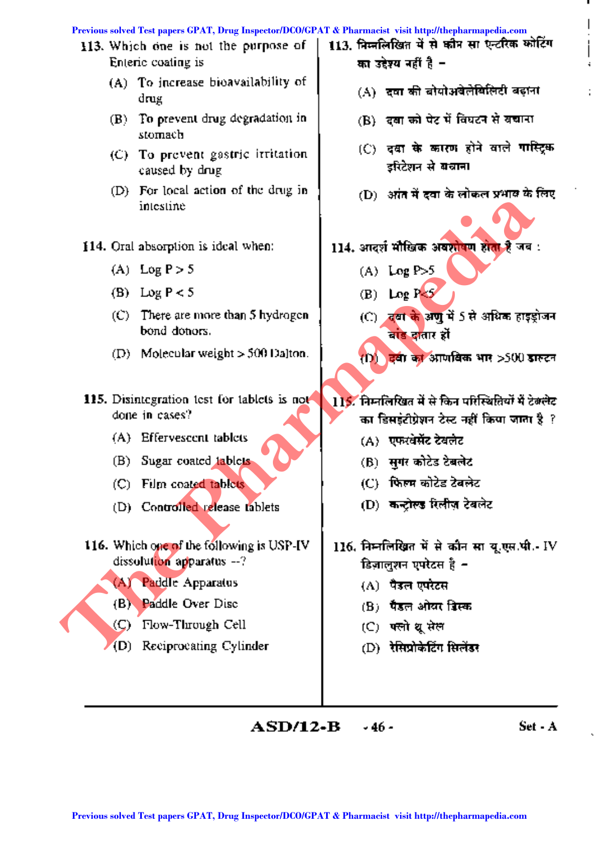#### **Previous solved Test papers GPAT, Drug Inspector/DCO/GPAT & Pharmacist visit http://thepharmapedia.com**

- 113. Which one is not the purpose of Enteric coating is
	- (A) To increase bioavailability of drug
	- (B) To prevent drug degradation in stomach
	- (C) To prevent gastric irritation caused by drug
	- (D) For local action of the drug in intestine
- 114. Oral absorption is ideal when:
	- (A) Log  $P > 5$
	- (B) Log  $P < 5$
	- (C) There are more than S hydrogen bond donors.
	- (D) Molecular weight  $>$  500 Dalton.
- 115. Disintegration test for tablets is not done in cases?
	- (A) Effervescent tablets
	- (B) Sugar coated tablets
	- (C) Film coated tablets
	- (D) Controlled release tablets
- 116. Which one of the following is USP-IV dissolution apparatus --? **Previous solvential and the CPAT CO/GPAT CO/GPAT CO/GPAT & Pharmacist CO Test paper and the pharmacist solvential and the Pharmacist Solvential and CPAT CO Test paper and the Pharmacist visit http://thermacist CO Test pa** 
	- (A) Paddle Apparatus
	- (B) Paddle Over Disc
	- (C) Flow-Through Cell
	- (D) Reciprocating Cylinder
- 113. निम्नलिखित में से कौन सा एन्टरिक कोटिंग का उद्देश्य नहीं है –
	- (A) दवा की बोयोअवेलेखिलिटी बढ़ाना
	- (B) दबा को पेट में विघटन से बचाना
	- $(C)$  दक्षा के कारण होने वाले गास्टिक इरिटेशन से बचाना
	- (D) अंत में दवा के लोकल प्रभाव के लिए
- 114. आदर्श मौखिक अवशोषण होता है जब :
	- $(A)$  Log  $P > 5$
	- (B) Log  $P \leq 5$
	- $(C)$  , दवा के अणु में 5 से अधिक हाइड़ोजन बाड दातार हों

 $(1)$  , दवी का आणविक भार >SOO डारूटन

- 115. निम्नलिखित में से किन परिस्थितियों में टे<del>बलेट</del> का डिसडंटीग्रेशन टेस्ट नहीं किया जाता है $~$  ?  $~$ 
	- (A) एफरवेसेंट टेबलेट
	- (B) सगर कोटेड टेबलेट
	- $(C)$  फिल्म कोटेड टेबलेट
	- (D) कन्टोल्ड रिलीज़ टेबलेट
- $116.$  निमलिखित में से कौन सा यू.एस.पी.- IV डिज़ालुशन एपरेटस है *-*
	- $(\Lambda)$  । पैडल एपरेटस
	- $\bf{(B)}$  , पैडल ओयर दिस्क
	- $(C)$  पत्नो धुसेल
	- (D) =रेसिप्रोकेटिंग सिलेंडर

**ASD/12-B**  $\rightarrow$  46 - Set - A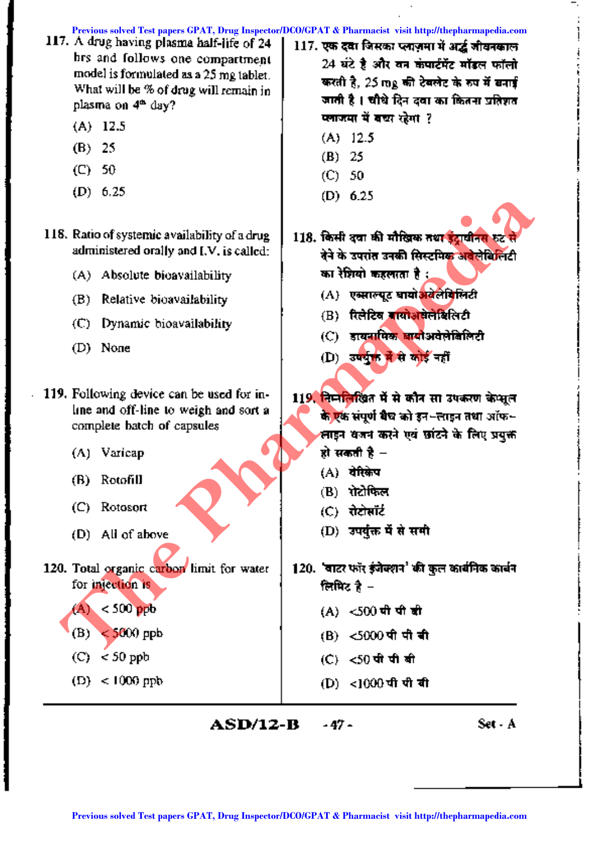117. A drug having plasma half-life of 24 hrs and follows one compartment model is formulated as a 25 mg tablet. What will be % of drug will remain in plasma on  $4<sup>th</sup>$  day? (A) 12.5 (B) 25 (C) 50 (D) 6.25 (A) Varicap  $117.$  एक दवा जिसका प्लाज़मा में अर्द्ध जीवनकाल  $24$  घंटे है और वन कंपार्टमेंट मॉडल फॉलो 24 घट है आर वन कपाटमट माडल फ<br>करती है, 25 mg की टेबलेट के रुप में ब करती है, 25 mg की टेबलेट के रूप में बनाई<br>जाती है । चीधे दिन दवा का कितना प्रतिशत प्लाजमा में बच्च रहेगा ? (A) 12.5 (B) 25 (C) 50 (D) 6.25 118. Ratio of systemic availability of a drug administered orally and I.V. is called: (A) Absolute bioavailability (B) Relative bioavailability (C) Dynamic bioavailability (D) None 119. Following device can be used for inline and off-line to weigh and sort a complete batch of capsules 118. किसी दवा की मौखिक तथ<del>ा इंटाबीनस रुट</del> क्षेत्रे के उपरांत उनकी सिस्टमि<del>क अवैलेकि</del>लिटी का रेशियो कहलाता है : (A) = एब्साल्पूट बायोअवेलेबिलिटी (B) रिलेटिव बायोअवेलेबिलिटी (C) डायसामिक बागोअवेलेबिलिटी  $(D)$  उपर्युक्त में से कोई नहीं 119. तिमलिखित में से कौन सा उपकरण केप्सूल के एक संपूर्ण बैच को इन~लाइन तथा ऑफ~ लाइन वजन कर<br>हो सकती है –  $(A)$  वेरिकेप **Previous solved Test papers GPAT, Drug Inspector/DCO/GPAT & Pharmacist visit http://thepharmapedia.com Previous solution** of a computer of the solution of the solution of the solution of the solution of the solution of the solution of the solution of the solution of the solution of the solution of the solution of the phar

- (B) Rotofill
- (C) Rotosort
- (D) All of above
- 120. Total organic carbon limit for water for injection is
	- $(A) < 500$  ppb
	- $(B) < 5000$  ppb
	- $(C)$  < 50 ppb
	- $(D) < 1000$  ppb
- 120. 'वाटर फॉर ईजेक्शन' की कल कार्बनिक कार्बन लिमिट है $-$ 
	- $(A) < 500$  पी पी ही

 $(B)$  रोटोफिल (C) - रोटोसॉर्ट

(B) <5000 पी पी बी

 $(D)$  उपर्युक्त में से सभी

- (C) <50 पी पी बी
- (D) <1000 पी पी बी

**ASD/12-B -**47 - Set- A

 $\frac{1}{2}$ 

j.

¦<br>i

I

i

 $\prod_{i=1}^{n}$ 

 $\left| \right|$ 

 $\left[ \begin{smallmatrix} 1 & 0 & 0 \\ 0 & 0 & 0 \\ 0 & 0 & 0 \\ 0 & 0 & 0 \\ 0 & 0 & 0 \\ 0 & 0 & 0 \\ 0 & 0 & 0 \\ 0 & 0 & 0 & 0 \\ 0 & 0 & 0 & 0 \\ 0 & 0 & 0 & 0 \\ 0 & 0 & 0 & 0 \\ 0 & 0 & 0 & 0 & 0 \\ 0 & 0 & 0 & 0 & 0 \\ 0 & 0 & 0 & 0 & 0 \\ 0 & 0 & 0 & 0 & 0 & 0 \\ 0 & 0 & 0 & 0 & 0 & 0 \\ 0 & 0 & 0 & 0 & 0 & 0 \\$ 

i<br>!

I~

I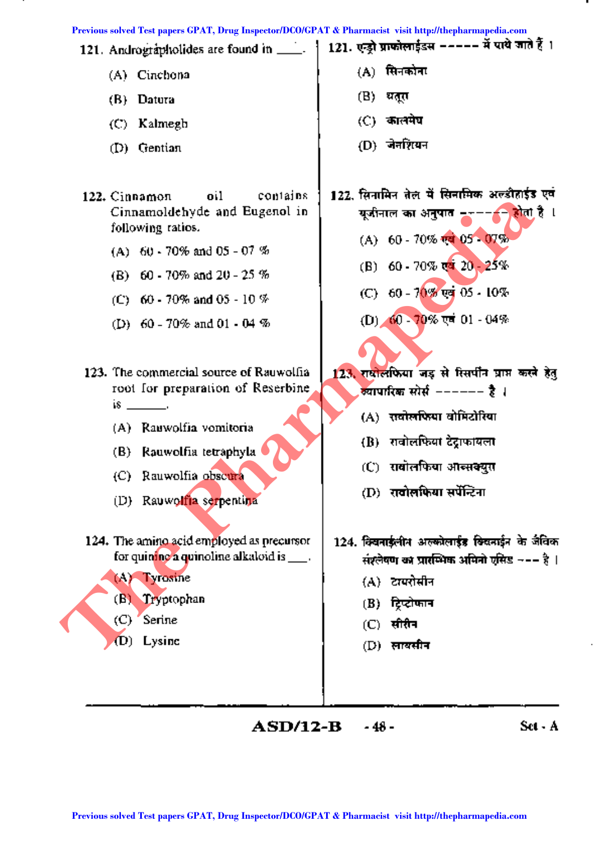

 $ASD/12-B$  $-48-$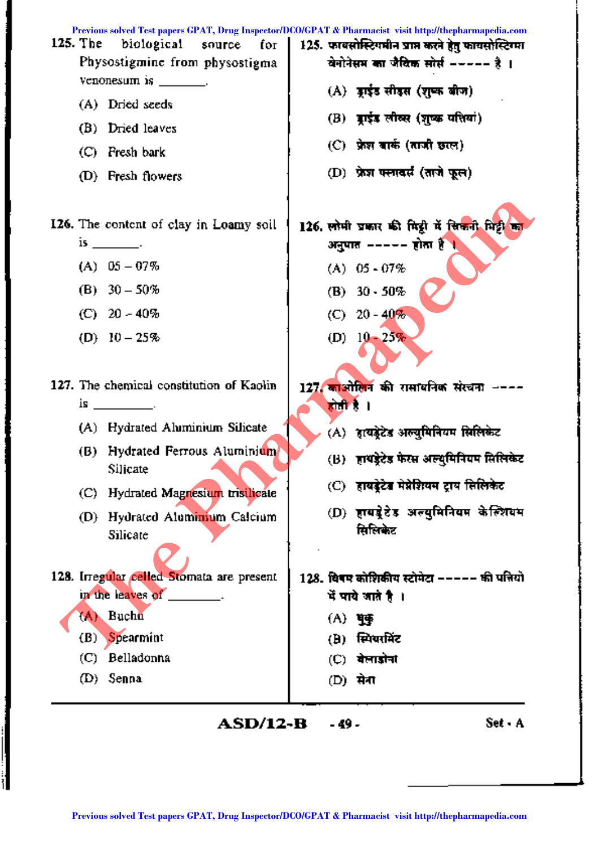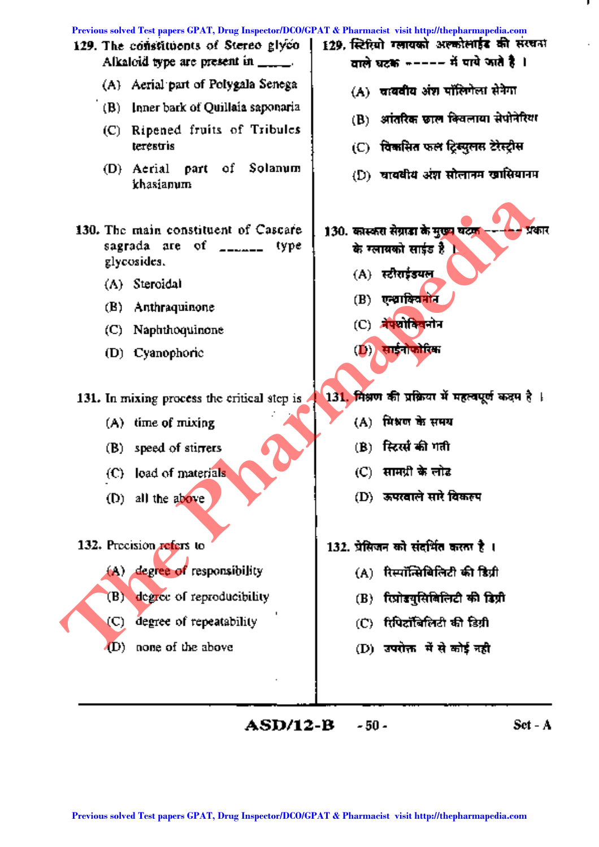

**ASD/12-B**  $-50-$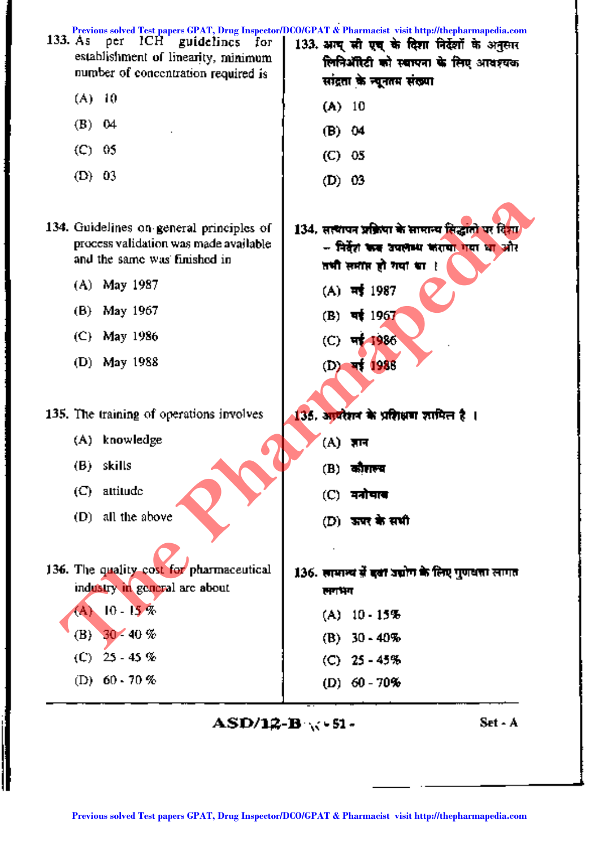

 $ASD/12-B \times 51 -$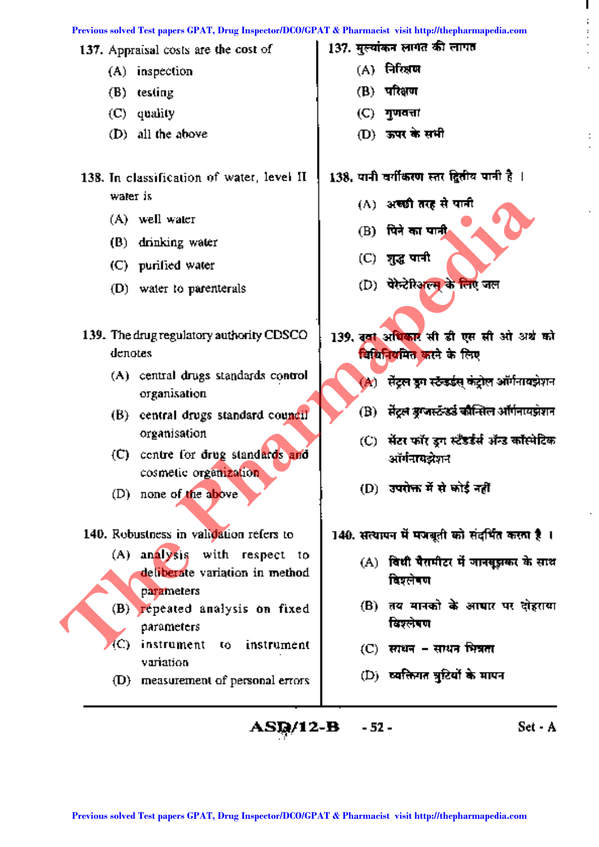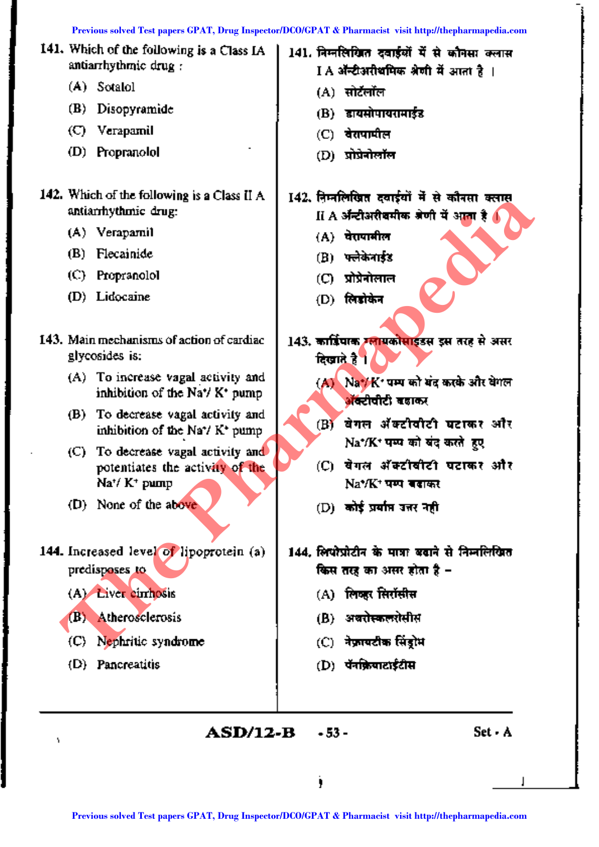|   | Previous solved Test papers GPAT, Drug Inspector/DCO/GPAT & Pharmacist visit http://thepharmapedia.com |                                                                                               |   |         |                                                                                                        |
|---|--------------------------------------------------------------------------------------------------------|-----------------------------------------------------------------------------------------------|---|---------|--------------------------------------------------------------------------------------------------------|
|   |                                                                                                        | 141. Which of the following is a Class IA<br>antiarrhythmic drug:                             |   |         | 141. निम्नलिखित दवाईयों में से कौनसा क्लास<br>I A ॲन्टीअरीथमिक श्रेणी में आता है ।                     |
|   |                                                                                                        | (A) Sotalol                                                                                   |   | (A)     | सोर्टलॉल                                                                                               |
|   | (B)                                                                                                    | Disopyramide                                                                                  |   | (B)     | डायसोपायरामाईंड                                                                                        |
|   | (C).                                                                                                   | Verapamil                                                                                     |   | (C)     | वेरापापील                                                                                              |
|   | (D)                                                                                                    | Propranolol                                                                                   |   | (D)     | प्रोप्रेनोर्लॉल                                                                                        |
|   |                                                                                                        | 142. Which of the following is a Class II A<br>antiarrhythmic drug:                           |   |         | 142. निम्नलिखित दवाईयों में से कौनसा क्लास<br>II A अन्टीअरीबमीक अंणी में आता है 4                      |
|   | (A).                                                                                                   | Verapamil                                                                                     |   |         | (A) वेरापामील                                                                                          |
|   | (B)                                                                                                    | Flecainide                                                                                    |   | (B)     | फ्लेकेनाईड                                                                                             |
|   | $\rm (C)$                                                                                              | Propranolol                                                                                   |   | (C).    | प्रोप्रेनोलाल                                                                                          |
|   |                                                                                                        | (D) Lidocaine                                                                                 |   |         | (D) लिंडोकेन                                                                                           |
|   |                                                                                                        | 143. Main mechanisms of action of cardiac<br>glycosides is:                                   |   |         | 143. कार्त्रिपाक स्लागकोसाइंडस इस तरह से असर<br>दिखाते है ।                                            |
|   |                                                                                                        | (A) To increase vagal activity and<br>inhibition of the Na <sup>+</sup> / K <sup>+</sup> pump |   |         | (A) Na / K पम्प को बंद करके और वेगल<br><mark>अ</mark> ॅक्टीवीटी बढाकर                                  |
|   | (B)                                                                                                    | To decrease vagal activity and<br>inhibition of the Na <sup>+</sup> / K <sup>+</sup> pump     |   | (B)     | वेगल ॲक्टीवीटी घटाकर और                                                                                |
|   | (C).                                                                                                   | To decrease vagal activity and                                                                |   |         | Na*/K* पम्प को बंद करते हुए                                                                            |
|   |                                                                                                        | potentiates the activity of the<br>$\text{Na}^*/$ K <sup>+</sup> pump                         |   | (C) -   | वेगल ॲक्टीवीटी घटाकर और<br>Na*/K* पम्प बदाकर                                                           |
|   |                                                                                                        | (D) None of the above                                                                         |   |         | (D) कोई प्रयाप्त उत्तर नही                                                                             |
|   |                                                                                                        | 144. Increased level of lipoprotein (a)<br>predisposes to                                     |   |         | 144. लिपोप्रोटीन के पात्रा बढाने से निम्नलिखित<br>किस तरह का असर होता है –                             |
|   |                                                                                                        | (A) Liver cimhosis                                                                            |   |         | (A) लिव्हर सिरॉसीस                                                                                     |
|   | (B).                                                                                                   | Atherosclerosis                                                                               |   |         | (B) अवरोस्कलरोसीस                                                                                      |
|   | (C).                                                                                                   | Nephritic syndrome                                                                            |   |         | (C) नेफ्रायटीक सिंड्रोम                                                                                |
|   | (D).                                                                                                   | Pancreatitis                                                                                  |   |         | (D) पॅनक्रियाटाईटीस                                                                                    |
|   |                                                                                                        |                                                                                               |   |         |                                                                                                        |
| ۷ |                                                                                                        | ASD/12-B                                                                                      |   | $-53 -$ | Set - A                                                                                                |
|   |                                                                                                        |                                                                                               | j |         |                                                                                                        |
|   |                                                                                                        |                                                                                               |   |         | Previous solved Test papers GPAT, Drug Inspector/DCO/GPAT & Pharmacist visit http://thepharmapedia.com |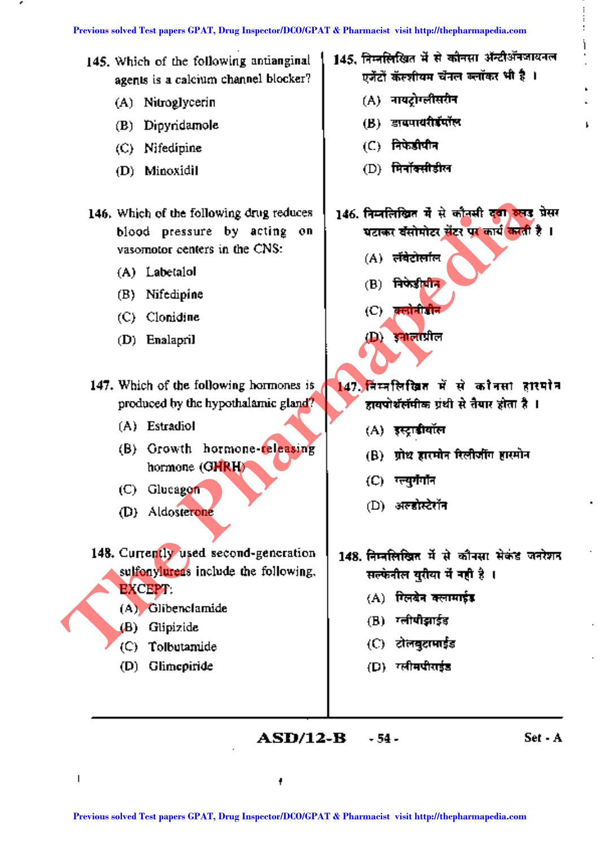- 145. Which of the following antianginal agents is a calcium channel blocker?
	- (A) Nitroglycerin
	- (B) Dipyridamole
	- (C) Nifedipine
	- (D) Minoxidil
- 146. Which of the following drug reduces blood pressure by acting on vasomotor centers in the CNS:
	- (A) Labetalol
	- (B) Nifedipine
	- (C) Clonidine
	- (D) Enalapril
- 147. Which of the following hormones is produced by the hypothalamic gland?
	- (A) Estradiol
	- (B) Growth hormone-releasing hormone (OHRH)
	- (C) Glucagon
	- (D) Aldosterone
- 148. Currently used second-generation sulfonylureas include the following, EXCEPT: **Previous solved Test papers (Fig. 2)**<br>
Previous solved Test papers of the CNS:<br>
(A) Labetailor (C) Clouding barriers in the CNS:<br>
(A) Labetailor (C) Clouding (B) Principle (C) Clouding (C) Clouding papers of the Myordala
	- (A) Glibenclamide
	- (B) Glipizide
	- (C) Tolbutamide
	- (D) Glimepiride
- 145, निम्नलिखित में से कौनसा ॲन्टीऑनजायनल एजेंटों कॅस्शीयम चेंनल क्लॉकर भी है ।
	- (A) नायटोग्लीसरीन
	- (B) डायपायरीडॅपॉल
	- $(C)$  निफेडीपीन
	- $(D)$  मिर्नॉक्सीडील
- 146. निम्नलिखित में से कौनसी दबा रुखड़ प्रेसर घटाकर बॅसोमोटर सेंटर पर कार्य करती है ।
	- $(A)$  लंबेटोलॉल
	- $(B)$  निफेडीयीन
	- $(C)$  gedal the
	- $\left(\mathbf{D}\right)$  । इनालांप्रील
- $147.$  निम्नलिखित में से कौनसा हारमोन हायपोथॅलॅमीक प्रथी से तैयार होता है ।
	- (A) इस्ट्राडीयॉल
	- (B) ग्रोथ हारमोन रिलीजींग हास्मोन
	-
	-
- $148.$  निम्नलिखित में से कौनसा सेकंड जनरेशन सल्फेनील युरीया में नही है ।
	- $(A)$  सिलंबेन क्लामाईड
	- (B) गलीपीझाईड
	- (C) दोलबुदामाईड
	- (D) स्लीमपीराईड
- ASD/12-B -54-

Set - A

,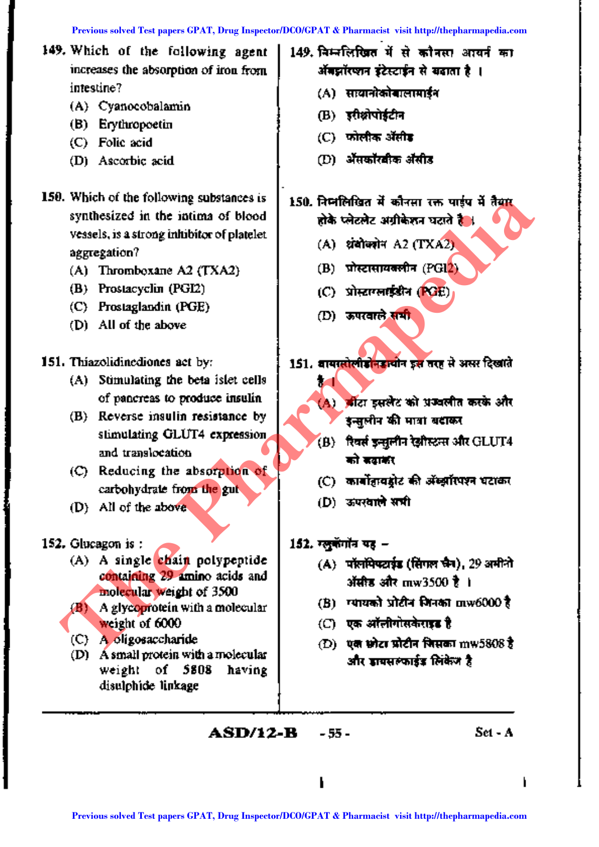- 149. Which of the following agent increases the absorption of iron from intestine?
	- (A) Cyanocobalamin
	- (B) Erythropoetin
	- (C) Folic acid
	- (D) Ascorbic acid
- 150. Which of the following substances is synthesized in the intima of blood vessels, is a strong inhibitor of platelet aggregation?
	- $(A)$  Thromboxane A2 (TXA2)
	- (B) Prostacyclin (PGI2)
	- (C) Prostaglandin (PGE)
	- (D) All of the above
- 151. Thiazolidinediones act by:
	- (A) Stimulating the beta islet cells of pancreas to produce insulin
	- (B) Reverse insulin resistance by stimulating GLUT4 expression and translocation
	- (C) Reducing the absorption of carbohydrate from the gut
	- (D) All of the above
- 152. Glucagon is:
	- (A) A single chain polypeptide containing 29 amino acids and molecular weight of 3500
	- $(B)$  A glycoprotein with a molecular weight of 6000
	- (C) A oligosaccharide
	- (D) A small protein with a molecular weight of 5808 having disulphide linkage
- 149. निम्नलिखित में से कौनसा आयर्न का ऑबझॉरप्शन इंटेस्टाईन से खड़ाता है ।
	- (A) सायानोकोबालामाईन
	- (B) इरीक्षोपोर्डटीन
	- $(C)$  फोलीक ॲसीड
	- (D) ॲसकॉरबीक ॲसीड
- 150. निम्नलिखित में कौनसा रक्त पाईप में तैयार होके प्लेटलेट अग्रीकेशन घटाते हैं ।
	- (A) धंबोक्योन A2 (TXA2)
	- $(B)$  प्रोस्टासायकलीन  $(PGL)$
	- (C) प्रोस्टाग्लाइंडीन (PGE)
	- (D) ऊपरवाले समी

151. वायस्तोलीडोनडायोन इस तरह से असर दिखाते ŧЛ

- (A) औटा इसलेट को प्रज्वलीत करके और इन्सलीन की मात्रा बदाकर
- (B) रिवर्स इन्सूलीन रेझीस्टन्स और GLUT4 को बवाकी
- (C) कार्बोहावड्रोट की अँख्यॉरपश्न घटाकर
- (D) ऊपरवाले सभी
- 152. रलकेंगॉन यह -
	- (A) पॉलफिफ्टाइंड (सिंगल फ्रेन), 29 अमीनो ऑसीड और mw3500 है ।
	- (B) ग्यायको प्रोटीन मिनका mw6000 है
	- (○ एक ऑलीगोसकेराइड है
	- $(D)$  एक छोटा प्रोटीन जिसका  $\text{mW}5808$  है। और जायसल्फार्डड लिकेंज है

**ASD/12-B**  $-55 -$   $Set - A$ 

ł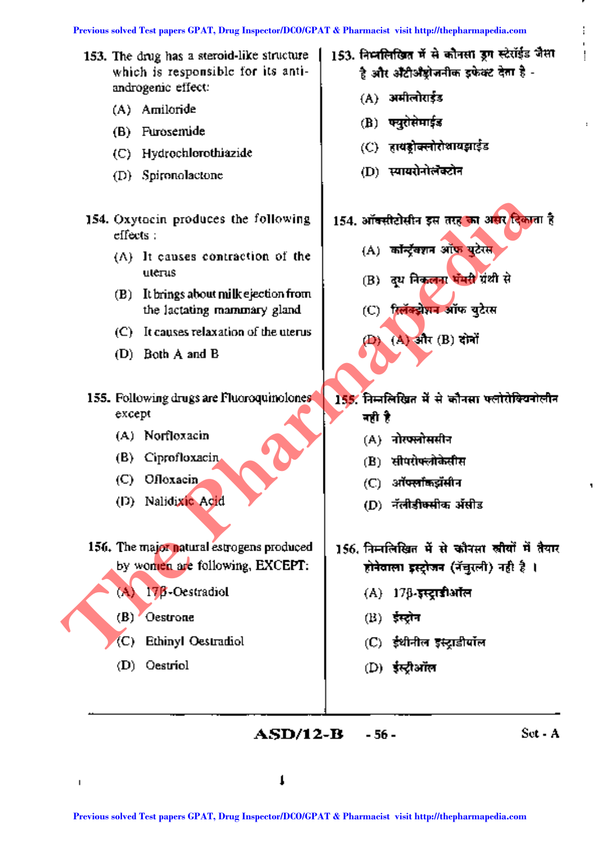- 153. The drug has a steroid-like structure which is responsible for its antiandrogenic effect:
	- (A) Amiloride
	- (B) Furosemide
	- (C) Hydrochlorothiazide
	- (D) Spironolactone
- 154. Oxytocin produces the following effects:
	- (A) It causes contraction of the uterus
	- (B) It brings about milk ejection from the lactating mammary gland
	- (C) It causes relaxation of the uterus
	- (D) Both A and B
- 155. Following drugs are Fluoroquinolones except
	- (A) Norfloxacin
	- (B) Ciprofloxacin
	- (C) Ofloxacin
	- (D) Nalidixic Acid
- 156. The major natural estrogens produced by women are following, EXCEPT: **Previous solution of the CPAT,** and CPAT, Drug Inspector/DCO/GPAT & Pharmacist visit http://thepharmapedia.com<br>
(A) Britist and CPAT (B) and CPAT (B) and CPAT and CPAT and CPAT and CPAT and CPAT and CPAT and CPAT and CPA
	- $(A)$  17 $\beta$ -Oestradiol
	- (B) Oestrone
	- (C) Ethinyl Oestradiol
	- (D) Oestriol
- 153. निम्नलिखित में से कौनसा उग स्टेरॉईड जैसा .<br>हे और औटीऔट्रोजनीक इफेक्ट देता हे -
	- $(A)$  अमीलोराईड
	- $(B)$  फ्युरोसेमाईड
	- $(C)$  हायडोक्लोरोशायझाईड
	- (D) स्वायरोनोलॅक्टोन

- $(A)$  कॉन्ट्रॅक्शन ऑफ़ युटेरस
- (B) दय निकलना भूमरी ग्रंथी से
- (C) हिलॅक्ट्रोशन ऑफ युटेरस
- (D) (A) और (B) दोनों
- $155.$  निम्नलिखित में से कौनसा फ्लोरोक्खिनोलीन नही है
	- $(A)$  नोरफलोससीन
	- (B) सीपरोफ्लोकेसीस
	- $\tt (C)$  ऑफ्लॉकझॅसीन
	- (D) -नॅलीडीकसीक ॲसीड
- 156. निम्नलिखित में से कौनसा खीवों में तैयार होनेवाला इस्ट्रोजन (नॅचुरली) नही है ।
	- $(A)$  17 $\beta$ -इस्ट्राडीऑल
	- $\left( \mathrm{B}\right)$  -ईस्टोन
	- (C) ईथीनील इस्ट्राडीयॉल
	- (D) ईस्ट्रीऑल

**ASD/12-B -56 - Set - A**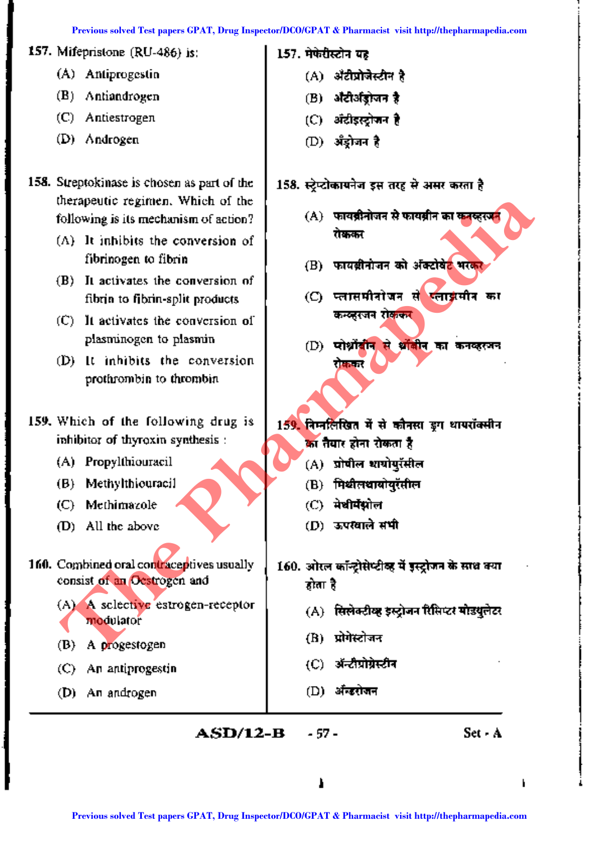|                                                                          | Previous solved Test papers GPAT, Drug Inspector/DCO/GPAT & Pharmacist visit http://thepharmapedia.com |
|--------------------------------------------------------------------------|--------------------------------------------------------------------------------------------------------|
| 157. Mifepristone $(RU-486)$ is:                                         | 157. मेफेरीस्टोन यह                                                                                    |
| (A) Antiprogestin                                                        | (A) औटीप्रोजेस्टीन है                                                                                  |
| Antiandrogen<br>(B)                                                      | अँटीअँड्रोजन है<br>(B)                                                                                 |
| (C).<br>Antiestrogen                                                     | (C) अंदीइस्ट्रोजन है                                                                                   |
| (D) Androgen                                                             | (D) अँड्रोजन है                                                                                        |
| 158. Streptokinase is chosen as part of the                              | 158. स्ट्रेप्टोकायनेज इस तरह से असर करता है                                                            |
| therapeutic regimen. Which of the                                        |                                                                                                        |
| following is its mechanism of action?                                    | (A) फायब्रीनोजन से फायब्रीन का कनव्हरपन                                                                |
| $(A)$ It inhibits the conversion of                                      | रोककर                                                                                                  |
| fibrinogen to fibrin                                                     | फायबीनोजन को अक्टोबेट भरकर<br>(B)                                                                      |
| It activates the conversion of<br>(B)                                    | स्लाईमीन का<br>प्लासमीनोजन से                                                                          |
| fibria to fibrin-split products                                          | $\circ$<br>कन्व्हरजन रोककर                                                                             |
| It activates the conversion of<br>(C).                                   |                                                                                                        |
| plasminogen to plasmin                                                   | प्रोथ्नोंबीन से थोंबीन का कनव्हरजन<br>(D)                                                              |
| It inhibits the conversion<br>(D)                                        | रोककर                                                                                                  |
| prothrombin to thrombin                                                  |                                                                                                        |
|                                                                          |                                                                                                        |
| 159. Which of the following drug is<br>inhibitor of thyroxin synthesis : | 159. निम्नलिखित में से कौनसा इग थापरॉक्सीन                                                             |
| (A) Propylthiouracil                                                     | का तैयार होना रोकता है                                                                                 |
| Methylthiouracil<br>(B)                                                  | (A) प्रोपील शायोपुरॅसील                                                                                |
| Methimazole                                                              | मिथीलथायोयुरॅसील<br>(B)<br>(C) मेथीमॅंग्नोल                                                            |
| (C)<br>All the above                                                     | (D) ऊपरवाले सभी                                                                                        |
| (D)                                                                      |                                                                                                        |
| 160. Combined oral contraceptives usually                                | 160. ओरल कॉन्ट्रोसेप्टीव्ह में इस्ट्रोजन के साथ क्या                                                   |
| consist of an Ocstrogen and                                              | होता है                                                                                                |
| (A) A selective estrogen-receptor                                        | (A) सिलेक्टीव्ह इस्ट्रोजन रिसिप्टर मोडयुलेटर                                                           |
| modulator                                                                |                                                                                                        |
| A progestogen<br>(B)                                                     | प्रोगेस्टोजन<br>(B)                                                                                    |
| An antiprogestin<br>$\left($ C) $\right)$                                | ॲन्टीप्रोग्रेस्टीन<br>$\rm (C)$                                                                        |
| (D) An androgen                                                          | ॲन्डरोजन<br>(D)                                                                                        |
|                                                                          |                                                                                                        |
| <b>ASD/12-B</b>                                                          | Set - A<br>- 57 -                                                                                      |
|                                                                          |                                                                                                        |
|                                                                          |                                                                                                        |

I

I i<br>I<br>I<br>I ~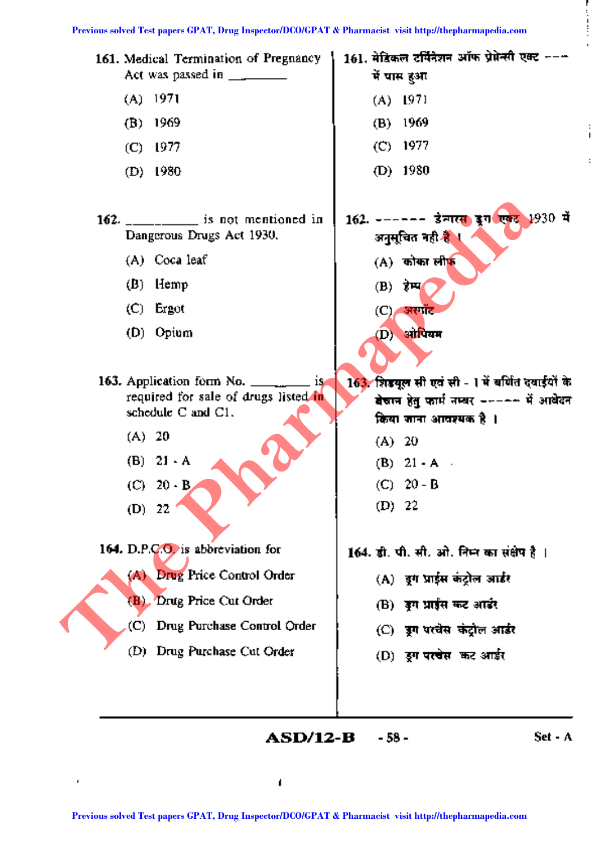

**ASD/12-B** - 58 - Set - A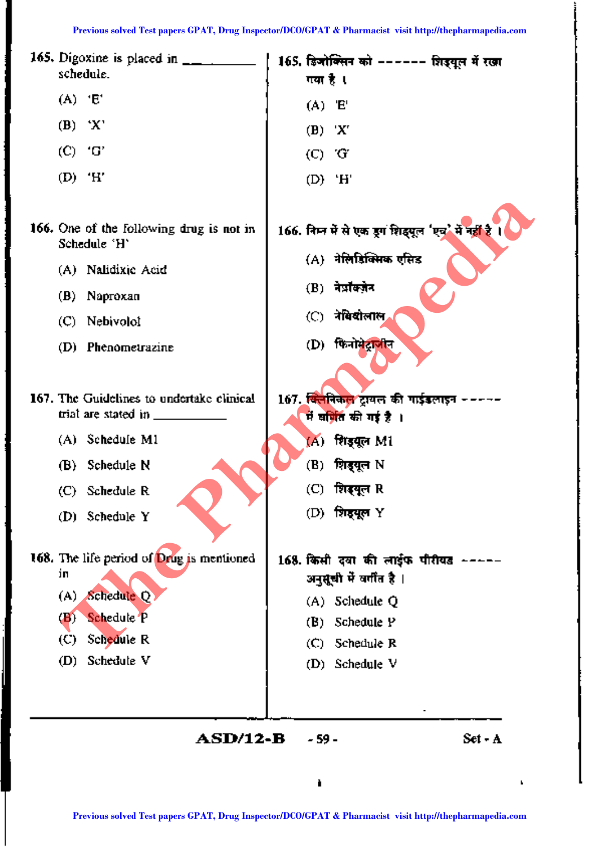| 165. Digoxine is placed in $\frac{1}{2}$<br>schedule.                          | 165. डिजोक्सिन को ------ शिड्यूल में रखा<br>गया है ।                                                   |
|--------------------------------------------------------------------------------|--------------------------------------------------------------------------------------------------------|
| $(A)$ 'E'                                                                      | $(A)$ $E'$                                                                                             |
| $(B)$ 'X'                                                                      | $(B)$ $'X'$                                                                                            |
| $(C)$ $^{\circ}G'$                                                             | (C) G                                                                                                  |
| $(D)$ 'H'                                                                      | $(D)$ 'H'                                                                                              |
| 166. One of the following drug is not in<br>Schedule 'H'<br>(A) Nalidixic Acid | 166. निम्न में से एक डूग शिइपूल 'एच' में नहीं है<br>(A) नेलिडिक्सिक एसिड                               |
|                                                                                | $(B)$ नेप्रोक्जेन                                                                                      |
| (B) Naproxan                                                                   | (C) नेविदोलाल,                                                                                         |
| (C) Nebivolol                                                                  | (D) फिनोमेट्राजीन                                                                                      |
| (D) Phenometrazine                                                             |                                                                                                        |
| 167. The Guidelines to undertake clinical<br>trial are stated in ____          | 167. <del>क्लिनिकल</del> ट्रायल की गाईडलाइन -<br>में सं <mark>गित</mark> की गई है ।                    |
| (A) Schedule M1                                                                | (A) शिइयूल M1                                                                                          |
| (B) Schedule N                                                                 | (B)<br>शिड्यूल N                                                                                       |
| (C) Schedule R                                                                 | (C) शिइयूल R                                                                                           |
| (D) Schedule Y                                                                 | शिरद्यूल Y<br>(D)                                                                                      |
| 168. The life period of Drug is mentioned<br>iп                                | 168. किसी दवा की लाईफ पीरीयड<br>अनुसूची में वर्गीत है ।                                                |
| Schedule Q<br>(A)                                                              | (A) Schedule Q                                                                                         |
| Schedule P<br>$\mathbf{B}$                                                     | Schedule P<br>(B)                                                                                      |
| Schedule R<br>$\rm (C)$<br>Schedule V<br>(D)                                   | Schedule R<br>$\left(  \right)$                                                                        |
|                                                                                | $(D)$ Schedule V                                                                                       |
| ASD/12-B                                                                       | Set - A<br>- 59 -                                                                                      |
|                                                                                | ٠                                                                                                      |
|                                                                                | Previous solved Test papers GPAT, Drug Inspector/DCO/GPAT & Pharmacist visit http://thepharmapedia.com |

İ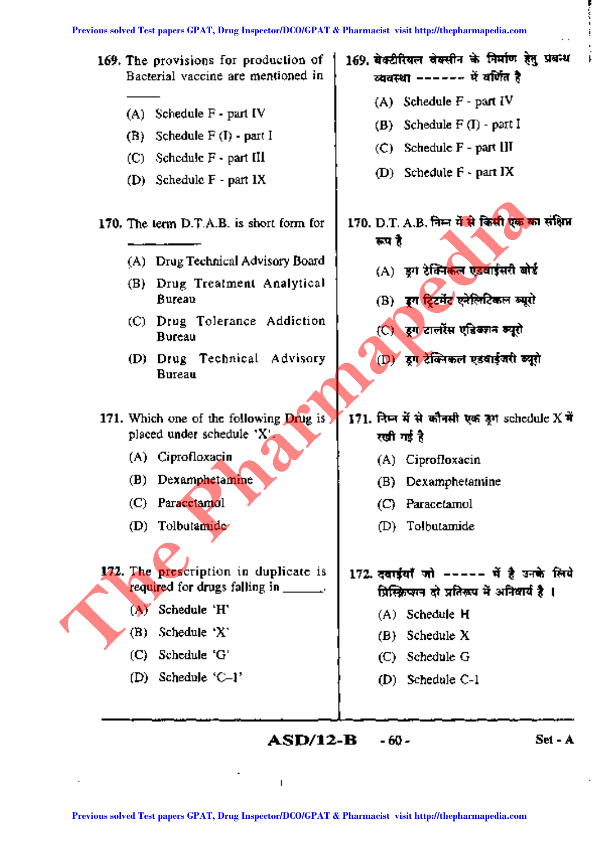

**ASD/12-B -60 - Set-A**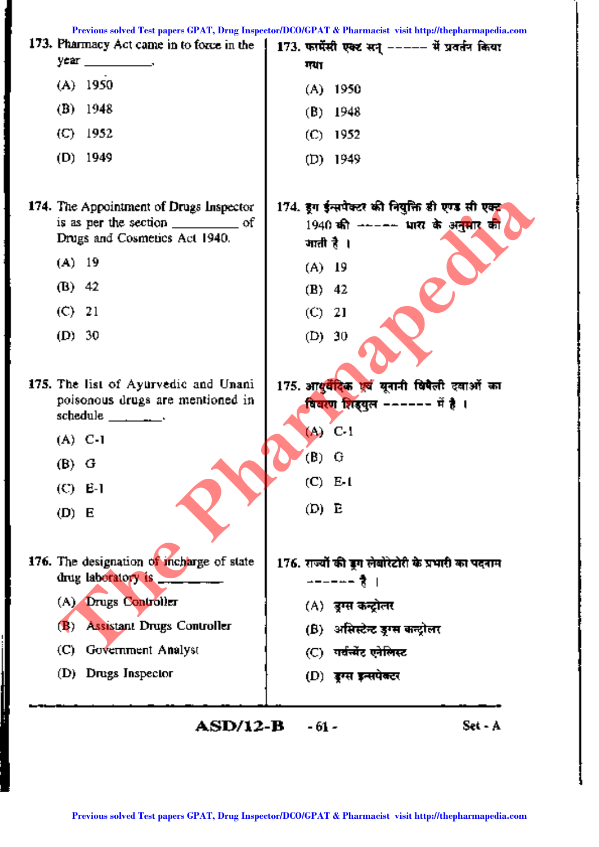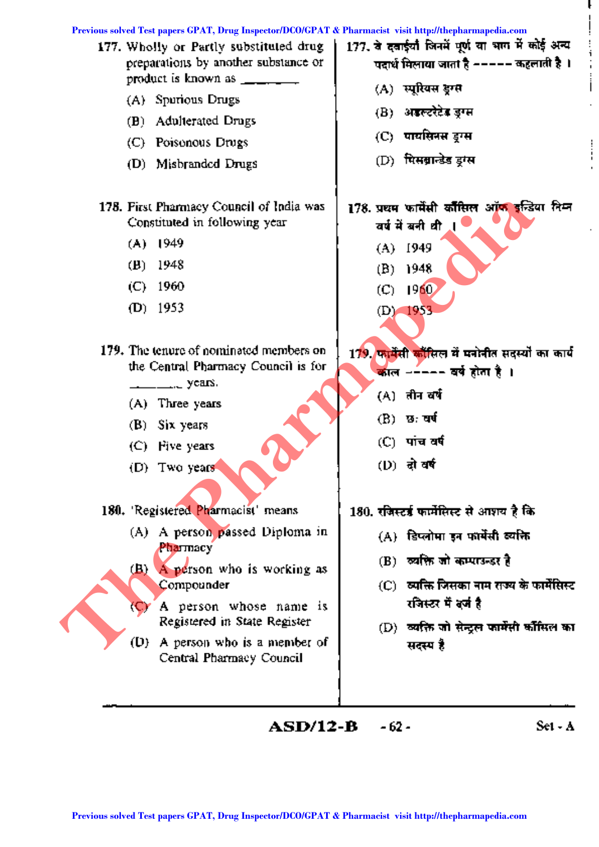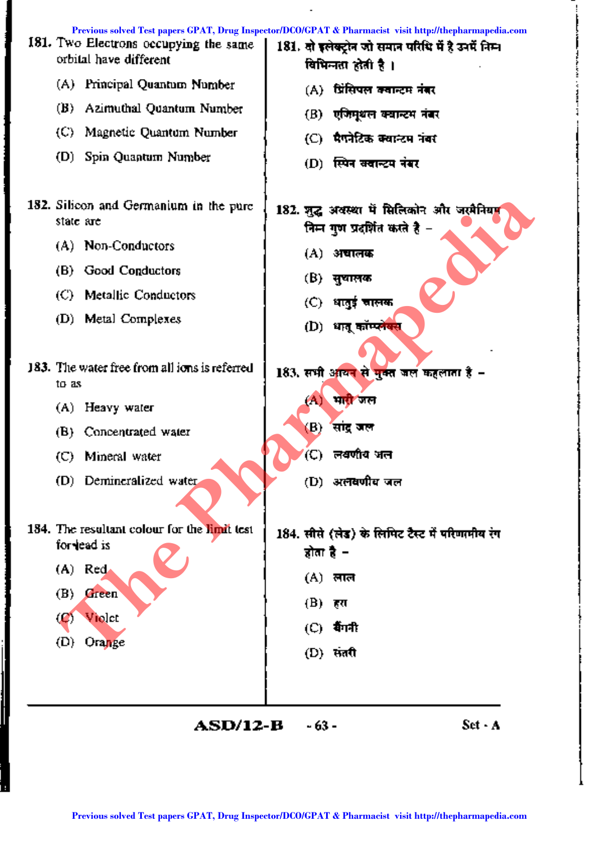|                   | Previous solved Test papers GPAT, Drug Inspector/DCO/GPAT & Pharmacist visit http://thepharmapedia.com<br>181. Two Electrons occupying the same<br>orbital have different |        | 181. दो इलेक्ट्रोन जो समान परिधि में है उनमें निम्न<br>विभिन्नता होती है । |         |
|-------------------|---------------------------------------------------------------------------------------------------------------------------------------------------------------------------|--------|----------------------------------------------------------------------------|---------|
|                   | (A) Principal Quantum Number                                                                                                                                              |        | (A) प्रिंसिपल क्वान्टम नंबर                                                |         |
| (B) -             | Azimuthal Quantum Number                                                                                                                                                  |        | (B) एजिम्थल क्यान्टम नंबर                                                  |         |
|                   | (C) Magnetic Quantum Number                                                                                                                                               |        | (C)   मैगनेटिक क्वान्टम नंबर                                               |         |
|                   | (D) Spin Quantum Number                                                                                                                                                   |        | (D) स्पिन <del>बदा</del> न्टम नंबर                                         |         |
| state are         | 182. Silicon and Germanium in the purc                                                                                                                                    |        | 182. जुद्ध अवस्था में सिलिकोन और जरमैनियम<br>निम्न गुण प्रदर्शित करते है – |         |
|                   | (A) Non-Conductors                                                                                                                                                        |        | (A) अचालक                                                                  |         |
|                   | (B) Good Conductors                                                                                                                                                       |        | (B) सुथालक                                                                 |         |
| (C).              | Metallic Conductors                                                                                                                                                       |        | (C) धातुई चालक                                                             |         |
|                   | (D) Metal Complexes                                                                                                                                                       |        | (D) धातू कॉम्प्ले <del>य</del> स                                           |         |
|                   |                                                                                                                                                                           |        |                                                                            |         |
| to as             | 183. The water free from all ions is referred                                                                                                                             |        | 183. सभी अध्यन से मुक्त जल कहलाता है -                                     |         |
|                   | (A) Heavy water                                                                                                                                                           | (A)    | भा <mark>री</mark> जल                                                      |         |
|                   | (B) Concentrated water                                                                                                                                                    | (B)    | सांद्र जल                                                                  |         |
| (C)               | Mineral water                                                                                                                                                             | (C)    | लवणीय जल                                                                   |         |
|                   | (D) Demineralized water                                                                                                                                                   |        | (D) अलवणीय जल                                                              |         |
|                   | 184. The resultant colour for the limit test<br>for lead is                                                                                                               |        | 184. सीसे (लेड) के लिमिट टैस्ट में परिणामीय रंग<br>होता है –               |         |
|                   | $(A)$ Red                                                                                                                                                                 |        | (A) लाल                                                                    |         |
| (B)               | Green                                                                                                                                                                     | (B)    | हरा                                                                        |         |
| $\left( 2\right)$ | Violet                                                                                                                                                                    | (C).   | र्वगनी                                                                     |         |
| (D)               | Orange                                                                                                                                                                    |        | (D) संतरी                                                                  |         |
|                   |                                                                                                                                                                           |        |                                                                            |         |
|                   | ASD/12-B                                                                                                                                                                  | - 63 - |                                                                            | Set - A |
|                   | Previous solved Test papers GPAT, Drug Inspector/DCO/GPAT & Pharmacist visit http://thepharmapedia.com                                                                    |        |                                                                            |         |

Ļ

š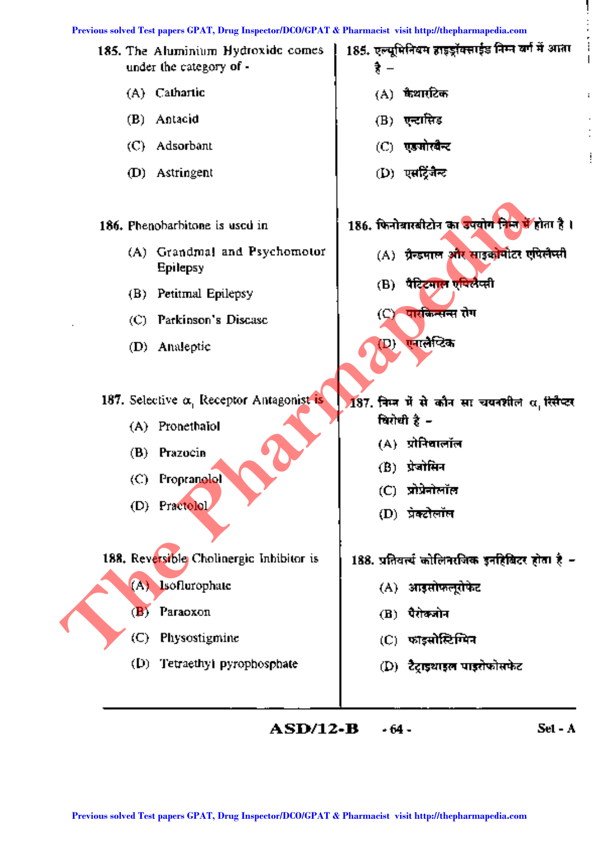

 $ASD/12-B$  $-64-$   $Set - A$ 

į.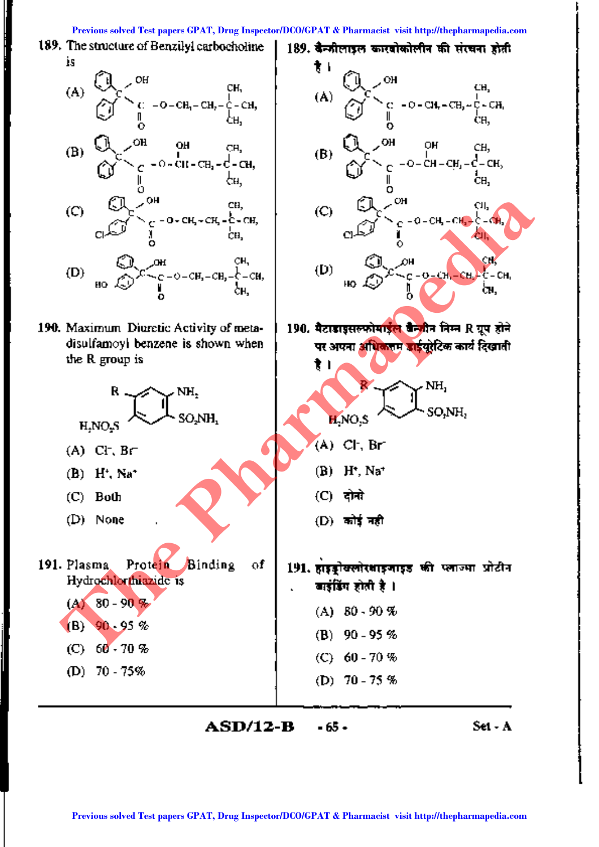Previous solved Test papers GPAT, Drug Inspector/DCO/GPAT & Pharmacist visit http://thepharmapedia.com

ŧι

(A)

(B)

 $\mathbf{C}$ 

(D)

189. बैन्जीलाइल कारवोकोलीन की संरचना होती

ö

190. मैटाडाइसल्फोमाईल बैन्जीन निम्न R ग्रुप होने

पर अपना अधिकतम डाईयरेटिक कार्य दिखाती

СH.

ĊН.

CH,

ĊН,

CЛ.

ċл,

⊾≿≂α9.

cн

 $C - CH$ ĊН.

 $-0 - CH - CH_2 - CH_1$ 

 $Q - CH - CH_1 - C - CH_2$ 

OН

- 0 - CH. - CH.

 $-0 - C H_1 - CH_2$ 

189. The structure of Benzilyl carbocholine İS



- $-c cH CH CH cH$  $(D)$
- 190. Maximum Diuretic Activity of metadisulfamoyi benzene is shown when the R group is



 $ASD/12-B$  $-65 -$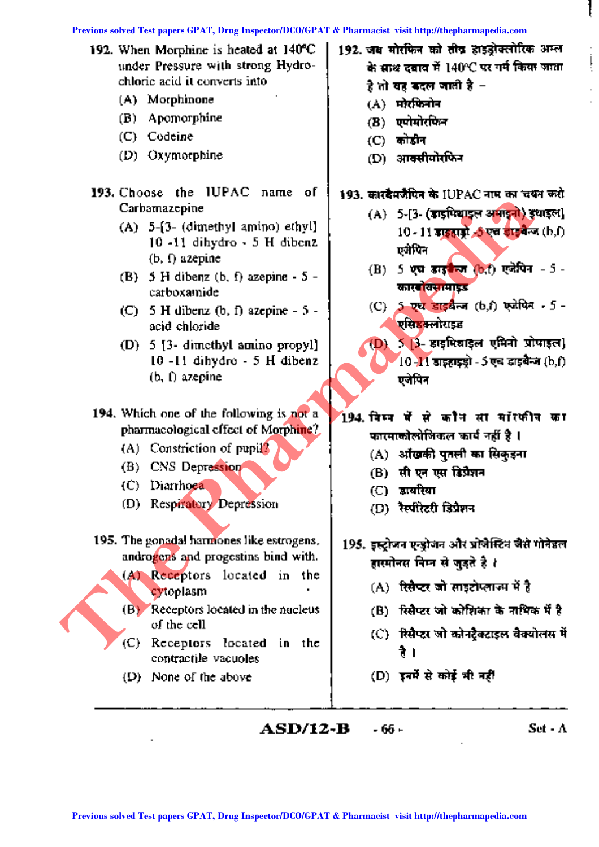| 192. When Morphine is heated at 140°C<br>under Pressure with strong Hydro-<br>chlorie acid it converts into<br>(A) Morphinone<br>Apomorphine<br>(B)<br>(C) Codeine<br>$(D)$ Oxymorphine                                                                                                                                                                                                                                                                                                                                                                                                                                                                                                                                                                                                                                               | 192. जब मोरफिन को तीव हाइड्रोक्लोरिक अम्ल<br>के साथ दबाव में 140°C पर गर्म किया जाता<br>है तो यह कदल जाती है –<br>मरेरफिनोन<br>(A)<br>एपोमोरफिन<br>(B)<br>कोडीन<br>$\left($ C)<br>आक्सीयोरफिन<br>(D) -                                                                                                                                                                                                                                                                                                                                                                                                                                                                                                                                                                                                           |
|---------------------------------------------------------------------------------------------------------------------------------------------------------------------------------------------------------------------------------------------------------------------------------------------------------------------------------------------------------------------------------------------------------------------------------------------------------------------------------------------------------------------------------------------------------------------------------------------------------------------------------------------------------------------------------------------------------------------------------------------------------------------------------------------------------------------------------------|------------------------------------------------------------------------------------------------------------------------------------------------------------------------------------------------------------------------------------------------------------------------------------------------------------------------------------------------------------------------------------------------------------------------------------------------------------------------------------------------------------------------------------------------------------------------------------------------------------------------------------------------------------------------------------------------------------------------------------------------------------------------------------------------------------------|
| 193. Choose the IUPAC name of<br>Carbamazepine<br>(A) $5-(3-$ (dimethyl amino) ethyl)<br>$10 - 11$ dihydro $-5$ H dibenz<br>$(b, f)$ azepine<br>(B) 5 H dibenz (b, f) azepine - $5 -$<br>carboxamide<br>(C) 5 H dibenz (b, f) azepine $-5$ -<br>acid chloride<br>(D) 5 [3- dimethyl amino propyl]<br>10-11 dihydro - 5 H dibenz<br>$(b, f)$ azepine<br>194. Which one of the following is not a<br>pharmacological effect of Morphine?<br>(A) Constriction of pupil <sup>2</sup><br>(B) CNS Depression<br>(C) Diarrhoea<br>(D) Respiratory Depression<br>195. The gonadal harmones like estrogens,<br>androgens and progestins bind with.<br>(A) Receptors located in the<br>cytoplasm<br>(B) Receptors located in the nucleus<br>of the cell<br>Receptors located in the<br>(C).<br>contractile vacuoles<br>None of the above<br>(D) | 193. कारदैमजैपिन के IUPAC नाम का चयन करो<br>(A) 5-[3- (डाइमिथाइल अमाइनो) इधाइल]<br>10 - 11 डाइहाड्रो -5 एच डाइवेल्ज (h,f)<br>एमेपिन<br>5 एच डाइकेला (b,f) एजेपिन - 5 -<br>$\bf{(B)}$<br>कार <mark>बोक्सामाइड</mark><br>(C) 5 एच डाइबैन्ज (b,f) एजेपिन - 5 -<br>एसिडक्लोराइड<br>ऽ 3- डाइमिश्चाइल एमिनो प्रोपाइल)<br>(D)<br>10-11 डाइहाइड्रो - 5 एच डाइबैन्ज (b,f).<br>एजेपिन<br>194. निम्न में से कौन सा मॉरफीन का<br>फारमाकोलोजिकल कार्य नहीं है ।<br>(A) अखिकी पुतली का सिकुइना<br>(B) सीएन एस डिप्रैशन<br>(C) ज्ञायरिया<br>(D) रैस्पोरेटरी डिप्रैशन<br>195. इस्ट्रोजन एन्डोजन और प्रोजैस्टिन जैसे गोनेइल<br>हास्मोनस निम्न से जुड्ते है ∤<br>(A) रिसैप्टर जो साइटोप्लाज्म में है<br>(B) रिसैप्टर जो कोशिका के नाथिक में है<br>(C) - रिसैप्टर जो कोनट्रैक्टाइल वैक्योलस में<br>रै ।<br>(D) इनमें से कोई भी नहीं |
| ASD/12-B                                                                                                                                                                                                                                                                                                                                                                                                                                                                                                                                                                                                                                                                                                                                                                                                                              | Set - $\Lambda$<br>- 66 -                                                                                                                                                                                                                                                                                                                                                                                                                                                                                                                                                                                                                                                                                                                                                                                        |

ţ

 $\cdot$  $\mathop{\textstyle\bigcup}\limits_{i}$ 

> l,  $\ddot{\phantom{0}}$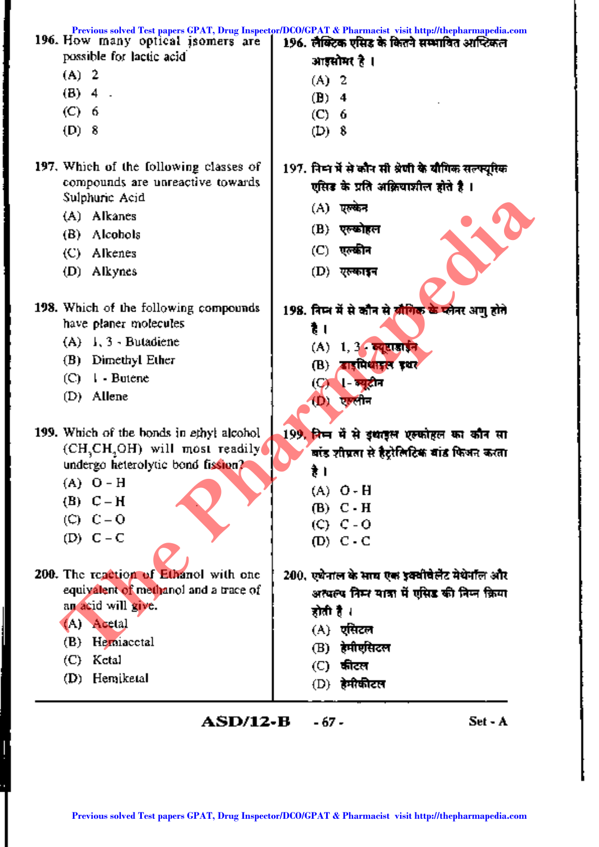| 196. How many optical isomers are                      | Previous solved Test papers GPAT, Drug Inspector/DCO/GPAT & Pharmacist visit http://thepharmapedia.com<br>196. लैक्टिक एसिड के कितने सम्भावित आप्टिकल |
|--------------------------------------------------------|-------------------------------------------------------------------------------------------------------------------------------------------------------|
| possible for lactic acid                               | आइसोमर है ।                                                                                                                                           |
| (A) 2                                                  |                                                                                                                                                       |
| $(B)$ 4.                                               | (A) 2                                                                                                                                                 |
| (C) 6                                                  | (B)<br>4                                                                                                                                              |
| (D) 8                                                  | $(C)$ 6<br>(D) $8$                                                                                                                                    |
|                                                        |                                                                                                                                                       |
| 197. Which of the following classes of                 | 197. निम्न में से कौन सी श्रेणी के बीगिक सल्फ्यूरिक                                                                                                   |
| compounds are unreactive towards                       |                                                                                                                                                       |
| Sulphuric Acid                                         | एसिड के प्रति अक्रियाशील होते है ।                                                                                                                    |
| (A) Alkanes                                            | (A) एल्केन                                                                                                                                            |
| (B) Alcohols                                           | (B) एल्ख्वोहल                                                                                                                                         |
| (C) Alkenes                                            | (C) -<br>एल्कीन                                                                                                                                       |
| (D) Alkynes                                            | (D) एल्काइन                                                                                                                                           |
|                                                        |                                                                                                                                                       |
| 198. Which of the following compounds                  | 198. निम्न में से कौन से ब्रांगिक के प्लेनर अणु होते                                                                                                  |
| have planer molecules                                  | है ।                                                                                                                                                  |
| $(A)$ 1, 3 - Butadiene                                 | (A) 1, 3 व्युटाइइन                                                                                                                                    |
| (B) Dimethyl Ether                                     | बाइमिथाइल इथर<br>(B)                                                                                                                                  |
| $(C) \quad I$ - Butene                                 | <b>। न्यु</b> टोन<br>(C).                                                                                                                             |
| (D) Allene                                             | $(D)$ एण्लीन                                                                                                                                          |
|                                                        |                                                                                                                                                       |
| 199. Which of the bonds in ethyl alcohol               | 199, निम्न में से इथाइल एल्फोहल का कौन सा                                                                                                             |
| (CH <sub>3</sub> CH <sub>3</sub> OH) will most readily | बांड शीग्रता से हैट्रेलिटिक बांड फिअन करता                                                                                                            |
| undergo heterolytic bond fission?                      | है ।                                                                                                                                                  |
| $(A)$ O - H                                            | (A) O-H                                                                                                                                               |
| $(B)$ $C - H$                                          | $(B)$ $C - H$                                                                                                                                         |
| $(C) C = 0$                                            | $(C)$ $C - O$                                                                                                                                         |
| $(D)$ $C - C$                                          | $(D)$ C - C                                                                                                                                           |
|                                                        |                                                                                                                                                       |
| 200. The reaction of Ethanol with one                  | 200, एथेनाल के साथ एक इक्वीवेलेंट मेथेनॉल और                                                                                                          |
| equivalent of methanol and a trace of                  | अत्यल्प निम्न यात्रा में एसिड की निम्न क्रिया                                                                                                         |
| an acid will give.                                     | होती है ।                                                                                                                                             |
| (A) Acetal                                             | (A) एसिटल                                                                                                                                             |
| Hemiacctal<br>(B)                                      | हेमीएसिटल<br>(B)                                                                                                                                      |
| (C) Ketal                                              | कीटल<br>(C) -                                                                                                                                         |
| (D) Hemiketal                                          | (D) हेमीकीटल                                                                                                                                          |
|                                                        |                                                                                                                                                       |

j

 $\mathbf{r}$ 

 $\overline{\phantom{a}}$ 

 $ASD/12-B - 67$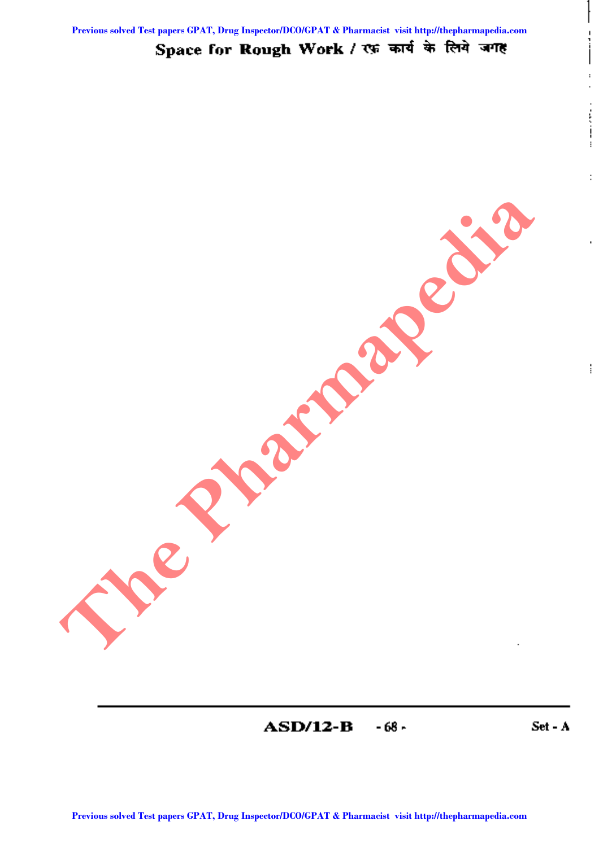**Previous solved Test papers GPAT, Drug Inspector/DCO/GPAT & Pharmacist visit http://thepharmapedia.com**

# Space for Rough Work / एक कार्य के लिये जगह

ASD/12-B ~68- Set - A

 $\frac{1}{1}$ 

 $\ddot{\phantom{0}}$  $\ddot{\phantom{0}}$ 

 $\begin{array}{c} \bullet & \bullet & \bullet \\ \bullet & \bullet & \bullet \\ \bullet & \bullet & \bullet \\ \bullet & \bullet & \bullet \end{array}$ 

ŀ

ŧ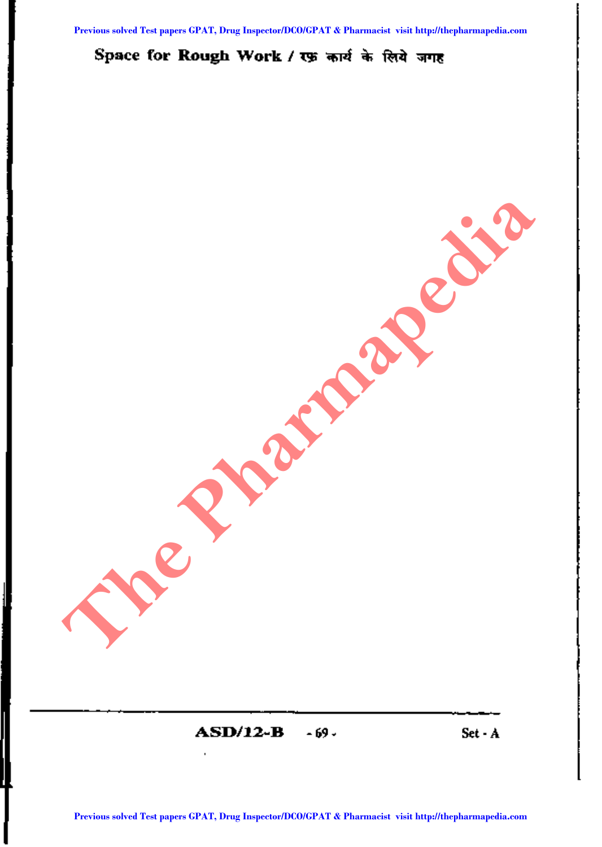# Space for Rough Work / रफ़ कार्य के लिये जगह

 $\mathbf{ASD}/12 - \mathbf{B}$   $\sim$  69- Set-A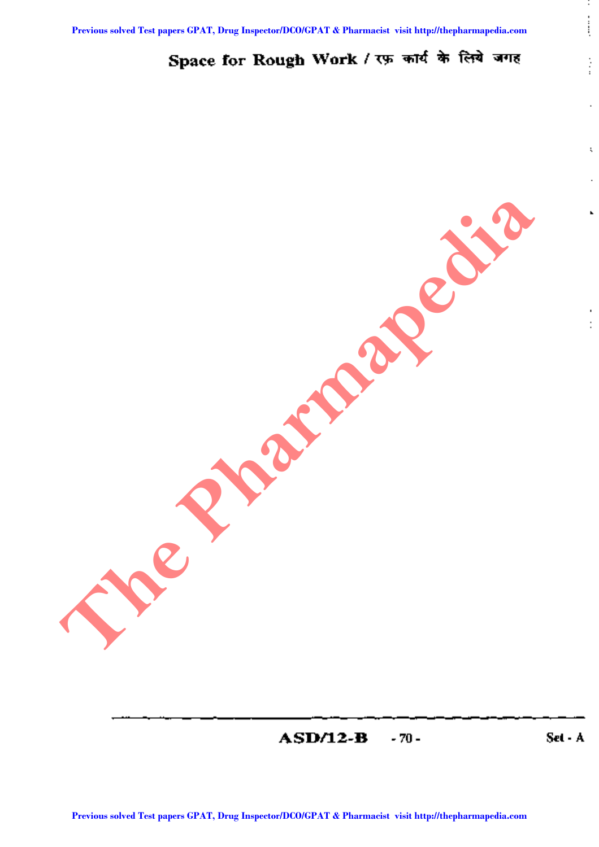# Space for Rough Work / रफ़ कार्य के लिये जगह

ASD/12-B -70 - Set - A

÷, į

 $\vdots$ 

 $\mathbf{L}$ 

ł.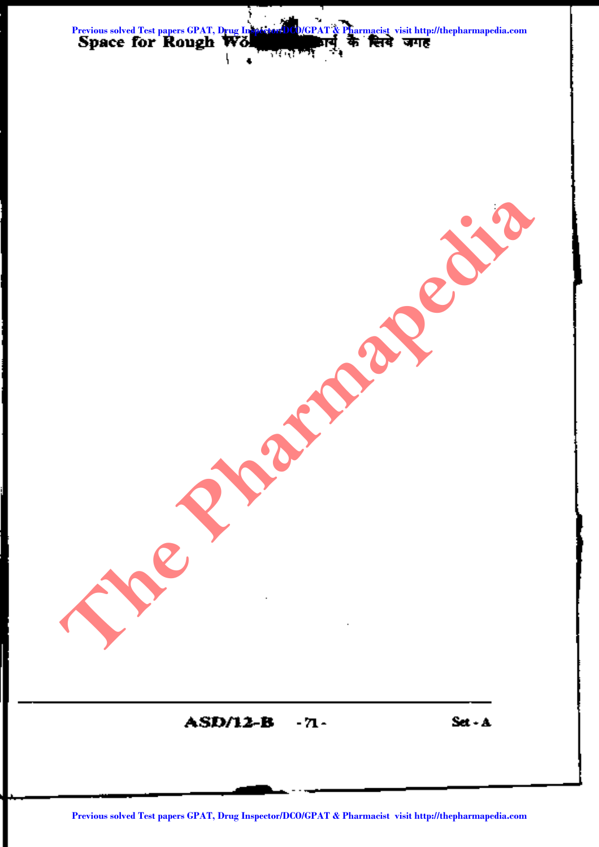

ASD/12-B - 71- Set-A **Predictor Solved Test papers Commenced Test papers Commenced Test papers Grand Test papers Commenced Test papers Commenced Test papers Commenced Test papers Commenced Test papers Commenced Test papers Commenced Test paper**